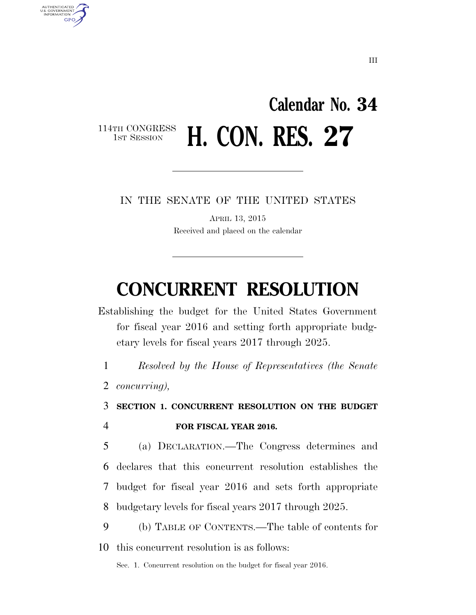## **Calendar No. 34**  114TH CONGRESS<br>1st Session **H. CON. RES. 27**

IN THE SENATE OF THE UNITED STATES

APRIL 13, 2015 Received and placed on the calendar

# **CONCURRENT RESOLUTION**

Establishing the budget for the United States Government for fiscal year 2016 and setting forth appropriate budgetary levels for fiscal years 2017 through 2025.

1 *Resolved by the House of Representatives (the Senate* 

2 *concurring),* 

AUTHENTICATED<br>U.S. GOVERNMENT<br>INFORMATION

**GPO** 

3 **SECTION 1. CONCURRENT RESOLUTION ON THE BUDGET** 

### 4 **FOR FISCAL YEAR 2016.**

 (a) DECLARATION.—The Congress determines and declares that this concurrent resolution establishes the budget for fiscal year 2016 and sets forth appropriate budgetary levels for fiscal years 2017 through 2025.

9 (b) TABLE OF CONTENTS.—The table of contents for 10 this concurrent resolution is as follows:

Sec. 1. Concurrent resolution on the budget for fiscal year 2016.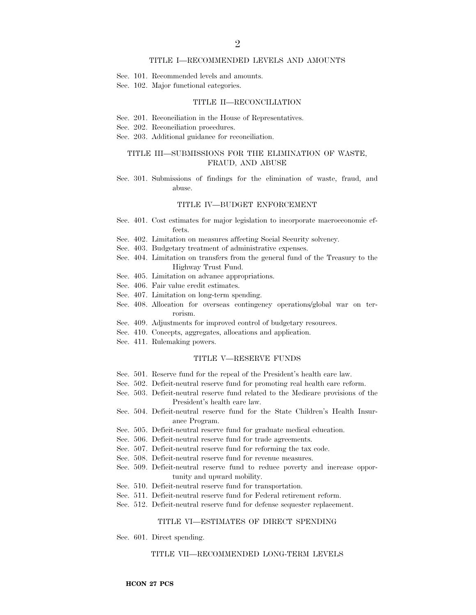#### TITLE I—RECOMMENDED LEVELS AND AMOUNTS

- Sec. 101. Recommended levels and amounts.
- Sec. 102. Major functional categories.

#### TITLE II—RECONCILIATION

- Sec. 201. Reconciliation in the House of Representatives.
- Sec. 202. Reconciliation procedures.
- Sec. 203. Additional guidance for reconciliation.

#### TITLE III—SUBMISSIONS FOR THE ELIMINATION OF WASTE, FRAUD, AND ABUSE

Sec. 301. Submissions of findings for the elimination of waste, fraud, and abuse.

#### TITLE IV—BUDGET ENFORCEMENT

- Sec. 401. Cost estimates for major legislation to incorporate macroeconomic effects.
- Sec. 402. Limitation on measures affecting Social Security solvency.
- Sec. 403. Budgetary treatment of administrative expenses.
- Sec. 404. Limitation on transfers from the general fund of the Treasury to the Highway Trust Fund.
- Sec. 405. Limitation on advance appropriations.
- Sec. 406. Fair value credit estimates.
- Sec. 407. Limitation on long-term spending.
- Sec. 408. Allocation for overseas contingency operations/global war on terrorism.
- Sec. 409. Adjustments for improved control of budgetary resources.
- Sec. 410. Concepts, aggregates, allocations and application.
- Sec. 411. Rulemaking powers.

#### TITLE V—RESERVE FUNDS

- Sec. 501. Reserve fund for the repeal of the President's health care law.
- Sec. 502. Deficit-neutral reserve fund for promoting real health care reform.
- Sec. 503. Deficit-neutral reserve fund related to the Medicare provisions of the President's health care law.
- Sec. 504. Deficit-neutral reserve fund for the State Children's Health Insurance Program.
- Sec. 505. Deficit-neutral reserve fund for graduate medical education.
- Sec. 506. Deficit-neutral reserve fund for trade agreements.
- Sec. 507. Deficit-neutral reserve fund for reforming the tax code.
- Sec. 508. Deficit-neutral reserve fund for revenue measures.
- Sec. 509. Deficit-neutral reserve fund to reduce poverty and increase opportunity and upward mobility.
- Sec. 510. Deficit-neutral reserve fund for transportation.
- Sec. 511. Deficit-neutral reserve fund for Federal retirement reform.
- Sec. 512. Deficit-neutral reserve fund for defense sequester replacement.

#### TITLE VI—ESTIMATES OF DIRECT SPENDING

Sec. 601. Direct spending.

#### TITLE VII—RECOMMENDED LONG-TERM LEVELS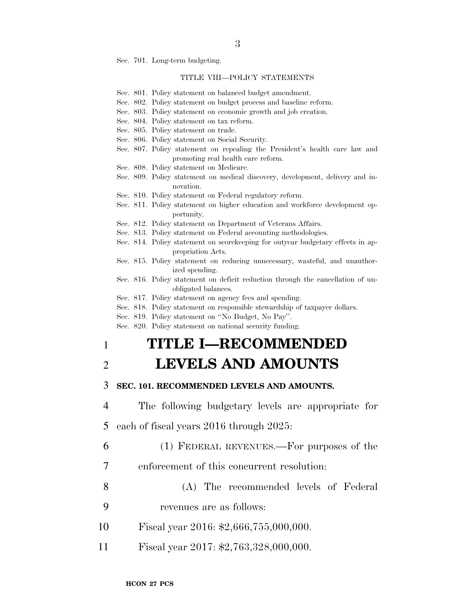Sec. 701. Long-term budgeting.

#### TITLE VIII—POLICY STATEMENTS

- Sec. 801. Policy statement on balanced budget amendment.
- Sec. 802. Policy statement on budget process and baseline reform.
- Sec. 803. Policy statement on economic growth and job creation.
- Sec. 804. Policy statement on tax reform.
- Sec. 805. Policy statement on trade.
- Sec. 806. Policy statement on Social Security.
- Sec. 807. Policy statement on repealing the President's health care law and promoting real health care reform.
- Sec. 808. Policy statement on Medicare.
- Sec. 809. Policy statement on medical discovery, development, delivery and innovation.
- Sec. 810. Policy statement on Federal regulatory reform.
- Sec. 811. Policy statement on higher education and workforce development opportunity.
- Sec. 812. Policy statement on Department of Veterans Affairs.
- Sec. 813. Policy statement on Federal accounting methodologies.
- Sec. 814. Policy statement on scorekeeping for outyear budgetary effects in appropriation Acts.
- Sec. 815. Policy statement on reducing unnecessary, wasteful, and unauthorized spending.
- Sec. 816. Policy statement on deficit reduction through the cancellation of unobligated balances.
- Sec. 817. Policy statement on agency fees and spending.
- Sec. 818. Policy statement on responsible stewardship of taxpayer dollars.
- Sec. 819. Policy statement on ''No Budget, No Pay''.
- Sec. 820. Policy statement on national security funding.

### 1 **TITLE I—RECOMMENDED**

### 2 **LEVELS AND AMOUNTS**

### 3 **SEC. 101. RECOMMENDED LEVELS AND AMOUNTS.**

- 4 The following budgetary levels are appropriate for
- 5 each of fiscal years 2016 through 2025:
- 6 (1) FEDERAL REVENUES.—For purposes of the
- 7 enforcement of this concurrent resolution:
- 8 (A) The recommended levels of Federal
- 9 revenues are as follows:
- 10 Fiscal year 2016: \$2,666,755,000,000.
- 11 Fiscal year 2017: \$2,763,328,000,000.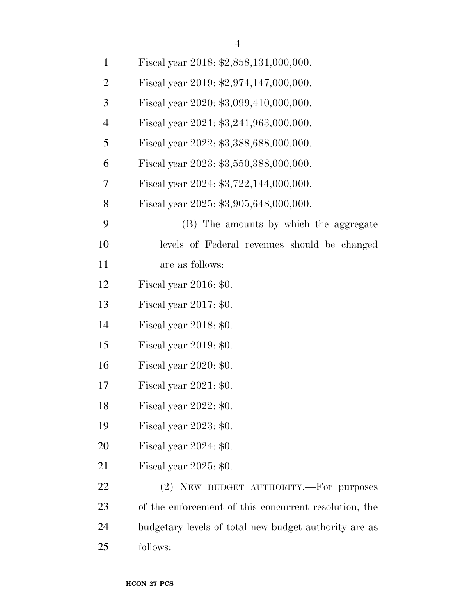| $\mathbf{1}$   | Fiscal year 2018: \$2,858,131,000,000.                |
|----------------|-------------------------------------------------------|
| $\overline{2}$ | Fiscal year 2019: $$2,974,147,000,000$ .              |
| 3              | Fiscal year 2020: \$3,099,410,000,000.                |
| $\overline{4}$ | Fiscal year 2021: \$3,241,963,000,000.                |
| 5              | Fiscal year 2022: \$3,388,688,000,000.                |
| 6              | Fiscal year 2023: \$3,550,388,000,000.                |
| 7              | Fiscal year 2024: \$3,722,144,000,000.                |
| 8              | Fiscal year 2025: \$3,905,648,000,000.                |
| 9              | (B) The amounts by which the aggregate                |
| 10             | levels of Federal revenues should be changed          |
| 11             | are as follows:                                       |
| 12             | Fiscal year $2016: $0.$                               |
| 13             | Fiscal year $2017: $0.$                               |
| 14             | Fiscal year $2018: $0.$                               |
| 15             | Fiscal year $2019: $0.$                               |
| 16             | Fiscal year $2020: $0.$                               |
| 17             | Fiscal year $2021: $0.$                               |
| 18             | Fiscal year 2022: \$0.                                |
| 19             | Fiscal year $2023: $0.$                               |
| 20             | Fiscal year $2024: $0.$                               |
| 21             | Fiscal year $2025: $0.$                               |
| 22             | (2) NEW BUDGET AUTHORITY.—For purposes                |
| 23             | of the enforcement of this concurrent resolution, the |
| 24             | budgetary levels of total new budget authority are as |
| 25             | follows:                                              |
|                |                                                       |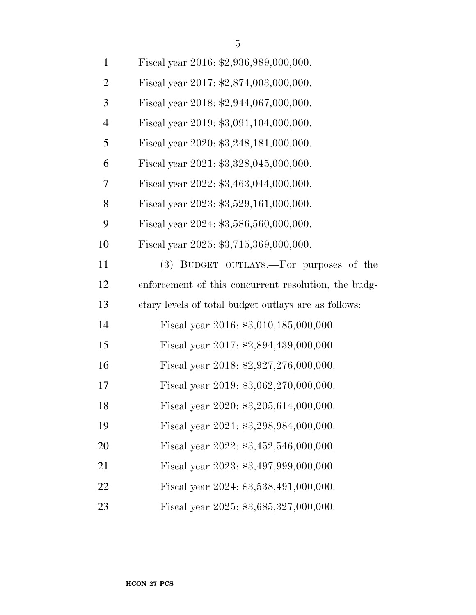| $\mathbf{1}$   | Fiscal year 2016: \$2,936,989,000,000. |
|----------------|----------------------------------------|
| $\overline{2}$ | Fiscal year 2017: \$2,874,003,000,000. |
| 3              | Fiscal year 2018: \$2,944,067,000,000. |
| $\overline{4}$ | Fiscal year 2019: \$3,091,104,000,000. |
| 5              | Fiscal year 2020: \$3,248,181,000,000. |
| 6              | Fiscal year 2021: \$3,328,045,000,000. |
| 7              | Fiscal year 2022: \$3,463,044,000,000. |
| 8              | Fiscal year 2023: \$3,529,161,000,000. |
|                |                                        |

- Fiscal year 2024: \$3,586,560,000,000.
- Fiscal year 2025: \$3,715,369,000,000.

 (3) BUDGET OUTLAYS.—For purposes of the enforcement of this concurrent resolution, the budg-etary levels of total budget outlays are as follows:

- Fiscal year 2016: \$3,010,185,000,000.
- Fiscal year 2017: \$2,894,439,000,000.
- Fiscal year 2018: \$2,927,276,000,000.
- Fiscal year 2019: \$3,062,270,000,000.
- Fiscal year 2020: \$3,205,614,000,000.
- Fiscal year 2021: \$3,298,984,000,000.
- Fiscal year 2022: \$3,452,546,000,000.
- Fiscal year 2023: \$3,497,999,000,000.
- Fiscal year 2024: \$3,538,491,000,000.
- Fiscal year 2025: \$3,685,327,000,000.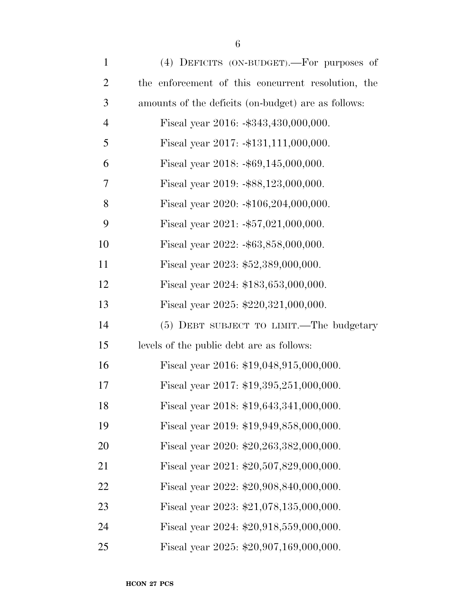| $\mathbf{1}$   | (4) DEFICITS (ON-BUDGET).—For purposes of           |
|----------------|-----------------------------------------------------|
| $\overline{2}$ | the enforcement of this concurrent resolution, the  |
| $\mathfrak{Z}$ | amounts of the deficits (on-budget) are as follows: |
| $\overline{4}$ | Fiscal year $2016: -\$343,430,000,000.$             |
| 5              | Fiscal year 2017: -\$131,111,000,000.               |
| 6              | Fiscal year $2018: -\$69,145,000,000.$              |
| 7              | Fiscal year 2019: -\$88,123,000,000.                |
| 8              | Fiscal year 2020: -\$106,204,000,000.               |
| 9              | Fiscal year $2021: -\$57,021,000,000.$              |
| 10             | Fiscal year $2022: -\$63,858,000,000.$              |
| 11             | Fiscal year 2023: \$52,389,000,000.                 |
| 12             | Fiscal year 2024: \$183,653,000,000.                |
| 13             | Fiscal year 2025: \$220,321,000,000.                |
| 14             | (5) DEBT SUBJECT TO LIMIT.—The budgetary            |
| 15             | levels of the public debt are as follows:           |
| 16             | Fiscal year 2016: \$19,048,915,000,000.             |
| 17             | Fiscal year 2017: \$19,395,251,000,000.             |
| 18             | Fiscal year 2018: \$19,643,341,000,000.             |
| 19             | Fiscal year 2019: \$19,949,858,000,000.             |
| 20             | Fiscal year 2020: \$20,263,382,000,000.             |
| 21             | Fiscal year 2021: \$20,507,829,000,000.             |
| 22             | Fiscal year 2022: \$20,908,840,000,000.             |
| 23             | Fiscal year 2023: \$21,078,135,000,000.             |
| 24             | Fiscal year 2024: \$20,918,559,000,000.             |
| 25             | Fiscal year 2025: \$20,907,169,000,000.             |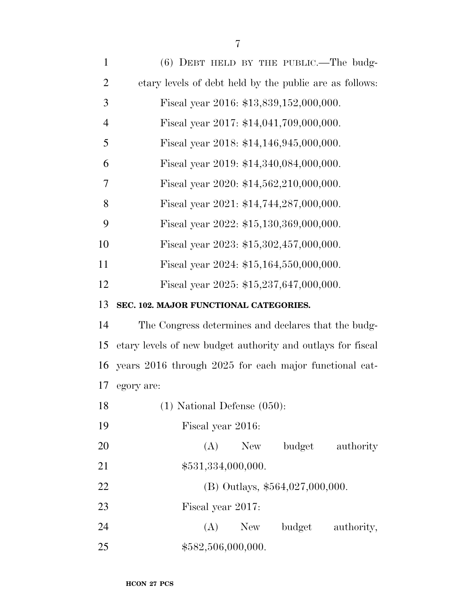| $\mathbf{1}$   | $(6)$ DEBT HELD BY THE PUBLIC.—The budg-                    |
|----------------|-------------------------------------------------------------|
| $\overline{2}$ | etary levels of debt held by the public are as follows:     |
| 3              | Fiscal year 2016: \$13,839,152,000,000.                     |
| $\overline{4}$ | Fiscal year 2017: \$14,041,709,000,000.                     |
| 5              | Fiscal year 2018: \$14,146,945,000,000.                     |
| 6              | Fiscal year 2019: \$14,340,084,000,000.                     |
| 7              | Fiscal year 2020: \$14,562,210,000,000.                     |
| 8              | Fiscal year 2021: \$14,744,287,000,000.                     |
| 9              | Fiscal year 2022: \$15,130,369,000,000.                     |
| 10             | Fiscal year 2023: $$15,302,457,000,000$ .                   |
| 11             | Fiscal year 2024: \$15,164,550,000,000.                     |
| 12             | Fiscal year 2025: \$15,237,647,000,000.                     |
| 13             | SEC. 102. MAJOR FUNCTIONAL CATEGORIES.                      |
| 14             | The Congress determines and declares that the budg-         |
| 15             | etary levels of new budget authority and outlays for fiscal |
| 16             | years 2016 through 2025 for each major functional cat-      |
| 17             | egory are:                                                  |
| 18             | $(1)$ National Defense $(050)$ :                            |
| 19             | Fiscal year 2016:                                           |
| 20             | (A)<br>budget<br>New<br>authority                           |
| 21             | \$531,334,000,000.                                          |
| 22             | (B) Outlays, \$564,027,000,000.                             |
| 23             | Fiscal year 2017:                                           |
| 24             | (A)<br>budget<br>authority,<br>New                          |
| 25             | \$582,506,000,000.                                          |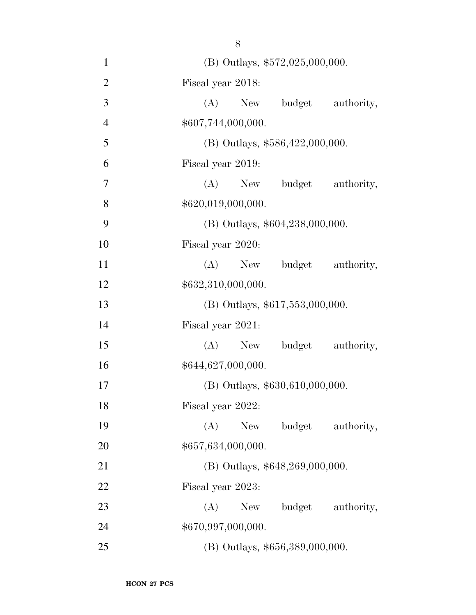1 (B) Outlays,  $$572,025,000,000$ . Fiscal year 2018: (A) New budget authority,  $$607,744,000,000.$ 5 (B) Outlays,  $$586,422,000,000$ . Fiscal year 2019: (A) New budget authority,  $$620,019,000,000.$ 9 (B) Outlays,  $$604,238,000,000$ . Fiscal year 2020: 11 (A) New budget authority,  $$632,310,000,000.$  (B) Outlays, \$617,553,000,000. Fiscal year 2021: 15 (A) New budget authority,  $$644,627,000,000.$  (B) Outlays, \$630,610,000,000. Fiscal year 2022: (A) New budget authority,  $$657,634,000,000.$ 21 (B) Outlays, \$648,269,000,000. Fiscal year 2023: 23 (A) New budget authority, \$670,997,000,000. (B) Outlays, \$656,389,000,000.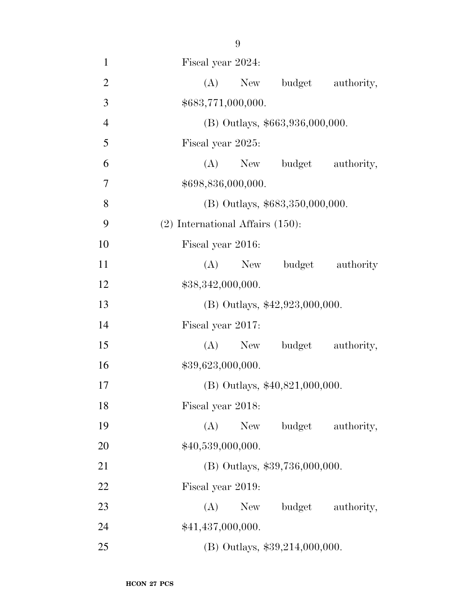Fiscal year 2024: 2 (A) New budget authority, \$683,771,000,000. (B) Outlays, \$663,936,000,000. Fiscal year 2025: (A) New budget authority, \$698,836,000,000. 8 (B) Outlays,  $$683,350,000,000$ . (2) International Affairs (150): Fiscal year 2016: (A) New budget authority  $$38,342,000,000.$  (B) Outlays, \$42,923,000,000. Fiscal year 2017: (A) New budget authority,  $$39,623,000,000.$  (B) Outlays, \$40,821,000,000. Fiscal year 2018: (A) New budget authority,  $$40,539,000,000.$  (B) Outlays, \$39,736,000,000. Fiscal year 2019: 23 (A) New budget authority, 24 \$41,437,000,000. (B) Outlays, \$39,214,000,000.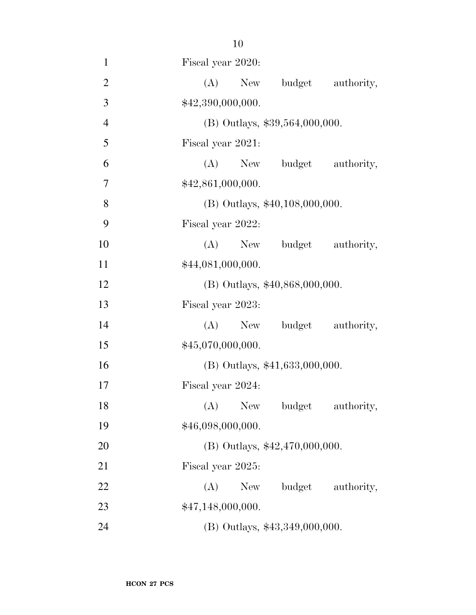| $\mathbf{1}$   | Fiscal year 2020:                  |
|----------------|------------------------------------|
| $\overline{2}$ | (A)<br>budget<br>New<br>authority, |
| 3              | \$42,390,000,000.                  |
| $\overline{4}$ | $(B)$ Outlays, \$39,564,000,000.   |
| 5              | Fiscal year 2021:                  |
| 6              | budget authority,<br>$(A)$ New     |
| $\tau$         | \$42,861,000,000.                  |
| 8              | (B) Outlays, \$40,108,000,000.     |
| 9              | Fiscal year 2022:                  |
| 10             | (A)<br>budget authority,<br>New    |
| 11             | \$44,081,000,000.                  |
| 12             | (B) Outlays, \$40,868,000,000.     |
| 13             | Fiscal year 2023:                  |
| 14             | (A) New budget authority,          |
| 15             | \$45,070,000,000.                  |
| 16             | (B) Outlays, \$41,633,000,000.     |
| 17             | Fiscal year 2024:                  |
| 18             | (A) New budget authority,          |
| 19             | \$46,098,000,000.                  |
| <b>20</b>      | $(B)$ Outlays, \$42,470,000,000.   |
| 21             | Fiscal year 2025:                  |
| 22             | budget authority,<br>(A)<br>New    |
| 23             | \$47,148,000,000.                  |
| 24             | (B) Outlays, \$43,349,000,000.     |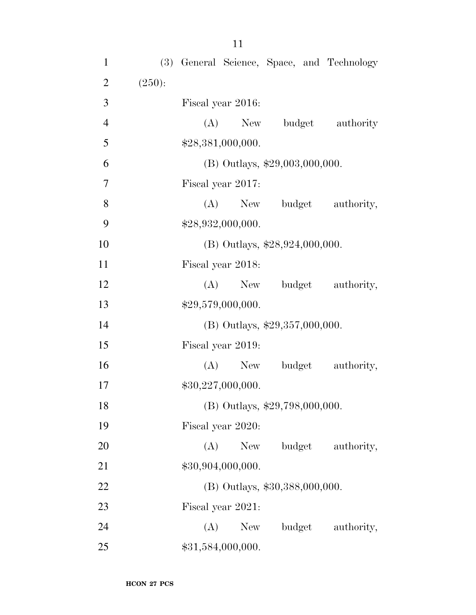| $\mathbf{1}$   |        |     |                   |                                  | (3) General Science, Space, and Technology |
|----------------|--------|-----|-------------------|----------------------------------|--------------------------------------------|
| $\overline{2}$ | (250): |     |                   |                                  |                                            |
| 3              |        |     | Fiscal year 2016: |                                  |                                            |
| $\overline{4}$ |        |     | $(A)$ New         |                                  | budget authority                           |
| 5              |        |     | \$28,381,000,000. |                                  |                                            |
| 6              |        |     |                   | $(B)$ Outlays, \$29,003,000,000. |                                            |
| $\overline{7}$ |        |     | Fiscal year 2017: |                                  |                                            |
| 8              |        |     | $(A)$ New         |                                  | budget authority,                          |
| 9              |        |     | \$28,932,000,000. |                                  |                                            |
| 10             |        |     |                   | (B) Outlays, $$28,924,000,000$ . |                                            |
| 11             |        |     | Fiscal year 2018: |                                  |                                            |
| 12             |        |     | $(A)$ New         | budget                           | authority,                                 |
| 13             |        |     | \$29,579,000,000. |                                  |                                            |
| 14             |        |     |                   | (B) Outlays, $$29,357,000,000$ . |                                            |
| 15             |        |     | Fiscal year 2019: |                                  |                                            |
| 16             |        |     | (A)<br>New        | budget                           | authority,                                 |
| 17             |        |     | \$30,227,000,000. |                                  |                                            |
| 18             |        |     |                   | (B) Outlays, \$29,798,000,000.   |                                            |
| 19             |        |     | Fiscal year 2020: |                                  |                                            |
| 20             |        | (A) | New               |                                  | budget authority,                          |
| 21             |        |     | \$30,904,000,000. |                                  |                                            |
| 22             |        |     |                   | (B) Outlays, \$30,388,000,000.   |                                            |
| 23             |        |     | Fiscal year 2021: |                                  |                                            |
| 24             |        | (A) | New               | budget                           | authority,                                 |
| 25             |        |     | \$31,584,000,000. |                                  |                                            |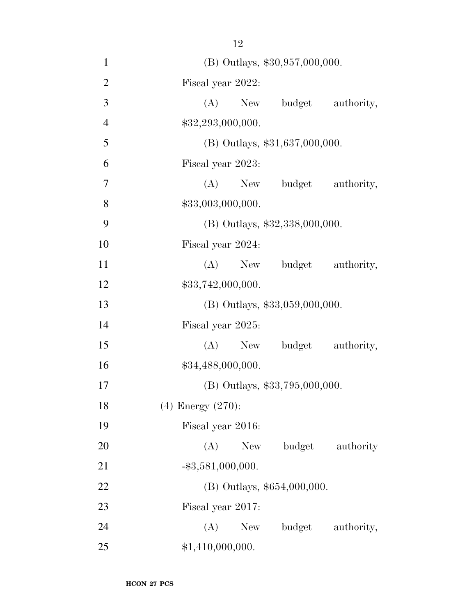(B) Outlays, \$30,957,000,000. Fiscal year 2022: (A) New budget authority,  $$32,293,000,000.$ 5 (B) Outlays, \$31,637,000,000. Fiscal year 2023: (A) New budget authority, 8 \$33,003,000,000. (B) Outlays, \$32,338,000,000. Fiscal year 2024: 11 (A) New budget authority,  $$33,742,000,000.$  (B) Outlays, \$33,059,000,000. Fiscal year 2025: (A) New budget authority,  $$34,488,000,000.$  (B) Outlays, \$33,795,000,000. (4) Energy (270): Fiscal year 2016: 20 (A) New budget authority  $-\$3,581,000,000$ . (B) Outlays, \$654,000,000. Fiscal year 2017: 24 (A) New budget authority, 25 \$1,410,000,000.

**HCON 27 PCS**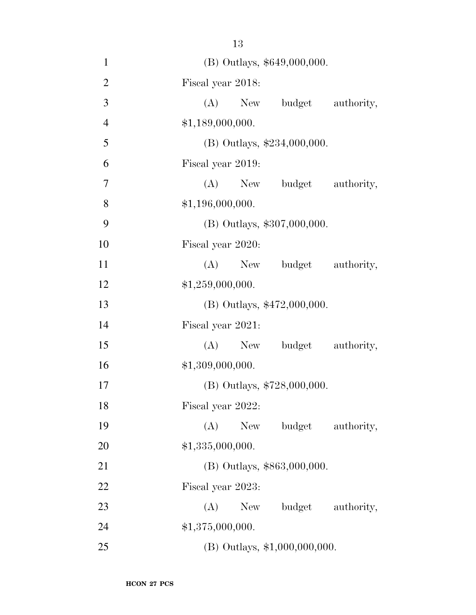(B) Outlays, \$649,000,000. Fiscal year 2018: (A) New budget authority, \$1,189,000,000. (B) Outlays, \$234,000,000. Fiscal year 2019: (A) New budget authority, 8 \$1,196,000,000. (B) Outlays, \$307,000,000. Fiscal year 2020: 11 (A) New budget authority,  $$1,259,000,000.$  (B) Outlays, \$472,000,000. Fiscal year 2021: (A) New budget authority,  $$1,309,000,000.$  (B) Outlays, \$728,000,000. Fiscal year 2022: (A) New budget authority, 20 \$1,335,000,000. (B) Outlays, \$863,000,000. Fiscal year 2023: 23 (A) New budget authority,

24 \$1,375,000,000.

(B) Outlays, \$1,000,000,000.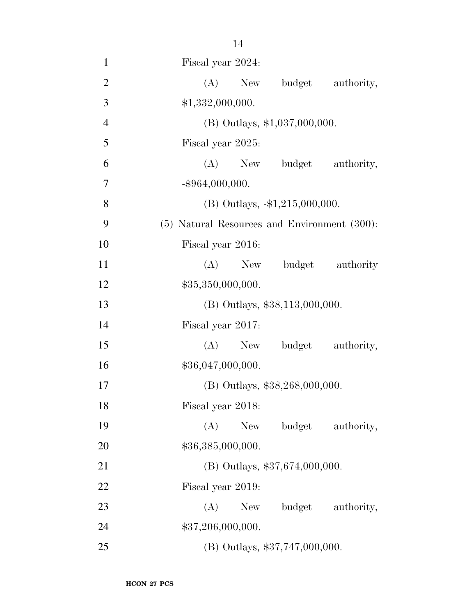| $\mathbf{1}$   | Fiscal year 2024:                            |
|----------------|----------------------------------------------|
| $\overline{2}$ | New budget<br>(A)<br>authority,              |
| 3              | \$1,332,000,000.                             |
| $\overline{4}$ | (B) Outlays, $$1,037,000,000$ .              |
| 5              | Fiscal year 2025:                            |
| 6              | (A) New budget<br>authority,                 |
| 7              | $-$ \$964,000,000.                           |
| 8              | (B) Outlays, $-1,215,000,000$ .              |
| 9              | (5) Natural Resources and Environment (300): |
| 10             | Fiscal year 2016:                            |
| 11             | (A)<br>budget authority<br>New               |
| 12             | \$35,350,000,000.                            |
| 13             | $(B)$ Outlays, \$38,113,000,000.             |
| 14             | Fiscal year 2017:                            |
| 15             | (A)<br>New budget<br>authority,              |
| 16             | \$36,047,000,000.                            |
| 17             | (B) Outlays, \$38,268,000,000.               |
| 18             | Fiscal year 2018:                            |
| 19             | (A)<br>budget<br>New<br>authority,           |
| 20             | \$36,385,000,000.                            |
| 21             | (B) Outlays, \$37,674,000,000.               |
| 22             | Fiscal year 2019:                            |
| 23             | (A)<br>New \,<br>budget authority,           |
| 24             | \$37,206,000,000.                            |
| 25             | (B) Outlays, \$37,747,000,000.               |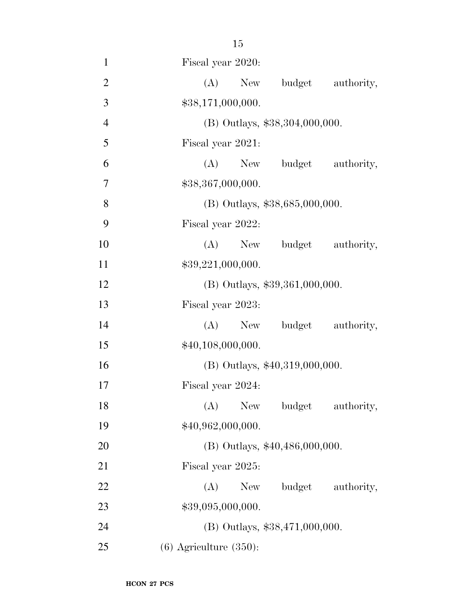| $\mathbf{1}$   | Fiscal year 2020:                  |
|----------------|------------------------------------|
| $\overline{2}$ | (A)<br>New<br>budget authority,    |
| 3              | \$38,171,000,000.                  |
| $\overline{4}$ | (B) Outlays, \$38,304,000,000.     |
| $\mathfrak{S}$ | Fiscal year 2021:                  |
| 6              | (A) New budget authority,          |
| 7              | \$38,367,000,000.                  |
| 8              | (B) Outlays, \$38,685,000,000.     |
| 9              | Fiscal year 2022:                  |
| 10             | $(A)$ New<br>budget authority,     |
| 11             | \$39,221,000,000.                  |
| 12             | $(B)$ Outlays, \$39,361,000,000.   |
| 13             | Fiscal year 2023:                  |
| 14             | New budget authority,<br>(A)       |
| 15             | \$40,108,000,000.                  |
| 16             | $(B)$ Outlays, \$40,319,000,000.   |
| 17             | Fiscal year 2024:                  |
| 18             | (A) New budget authority,          |
| 19             | \$40,962,000,000.                  |
| 20             | (B) Outlays, \$40,486,000,000.     |
| 21             | Fiscal year 2025:                  |
| 22             | budget<br>(A)<br>New<br>authority, |
| 23             | \$39,095,000,000.                  |
| 24             | (B) Outlays, \$38,471,000,000.     |
| 25             | $(6)$ Agriculture $(350)$ :        |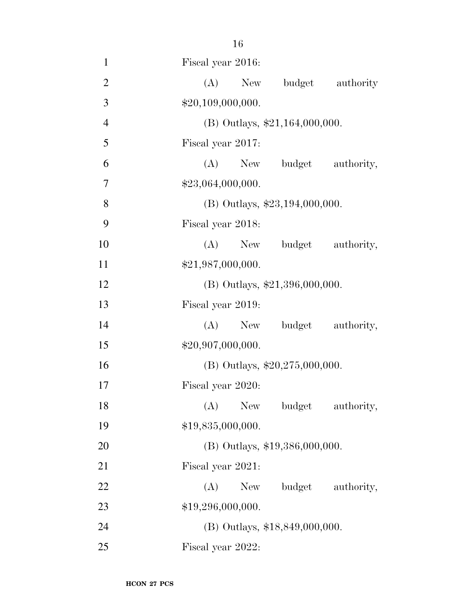| $\mathbf{1}$   | Fiscal year 2016:                |
|----------------|----------------------------------|
| $\overline{2}$ | (A)<br>budget authority<br>New   |
| 3              | \$20,109,000,000.                |
| $\overline{4}$ | (B) Outlays, \$21,164,000,000.   |
| 5              | Fiscal year 2017:                |
| 6              | (A)<br>New budget authority,     |
| 7              | \$23,064,000,000.                |
| 8              | $(B)$ Outlays, \$23,194,000,000. |
| 9              | Fiscal year 2018:                |
| 10             | (A) New budget authority,        |
| 11             | \$21,987,000,000.                |
| 12             | $(B)$ Outlays, \$21,396,000,000. |
| 13             | Fiscal year 2019:                |
| 14             | (A) New budget authority,        |
| 15             | \$20,907,000,000.                |
| 16             | (B) Outlays, $$20,275,000,000$ . |
| 17             | Fiscal year 2020:                |
| 18             | (A) New budget authority,        |
| 19             | \$19,835,000,000.                |
| 20             | (B) Outlays, \$19,386,000,000.   |
| 21             | Fiscal year 2021:                |
| 22             | (A)<br>budget authority,<br>New  |
| 23             | \$19,296,000,000.                |
| 24             | (B) Outlays, \$18,849,000,000.   |
| 25             | Fiscal year 2022:                |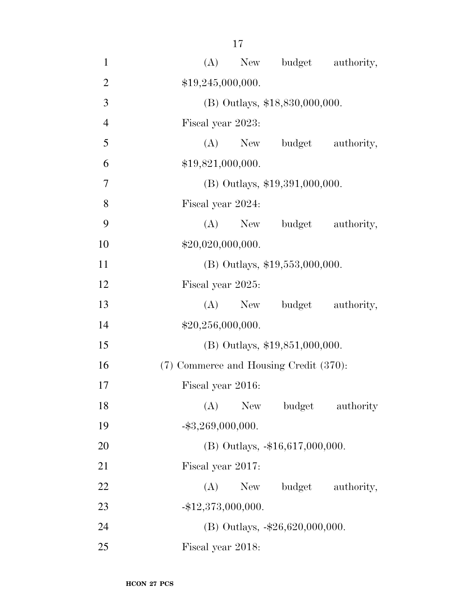| $\mathbf{1}$   | budget authority,<br>(A)<br>New        |
|----------------|----------------------------------------|
| $\overline{2}$ | \$19,245,000,000.                      |
| $\overline{3}$ | (B) Outlays, \$18,830,000,000.         |
| $\overline{4}$ | Fiscal year 2023:                      |
| 5              | $(A)$ New<br>budget authority,         |
| 6              | \$19,821,000,000.                      |
| $\overline{7}$ | $(B)$ Outlays, \$19,391,000,000.       |
| 8              | Fiscal year 2024:                      |
| 9              | (A)<br>budget authority,<br>New        |
| 10             | \$20,020,000,000.                      |
| 11             | $(B)$ Outlays, \$19,553,000,000.       |
| 12             | Fiscal year 2025:                      |
| 13             | budget authority,<br>(A)<br>New        |
| 14             | \$20,256,000,000.                      |
| 15             | $(B)$ Outlays, \$19,851,000,000.       |
| 16             | (7) Commerce and Housing Credit (370): |
| 17             | Fiscal year 2016:                      |
| 18             | (A)<br>New<br>budget authority         |
| 19             | $-$ \$3,269,000,000.                   |
| 20             | (B) Outlays, -\$16,617,000,000.        |
| 21             | Fiscal year 2017:                      |
| 22             | budget authority,<br>(A)<br>New        |
| 23             | $-$ \$12,373,000,000.                  |
| 24             | (B) Outlays, $-26,620,000,000$ .       |
| 25             | Fiscal year 2018:                      |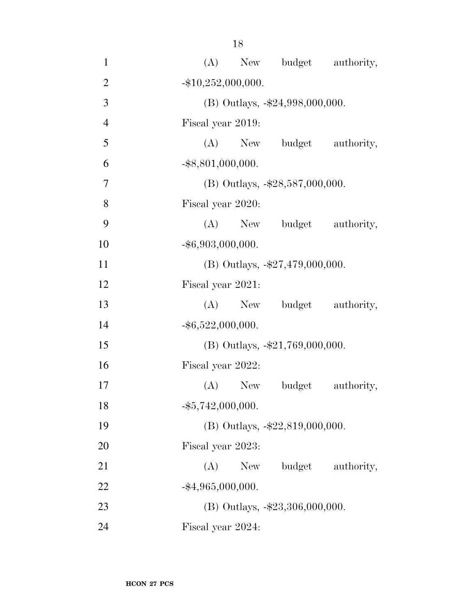| $\mathbf{1}$   | (A) New budget authority,          |
|----------------|------------------------------------|
| $\overline{2}$ | $-$ \$10,252,000,000.              |
| 3              | (B) Outlays, $-\$24,998,000,000$ . |
| $\overline{4}$ | Fiscal year 2019:                  |
| 5              | (A) New budget authority,          |
| 6              | $-$ \$8,801,000,000.               |
| $\overline{7}$ | (B) Outlays, $-\$28,587,000,000$ . |
| 8              | Fiscal year 2020:                  |
| 9              | (A) New budget authority,          |
| 10             | $-$ \$6,903,000,000.               |
| 11             | (B) Outlays, $-27,479,000,000$ .   |
| 12             | Fiscal year 2021:                  |
| 13             | (A) New budget authority,          |
| 14             | $-$ \$6,522,000,000.               |
| 15             | (B) Outlays, $-\$21,769,000,000$ . |
| 16             | Fiscal year 2022:                  |
| 17             | $(A)$ New<br>budget<br>authority,  |
| 18             | $-$ \$5,742,000,000.               |
| 19             | (B) Outlays, -\$22,819,000,000.    |
| 20             | Fiscal year 2023:                  |
| 21             | budget<br>(A)<br>New<br>authority, |
| 22             | $-$ \$4,965,000,000.               |
| 23             | (B) Outlays, -\$23,306,000,000.    |
| 24             | Fiscal year 2024:                  |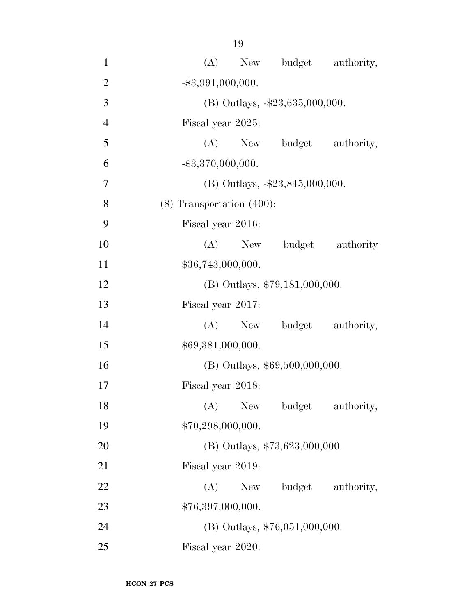| $\mathbf{1}$   | New budget authority,<br>(A)       |
|----------------|------------------------------------|
| $\overline{2}$ | $-$ \$3,991,000,000.               |
| 3              | (B) Outlays, $-\$23,635,000,000$ . |
| $\overline{4}$ | Fiscal year 2025:                  |
| 5              | (A) New budget authority,          |
| 6              | $-$ \$3,370,000,000.               |
| 7              | (B) Outlays, $-\$23,845,000,000$ . |
| 8              | $(8)$ Transportation $(400)$ :     |
| 9              | Fiscal year 2016:                  |
| 10             | (A)<br>budget authority<br>New     |
| 11             | \$36,743,000,000.                  |
| 12             | $(B)$ Outlays, \$79,181,000,000.   |
| 13             | Fiscal year 2017:                  |
| 14             | budget authority,<br>(A)<br>New    |
| 15             | \$69,381,000,000.                  |
| 16             | (B) Outlays, \$69,500,000,000.     |
| 17             | Fiscal year 2018:                  |
| 18             | (A)<br>New<br>budget<br>authority, |
| 19             | \$70,298,000,000.                  |
| 20             | (B) Outlays, $$73,623,000,000$ .   |
| 21             | Fiscal year 2019:                  |
| 22             | budget authority,<br>(A)<br>New    |
| 23             | \$76,397,000,000.                  |
| 24             | $(B)$ Outlays, \$76,051,000,000.   |
| 25             | Fiscal year 2020:                  |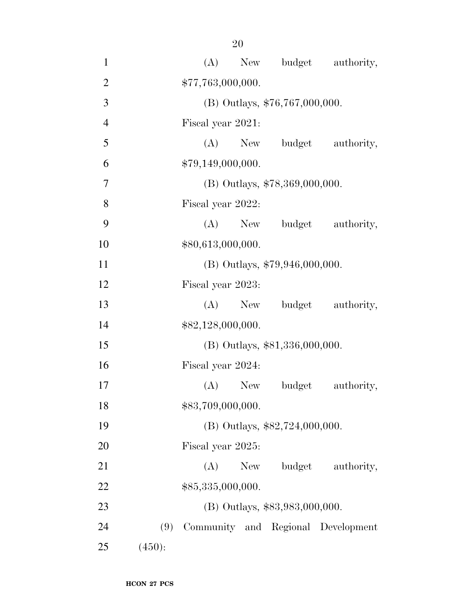| $\mathbf{1}$   |        | (A)               |     |                                | New budget authority,              |
|----------------|--------|-------------------|-----|--------------------------------|------------------------------------|
| $\mathbf{2}$   |        | \$77,763,000,000. |     |                                |                                    |
| 3              |        |                   |     | (B) Outlays, \$76,767,000,000. |                                    |
| $\overline{4}$ |        | Fiscal year 2021: |     |                                |                                    |
| 5              |        | (A)               | New |                                | budget authority,                  |
| 6              |        | \$79,149,000,000. |     |                                |                                    |
| 7              |        |                   |     | (B) Outlays, \$78,369,000,000. |                                    |
| 8              |        | Fiscal year 2022: |     |                                |                                    |
| 9              |        |                   |     |                                | (A) New budget authority,          |
| 10             |        | \$80,613,000,000. |     |                                |                                    |
| 11             |        |                   |     | (B) Outlays, \$79,946,000,000. |                                    |
| 12             |        | Fiscal year 2023: |     |                                |                                    |
| 13             |        |                   |     |                                | (A) New budget authority,          |
| 14             |        | \$82,128,000,000. |     |                                |                                    |
| 15             |        |                   |     | (B) Outlays, \$81,336,000,000. |                                    |
| 16             |        | Fiscal year 2024: |     |                                |                                    |
| 17             |        | $(A)$ New         |     | budget                         | authority,                         |
| 18             |        | \$83,709,000,000. |     |                                |                                    |
| 19             |        |                   |     | (B) Outlays, \$82,724,000,000. |                                    |
| 20             |        | Fiscal year 2025: |     |                                |                                    |
| 21             |        | (A)               | New | budget                         | authority,                         |
| 22             |        | \$85,335,000,000. |     |                                |                                    |
| 23             |        |                   |     | (B) Outlays, \$83,983,000,000. |                                    |
| 24             | (9)    |                   |     |                                | Community and Regional Development |
| 25             | (450): |                   |     |                                |                                    |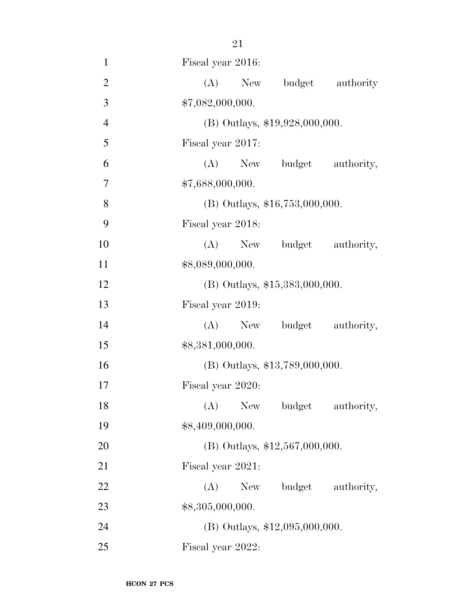| $\mathbf{1}$   | Fiscal year 2016:                  |
|----------------|------------------------------------|
| $\overline{2}$ | (A)<br>budget authority<br>New     |
| 3              | \$7,082,000,000.                   |
| $\overline{4}$ | (B) Outlays, \$19,928,000,000.     |
| 5              | Fiscal year 2017:                  |
| 6              | (A)<br>New budget authority,       |
| 7              | \$7,688,000,000.                   |
| 8              | $(B)$ Outlays, \$16,753,000,000.   |
| 9              | Fiscal year 2018:                  |
| 10             | (A) New budget authority,          |
| 11             | \$8,089,000,000.                   |
| 12             | $(B)$ Outlays, \$15,383,000,000.   |
| 13             | Fiscal year 2019:                  |
| 14             | (A) New budget authority,          |
| 15             | \$8,381,000,000.                   |
| 16             | (B) Outlays, \$13,789,000,000.     |
| 17             | Fiscal year 2020:                  |
| 18             | (A) New budget authority,          |
| 19             | \$8,409,000,000.                   |
| 20             | (B) Outlays, \$12,567,000,000.     |
| 21             | Fiscal year 2021:                  |
| 22             | (A)<br>budget<br>authority,<br>New |
| 23             | \$8,305,000,000.                   |
| 24             | $(B)$ Outlays, \$12,095,000,000.   |
| 25             | Fiscal year 2022:                  |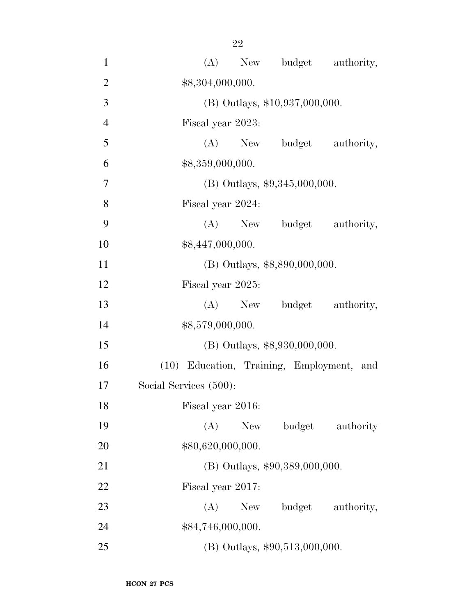| $\mathbf{1}$   | New budget authority,<br>(A)              |
|----------------|-------------------------------------------|
| $\overline{2}$ | \$8,304,000,000.                          |
| 3              | $(B)$ Outlays, \$10,937,000,000.          |
| $\overline{4}$ | Fiscal year 2023:                         |
| 5              | (A) New budget authority,                 |
| 6              | \$8,359,000,000.                          |
| $\overline{7}$ | (B) Outlays, $$9,345,000,000$ .           |
| 8              | Fiscal year 2024:                         |
| 9              | (A) New budget authority,                 |
| 10             | \$8,447,000,000.                          |
| 11             | (B) Outlays, \$8,890,000,000.             |
| 12             | Fiscal year 2025:                         |
| 13             | (A) New budget authority,                 |
| 14             | \$8,579,000,000.                          |
| 15             | (B) Outlays, \$8,930,000,000.             |
| 16             | (10) Education, Training, Employment, and |
| 17             | Social Services (500):                    |
| 18             | Fiscal year 2016:                         |
| 19             | (A)<br>budget<br><b>New</b><br>authority  |
| 20             | \$80,620,000,000.                         |
| 21             | (B) Outlays, \$90,389,000,000.            |
| 22             | Fiscal year 2017:                         |
| 23             | budget<br>(A)<br>authority,<br>New        |
| 24             | \$84,746,000,000.                         |
| 25             | $(B)$ Outlays, \$90,513,000,000.          |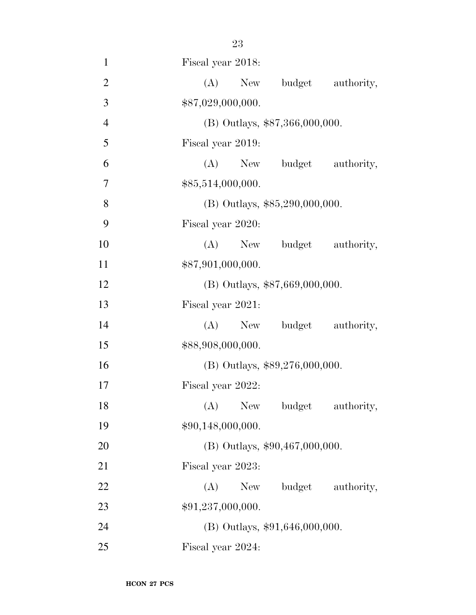| $\mathbf{1}$   | Fiscal year 2018:                  |
|----------------|------------------------------------|
| $\overline{2}$ | (A)<br>budget<br>New<br>authority, |
| 3              | \$87,029,000,000.                  |
| $\overline{4}$ | (B) Outlays, \$87,366,000,000.     |
| 5              | Fiscal year 2019:                  |
| 6              | (A)<br>New budget authority,       |
| 7              | \$85,514,000,000.                  |
| 8              | $(B)$ Outlays, \$85,290,000,000.   |
| 9              | Fiscal year 2020:                  |
| 10             | (A) New budget authority,          |
| 11             | \$87,901,000,000.                  |
| 12             | (B) Outlays, \$87,669,000,000.     |
| 13             | Fiscal year 2021:                  |
| 14             | budget authority,<br>$(A)$ New     |
| 15             | \$88,908,000,000.                  |
| 16             | (B) Outlays, \$89,276,000,000.     |
| 17             | Fiscal year 2022:                  |
| 18             | (A) New budget authority,          |
| 19             | \$90,148,000,000.                  |
| 20             | (B) Outlays, \$90,467,000,000.     |
| 21             | Fiscal year 2023:                  |
| 22             | $(A)$ New<br>budget authority,     |
| 23             | \$91,237,000,000.                  |
| 24             | $(B)$ Outlays, \$91,646,000,000.   |
| 25             | Fiscal year 2024:                  |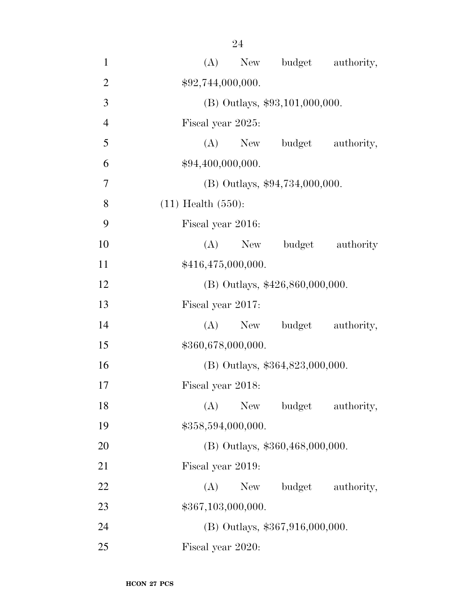| $\mathbf{1}$   | budget authority,<br>(A)<br>New    |
|----------------|------------------------------------|
| $\overline{2}$ | \$92,744,000,000.                  |
| 3              | (B) Outlays, \$93,101,000,000.     |
| $\overline{4}$ | Fiscal year 2025:                  |
| 5              | (A)<br>budget<br>authority,<br>New |
| 6              | \$94,400,000,000.                  |
| $\overline{7}$ | (B) Outlays, \$94,734,000,000.     |
| 8              | $(11)$ Health $(550)$ :            |
| 9              | Fiscal year 2016:                  |
| 10             | budget authority<br>(A)<br>New     |
| 11             | \$416,475,000,000.                 |
| 12             | (B) Outlays, \$426,860,000,000.    |
| 13             | Fiscal year 2017:                  |
| 14             | budget<br>(A)<br>New<br>authority, |
| 15             | \$360,678,000,000.                 |
| 16             | (B) Outlays, \$364,823,000,000.    |
| 17             | Fiscal year 2018:                  |
| 18             | (A) New budget<br>authority,       |
| 19             | \$358,594,000,000.                 |
| 20             | (B) Outlays, \$360,468,000,000.    |
| 21             | Fiscal year 2019:                  |
| 22             | budget authority,<br>New<br>(A)    |
| 23             | \$367,103,000,000.                 |
| 24             | (B) Outlays, \$367,916,000,000.    |
| 25             | Fiscal year 2020:                  |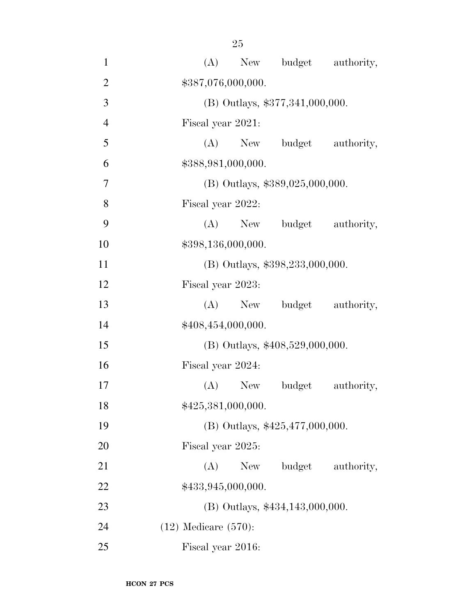| $\mathbf{1}$   | (A)<br>New budget authority,       |
|----------------|------------------------------------|
| $\overline{2}$ | \$387,076,000,000.                 |
| 3              | (B) Outlays, \$377,341,000,000.    |
| $\overline{4}$ | Fiscal year 2021:                  |
| 5              | (A) New budget authority,          |
| 6              | \$388,981,000,000.                 |
| 7              | $(B)$ Outlays, \$389,025,000,000.  |
| 8              | Fiscal year 2022:                  |
| 9              | (A) New budget authority,          |
| 10             | \$398,136,000,000.                 |
| 11             | (B) Outlays, \$398, 233, 000, 000. |
| 12             | Fiscal year 2023:                  |
| 13             | $(A)$ New<br>budget authority,     |
| 14             | \$408,454,000,000.                 |
| 15             | (B) Outlays, \$408,529,000,000.    |
| 16             | Fiscal year 2024:                  |
| 17             | $(A)$ New<br>budget<br>authority,  |
| 18             | \$425,381,000,000.                 |
| 19             | (B) Outlays, \$425,477,000,000.    |
| 20             | Fiscal year 2025:                  |
| 21             | budget<br>(A)<br>New<br>authority, |
| 22             | \$433,945,000,000.                 |
| 23             | (B) Outlays, \$434,143,000,000.    |
| 24             | $(12)$ Medicare $(570)$ :          |
| 25             | Fiscal year 2016:                  |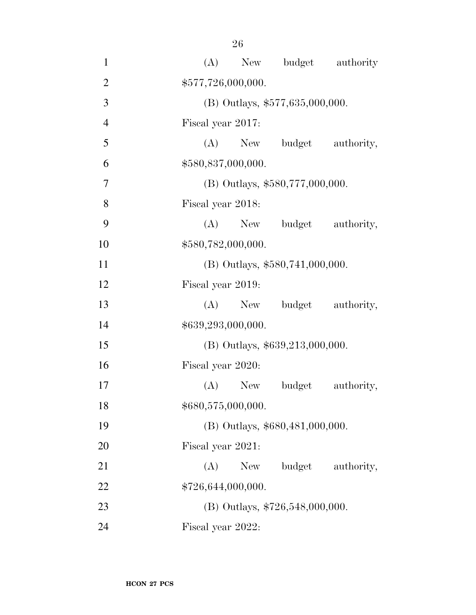| $\mathbf{1}$   |                    |           |                                   | (A) New budget authority |
|----------------|--------------------|-----------|-----------------------------------|--------------------------|
| $\overline{2}$ | \$577,726,000,000. |           |                                   |                          |
| 3              |                    |           | (B) Outlays, \$577,635,000,000.   |                          |
| $\overline{4}$ | Fiscal year 2017:  |           |                                   |                          |
| 5              | (A)                | New       |                                   | budget authority,        |
| 6              | \$580,837,000,000. |           |                                   |                          |
| $\overline{7}$ |                    |           | (B) Outlays, \$580,777,000,000.   |                          |
| 8              | Fiscal year 2018:  |           |                                   |                          |
| 9              | (A)                | New       |                                   | budget authority,        |
| 10             | \$580,782,000,000. |           |                                   |                          |
| 11             |                    |           | $(B)$ Outlays, \$580,741,000,000. |                          |
| 12             | Fiscal year 2019:  |           |                                   |                          |
| 13             |                    | $(A)$ New |                                   | budget authority,        |
| 14             | \$639,293,000,000. |           |                                   |                          |
| 15             |                    |           | (B) Outlays, \$639,213,000,000.   |                          |
| 16             | Fiscal year 2020:  |           |                                   |                          |
| 17             |                    | $(A)$ New | budget                            | authority,               |
| 18             | \$680,575,000,000. |           |                                   |                          |
| 19             |                    |           | (B) Outlays, \$680,481,000,000.   |                          |
| 20             | Fiscal year 2021:  |           |                                   |                          |
| 21             | (A)                | New       | budget                            | authority,               |
| 22             | \$726,644,000,000. |           |                                   |                          |
| 23             |                    |           | (B) Outlays, $$726,548,000,000$ . |                          |
| 24             | Fiscal year 2022:  |           |                                   |                          |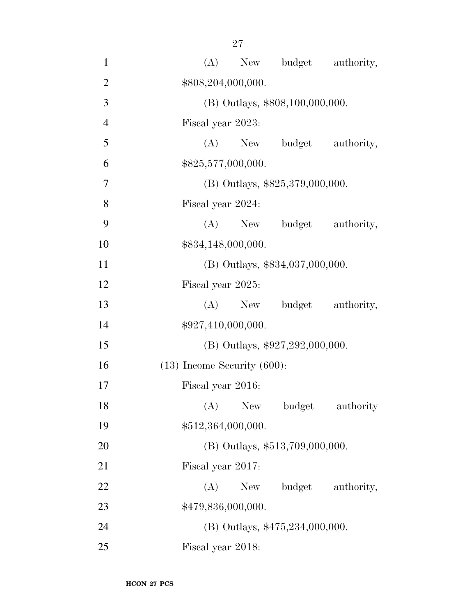| $\mathbf{1}$   | New budget authority,<br>(A)             |
|----------------|------------------------------------------|
| $\overline{2}$ | \$808,204,000,000.                       |
| 3              | (B) Outlays, \$808,100,000,000.          |
| $\overline{4}$ | Fiscal year 2023:                        |
| 5              | (A) New budget authority,                |
| 6              | \$825,577,000,000.                       |
| 7              | (B) Outlays, \$825,379,000,000.          |
| 8              | Fiscal year 2024:                        |
| 9              | (A) New budget authority,                |
| 10             | \$834,148,000,000.                       |
| 11             | (B) Outlays, \$834,037,000,000.          |
| 12             | Fiscal year 2025:                        |
| 13             | budget authority,<br>$(A)$ New           |
| 14             | \$927,410,000,000.                       |
| 15             | (B) Outlays, \$927,292,000,000.          |
| 16             | $(13)$ Income Security $(600)$ :         |
| 17             | Fiscal year 2016:                        |
| 18             | (A)<br><b>New</b><br>budget<br>authority |
| 19             | \$512,364,000,000.                       |
| 20             | (B) Outlays, \$513,709,000,000.          |
| 21             | Fiscal year 2017:                        |
| 22             | (A)<br>New<br>budget authority,          |
| 23             | \$479,836,000,000.                       |
| 24             | (B) Outlays, \$475,234,000,000.          |
| 25             | Fiscal year 2018:                        |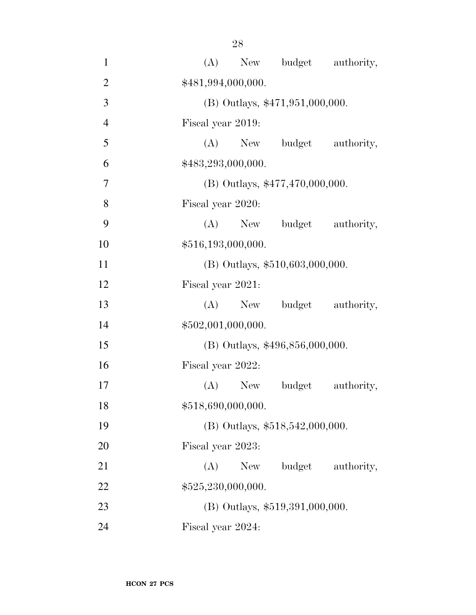| $\mathbf{1}$   | (A)                |           | New budget authority,             |                   |
|----------------|--------------------|-----------|-----------------------------------|-------------------|
| $\overline{2}$ | \$481,994,000,000. |           |                                   |                   |
| 3              |                    |           | (B) Outlays, \$471,951,000,000.   |                   |
| $\overline{4}$ | Fiscal year 2019:  |           |                                   |                   |
| 5              |                    |           | (A) New budget                    | authority,        |
| 6              | \$483,293,000,000. |           |                                   |                   |
| $\overline{7}$ |                    |           | (B) Outlays, \$477,470,000,000.   |                   |
| 8              | Fiscal year 2020:  |           |                                   |                   |
| 9              |                    | $(A)$ New | budget                            | authority,        |
| 10             | \$516,193,000,000. |           |                                   |                   |
| 11             |                    |           | $(B)$ Outlays, \$510,603,000,000. |                   |
| 12             | Fiscal year 2021:  |           |                                   |                   |
| 13             |                    | $(A)$ New |                                   | budget authority, |
| 14             | \$502,001,000,000. |           |                                   |                   |
| 15             |                    |           | (B) Outlays, \$496,856,000,000.   |                   |
| 16             | Fiscal year 2022:  |           |                                   |                   |
| 17             |                    | $(A)$ New | budget                            | authority,        |
| 18             | \$518,690,000,000. |           |                                   |                   |
| 19             |                    |           | $(B)$ Outlays, \$518,542,000,000. |                   |
| 20             | Fiscal year 2023:  |           |                                   |                   |
| 21             | (A)                | New       | budget                            | authority,        |
| 22             | \$525,230,000,000. |           |                                   |                   |
| 23             |                    |           | $(B)$ Outlays, \$519,391,000,000. |                   |
| 24             | Fiscal year 2024:  |           |                                   |                   |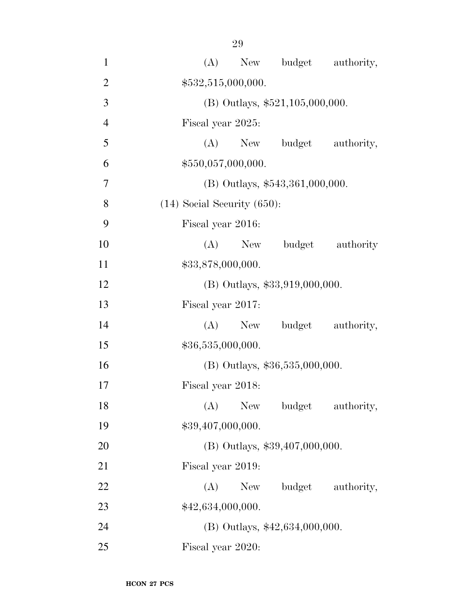| $\mathbf{1}$   | New budget authority,<br>(A)              |
|----------------|-------------------------------------------|
| $\overline{2}$ | \$532,515,000,000.                        |
| 3              | (B) Outlays, \$521,105,000,000.           |
| $\overline{4}$ | Fiscal year 2025:                         |
| 5              | $(A)$ New<br>budget<br>authority,         |
| 6              | \$550,057,000,000.                        |
| $\overline{7}$ | $(B)$ Outlays, \$543,361,000,000.         |
| 8              | $(14)$ Social Security $(650)$ :          |
| 9              | Fiscal year 2016:                         |
| 10             | (A)<br>budget authority<br>New            |
| 11             | \$33,878,000,000.                         |
| 12             | $(B)$ Outlays, \$33,919,000,000.          |
| 13             | Fiscal year 2017:                         |
| 14             | budget authority,<br>$(A)$ New            |
| 15             | \$36,535,000,000.                         |
| 16             | $(B)$ Outlays, \$36,535,000,000.          |
| 17             | Fiscal year 2018:                         |
| 18             | (A)<br><b>New</b><br>budget<br>authority, |
| 19             | \$39,407,000,000.                         |
| 20             | (B) Outlays, \$39,407,000,000.            |
| 21             | Fiscal year 2019:                         |
| 22             | (A)<br>budget authority,<br>New \,        |
| 23             | \$42,634,000,000.                         |
| 24             | $(B)$ Outlays, \$42,634,000,000.          |
| 25             | Fiscal year 2020:                         |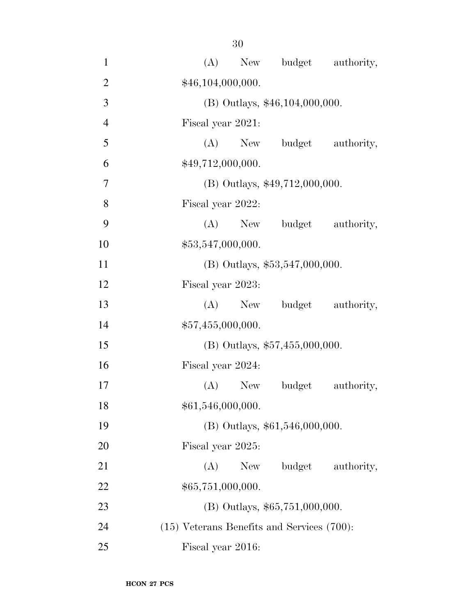| $\mathbf{1}$   | New budget authority,<br>(A)                    |
|----------------|-------------------------------------------------|
| $\overline{2}$ | \$46,104,000,000.                               |
| 3              | (B) Outlays, \$46,104,000,000.                  |
| $\overline{4}$ | Fiscal year 2021:                               |
| 5              | $(A)$ New<br>budget authority,                  |
| 6              | \$49,712,000,000.                               |
| $\overline{7}$ | (B) Outlays, \$49,712,000,000.                  |
| 8              | Fiscal year 2022:                               |
| 9              | budget authority,<br>$(A)$ New                  |
| 10             | \$53,547,000,000.                               |
| 11             | (B) Outlays, \$53,547,000,000.                  |
| 12             | Fiscal year 2023:                               |
| 13             | budget authority,<br>$(A)$ New                  |
| 14             | \$57,455,000,000.                               |
| 15             | (B) Outlays, $$57,455,000,000$ .                |
| 16             | Fiscal year 2024:                               |
| 17             | $(A)$ New<br>budget<br>authority,               |
| 18             | \$61,546,000,000.                               |
| 19             | $(B)$ Outlays, \$61,546,000,000.                |
| 20             | Fiscal year 2025:                               |
| 21             | budget<br>authority,<br>(A)<br>New              |
| 22             | \$65,751,000,000.                               |
| 23             | $(B)$ Outlays, \$65,751,000,000.                |
| 24             | $(15)$ Veterans Benefits and Services $(700)$ : |
| 25             | Fiscal year 2016:                               |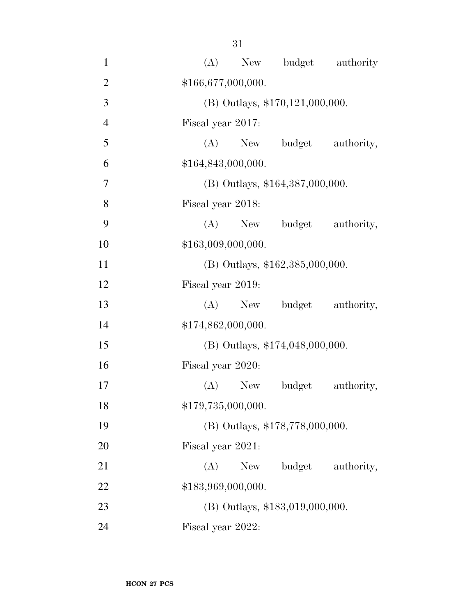| $\mathbf{1}$   | budget authority<br>(A)<br>New     |
|----------------|------------------------------------|
| $\overline{2}$ | \$166,677,000,000.                 |
| 3              | (B) Outlays, \$170,121,000,000.    |
| $\overline{4}$ | Fiscal year 2017:                  |
| 5              | (A)<br>budget<br>authority,<br>New |
| 6              | \$164,843,000,000.                 |
| 7              | (B) Outlays, \$164,387,000,000.    |
| 8              | Fiscal year 2018:                  |
| 9              | $(A)$ New<br>budget<br>authority,  |
| 10             | \$163,009,000,000.                 |
| 11             | $(B)$ Outlays, \$162,385,000,000.  |
| 12             | Fiscal year 2019:                  |
| 13             | $(A)$ New<br>budget<br>authority,  |
| 14             | \$174,862,000,000.                 |
| 15             | (B) Outlays, \$174,048,000,000.    |
| 16             | Fiscal year 2020:                  |
| 17             | $(A)$ New<br>budget<br>authority,  |
| 18             | \$179,735,000,000.                 |
| 19             | (B) Outlays, \$178,778,000,000.    |
| 20             | Fiscal year 2021:                  |
| 21             | (A)<br>budget<br>New<br>authority, |
| 22             | \$183,969,000,000.                 |
| 23             | (B) Outlays, \$183,019,000,000.    |
| 24             | Fiscal year 2022:                  |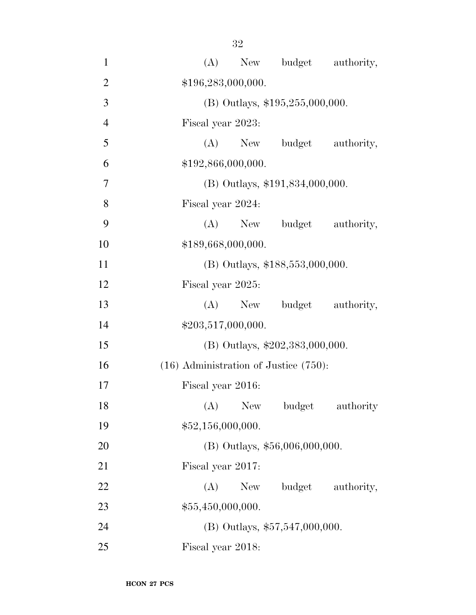| $\mathbf{1}$   | budget authority,<br>(A)<br>New            |
|----------------|--------------------------------------------|
| $\overline{2}$ | \$196,283,000,000.                         |
| 3              | (B) Outlays, $$195,255,000,000$ .          |
| $\overline{4}$ | Fiscal year 2023:                          |
| 5              | (A)<br>budget<br>authority,<br>New         |
| 6              | \$192,866,000,000.                         |
| $\overline{7}$ | (B) Outlays, \$191,834,000,000.            |
| 8              | Fiscal year 2024:                          |
| 9              | (A)<br>budget authority,<br>New            |
| 10             | \$189,668,000,000.                         |
| 11             | (B) Outlays, \$188,553,000,000.            |
| 12             | Fiscal year 2025:                          |
| 13             | budget authority,<br>(A)<br>New            |
| 14             | \$203,517,000,000.                         |
| 15             | (B) Outlays, \$202,383,000,000.            |
| 16             | $(16)$ Administration of Justice $(750)$ : |
| 17             | Fiscal year 2016:                          |
| 18             | (A)<br>New<br>budget<br>authority          |
| 19             | \$52,156,000,000.                          |
| 20             | (B) Outlays, \$56,006,000,000.             |
| 21             | Fiscal year 2017:                          |
| 22             | budget authority,<br>(A)<br>New            |
| 23             | \$55,450,000,000.                          |
| 24             | $(B)$ Outlays, \$57,547,000,000.           |
| 25             | Fiscal year 2018:                          |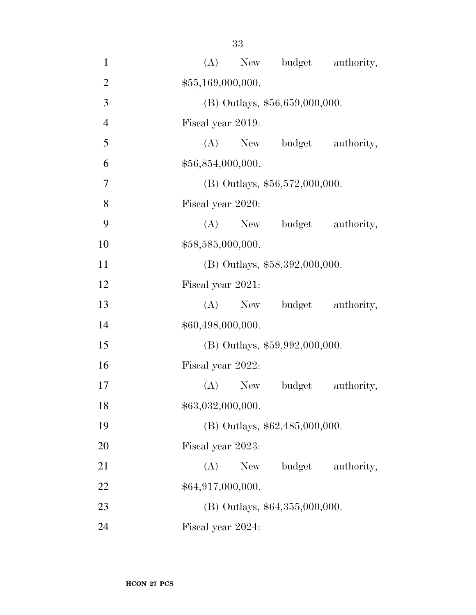| $\mathbf{1}$   | New budget authority,<br>(A)       |
|----------------|------------------------------------|
| $\overline{2}$ | \$55,169,000,000.                  |
| 3              | (B) Outlays, \$56,659,000,000.     |
| $\overline{4}$ | Fiscal year 2019:                  |
| 5              | $(A)$ New<br>budget authority,     |
| 6              | \$56,854,000,000.                  |
| $\overline{7}$ | (B) Outlays, $$56,572,000,000$ .   |
| 8              | Fiscal year 2020:                  |
| 9              | New budget authority,<br>(A)       |
| 10             | \$58,585,000,000.                  |
| 11             | $(B)$ Outlays, \$58,392,000,000.   |
| 12             | Fiscal year 2021:                  |
| 13             | budget authority,<br>$(A)$ New     |
| 14             | \$60,498,000,000.                  |
| 15             | (B) Outlays, \$59,992,000,000.     |
| 16             | Fiscal year 2022:                  |
| 17             | $(A)$ New<br>budget<br>authority,  |
| 18             | \$63,032,000,000.                  |
| 19             | (B) Outlays, \$62,485,000,000.     |
| 20             | Fiscal year 2023:                  |
| 21             | budget<br>authority,<br>(A)<br>New |
| 22             | \$64,917,000,000.                  |
| 23             | $(B)$ Outlays, \$64,355,000,000.   |
| 24             | Fiscal year 2024:                  |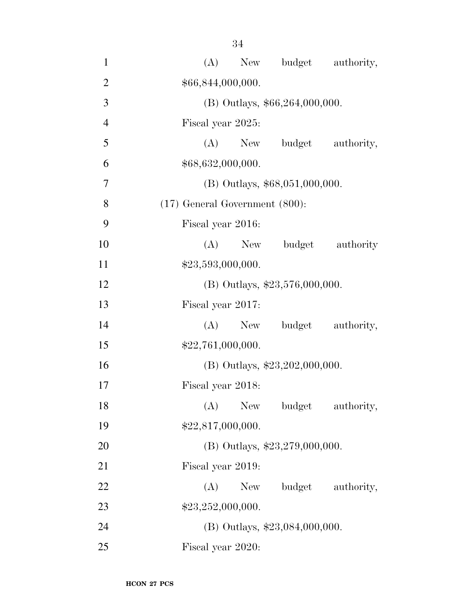| $\mathbf{1}$   | New budget authority,<br>(A)        |
|----------------|-------------------------------------|
| $\overline{2}$ | \$66,844,000,000.                   |
| 3              | $(B)$ Outlays, \$66,264,000,000.    |
| $\overline{4}$ | Fiscal year 2025:                   |
| 5              | (A)<br>New budget<br>authority,     |
| 6              | \$68,632,000,000.                   |
| $\tau$         | $(B)$ Outlays, \$68,051,000,000.    |
| 8              | $(17)$ General Government $(800)$ : |
| 9              | Fiscal year 2016:                   |
| 10             | (A)<br>budget authority<br>New      |
| 11             | \$23,593,000,000.                   |
| 12             | (B) Outlays, \$23,576,000,000.      |
| 13             | Fiscal year 2017:                   |
| 14             | (A)<br>budget<br>authority,<br>New  |
| 15             | \$22,761,000,000.                   |
| 16             | (B) Outlays, $$23,202,000,000$ .    |
| 17             | Fiscal year 2018:                   |
| 18             | $(A)$ New<br>budget<br>authority,   |
| 19             | \$22,817,000,000.                   |
| 20             | (B) Outlays, $$23,279,000,000$ .    |
| 21             | Fiscal year 2019:                   |
| 22             | (A)<br>New<br>budget authority,     |
| 23             | \$23,252,000,000.                   |
| 24             | $(B)$ Outlays, \$23,084,000,000.    |
| 25             | Fiscal year 2020:                   |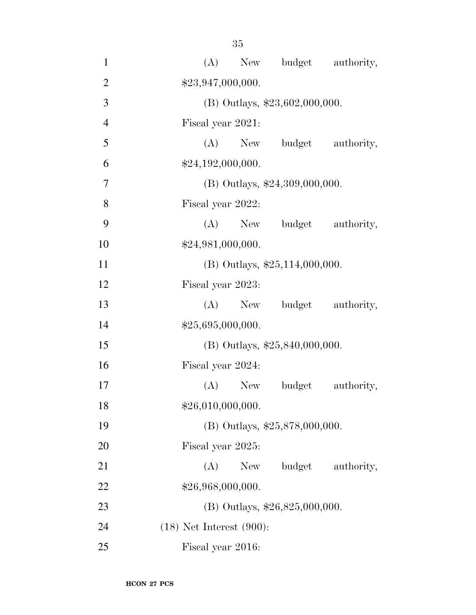| $\mathbf{1}$   | (A) New budget authority,          |
|----------------|------------------------------------|
| $\overline{2}$ | \$23,947,000,000.                  |
| 3              | (B) Outlays, $$23,602,000,000$ .   |
| $\overline{4}$ | Fiscal year 2021:                  |
| 5              | (A) New budget authority,          |
| 6              | \$24,192,000,000.                  |
| 7              | (B) Outlays, \$24,309,000,000.     |
| 8              | Fiscal year 2022:                  |
| 9              | (A) New budget authority,          |
| 10             | \$24,981,000,000.                  |
| 11             | (B) Outlays, \$25,114,000,000.     |
| 12             | Fiscal year 2023:                  |
| 13             | budget authority,<br>$(A)$ New     |
| 14             | \$25,695,000,000.                  |
| 15             | (B) Outlays, \$25,840,000,000.     |
| 16             | Fiscal year 2024:                  |
| 17             | $(A)$ New<br>budget<br>authority,  |
| 18             | \$26,010,000,000.                  |
| 19             | (B) Outlays, \$25,878,000,000.     |
| 20             | Fiscal year 2025:                  |
| 21             | budget<br>(A)<br>New<br>authority, |
| 22             | \$26,968,000,000.                  |
| 23             | (B) Outlays, $$26,825,000,000$ .   |
| 24             | $(18)$ Net Interest $(900)$ :      |
| 25             | Fiscal year 2016:                  |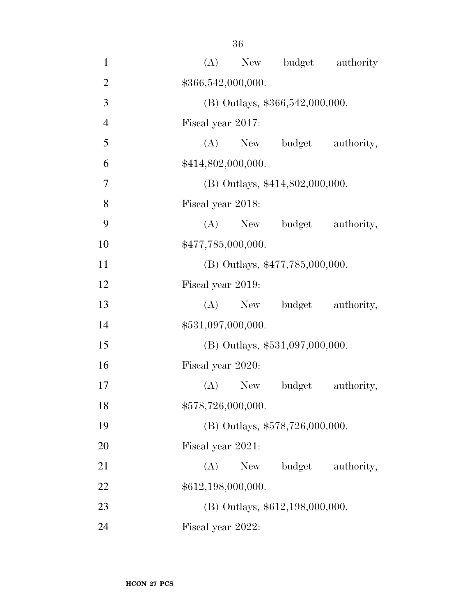| $\mathbf{1}$   | (A)<br>budget authority<br>New     |
|----------------|------------------------------------|
| $\overline{2}$ | \$366,542,000,000.                 |
| 3              | (B) Outlays, \$366,542,000,000.    |
| $\overline{4}$ | Fiscal year 2017:                  |
| 5              | (A)<br>budget<br>authority,<br>New |
| 6              | \$414,802,000,000.                 |
| 7              | (B) Outlays, \$414,802,000,000.    |
| 8              | Fiscal year 2018:                  |
| 9              | budget authority,<br>$(A)$ New     |
| 10             | \$477,785,000,000.                 |
| 11             | (B) Outlays, \$477,785,000,000.    |
| 12             | Fiscal year 2019:                  |
| 13             | $(A)$ New<br>budget<br>authority,  |
| 14             | \$531,097,000,000.                 |
| 15             | (B) Outlays, \$531,097,000,000.    |
| 16             | Fiscal year 2020:                  |
| 17             | $(A)$ New<br>budget<br>authority,  |
| 18             | \$578,726,000,000.                 |
| 19             | (B) Outlays, \$578,726,000,000.    |
| 20             | Fiscal year 2021:                  |
| 21             | (A)<br>budget<br>New<br>authority, |
| 22             | \$612,198,000,000.                 |
| 23             | (B) Outlays, \$612,198,000,000.    |
| 24             | Fiscal year 2022:                  |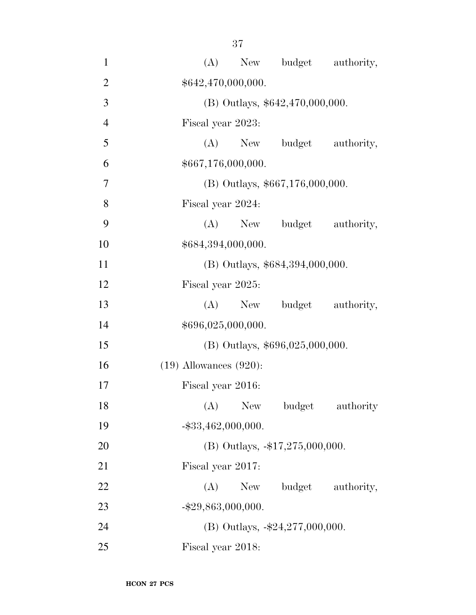| $\mathbf{1}$   | budget authority,<br>(A)<br>New          |
|----------------|------------------------------------------|
| $\overline{2}$ | \$642,470,000,000.                       |
| 3              | (B) Outlays, \$642,470,000,000.          |
| $\overline{4}$ | Fiscal year 2023:                        |
| 5              | $(A)$ New<br>budget<br>authority,        |
| 6              | \$667,176,000,000.                       |
| 7              | (B) Outlays, \$667,176,000,000.          |
| 8              | Fiscal year 2024:                        |
| 9              | (A)<br>budget authority,<br>New          |
| 10             | \$684,394,000,000.                       |
| 11             | (B) Outlays, \$684,394,000,000.          |
| 12             | Fiscal year 2025:                        |
| 13             | budget authority,<br>$(A)$ New           |
| 14             | \$696,025,000,000.                       |
| 15             | $(B)$ Outlays, \$696,025,000,000.        |
| 16             | $(19)$ Allowances $(920)$ :              |
| 17             | Fiscal year 2016:                        |
| 18             | (A)<br><b>New</b><br>authority<br>budget |
| 19             | $-$ \$33,462,000,000.                    |
| 20             | (B) Outlays, $-17,275,000,000$ .         |
| 21             | Fiscal year 2017:                        |
| 22             | (A)<br>New<br>budget authority,          |
| 23             | $-$ \$29,863,000,000.                    |
| 24             | (B) Outlays, $-\$24,277,000,000$ .       |
| 25             | Fiscal year 2018:                        |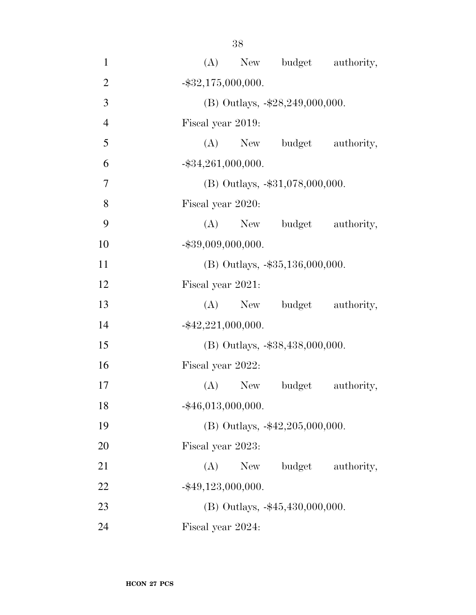| $\mathbf{1}$   | (A) New budget authority,            |
|----------------|--------------------------------------|
| $\overline{2}$ | $-$ \$32,175,000,000.                |
| 3              | (B) Outlays, -\$28,249,000,000.      |
| $\overline{4}$ | Fiscal year 2019:                    |
| 5              | (A) New budget authority,            |
| 6              | $-$ \$34,261,000,000.                |
| $\overline{7}$ | $(B)$ Outlays, $-$ \$31,078,000,000. |
| 8              | Fiscal year 2020:                    |
| 9              | (A) New budget authority,            |
| 10             | $-$ \$39,009,000,000.                |
| 11             | $(B)$ Outlays, $-\$35,136,000,000$ . |
| 12             | Fiscal year 2021:                    |
| 13             | (A) New budget authority,            |
| 14             | $-$ \$42,221,000,000.                |
| 15             | (B) Outlays, -\$38,438,000,000.      |
| 16             | Fiscal year 2022:                    |
| 17             | (A) New budget<br>authority,         |
| 18             | $-$ \$46,013,000,000.                |
| 19             | (B) Outlays, -\$42,205,000,000.      |
| 20             | Fiscal year 2023:                    |
| 21             | budget<br>authority,<br>$(A)$ New    |
| 22             | $-$ \$49,123,000,000.                |
| 23             | $(B)$ Outlays, $-45,430,000,000$ .   |
| 24             | Fiscal year 2024:                    |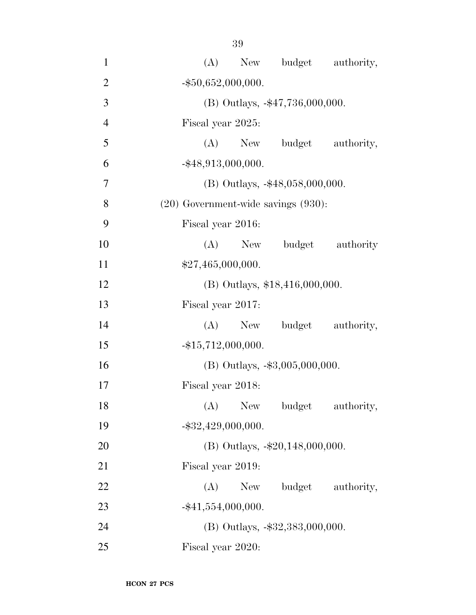| $\mathbf{1}$   | New budget authority,<br>(A)             |
|----------------|------------------------------------------|
| $\overline{2}$ | $-$ \$50,652,000,000.                    |
| 3              | (B) Outlays, -\$47,736,000,000.          |
| $\overline{4}$ | Fiscal year 2025:                        |
| 5              | (A) New budget authority,                |
| 6              | $-$ \$48,913,000,000.                    |
| 7              | $(B)$ Outlays, $-48,058,000,000$ .       |
| 8              | $(20)$ Government-wide savings $(930)$ : |
| 9              | Fiscal year 2016:                        |
| 10             | (A)<br>budget authority<br>New           |
| 11             | \$27,465,000,000.                        |
| 12             | (B) Outlays, \$18,416,000,000.           |
| 13             | Fiscal year 2017:                        |
| 14             | New budget authority,<br>(A)             |
| 15             | $-$ \$15,712,000,000.                    |
| 16             | $(B)$ Outlays, $-\$3,005,000,000$ .      |
| 17             | Fiscal year 2018:                        |
| 18             | $(A)$ New<br>budget<br>authority,        |
| 19             | $-$ \$32,429,000,000.                    |
| 20             | (B) Outlays, -\$20,148,000,000.          |
| 21             | Fiscal year 2019:                        |
| 22             | New budget authority,<br>(A)             |
| 23             | $-$ \$41,554,000,000.                    |
| 24             | (B) Outlays, -\$32,383,000,000.          |
| 25             | Fiscal year 2020:                        |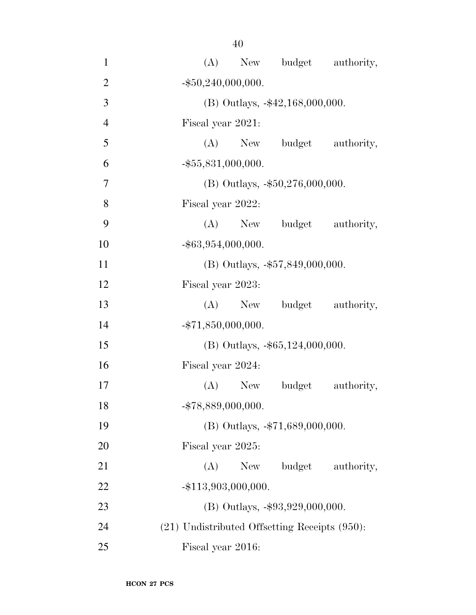| $\mathbf{1}$   | (A) New budget authority,                          |
|----------------|----------------------------------------------------|
| $\overline{2}$ | $-$ \$50,240,000,000.                              |
| 3              | $(B)$ Outlays, $-42,168,000,000$ .                 |
| $\overline{4}$ | Fiscal year 2021:                                  |
| 5              | (A) New budget authority,                          |
| 6              | $-$ \$55,831,000,000.                              |
| 7              | $(B)$ Outlays, $-\$50,276,000,000$ .               |
| 8              | Fiscal year 2022:                                  |
| 9              | (A) New budget authority,                          |
| 10             | $-$ \$63,954,000,000.                              |
| 11             | (B) Outlays, -\$57,849,000,000.                    |
| 12             | Fiscal year 2023:                                  |
| 13             | budget authority,<br>$(A)$ New                     |
| 14             | $-$ \$71,850,000,000.                              |
| 15             | $(B)$ Outlays, $-$ \$65,124,000,000.               |
| 16             | Fiscal year 2024:                                  |
| 17             | (A) New budget<br>authority,                       |
| 18             | $-$ \$78,889,000,000.                              |
| 19             | (B) Outlays, -\$71,689,000,000.                    |
| 20             | Fiscal year 2025:                                  |
| 21             | budget<br>(A)<br>New<br>authority,                 |
| 22             | $-$ \$113,903,000,000.                             |
| 23             | $(B)$ Outlays, $-\$93,929,000,000$ .               |
| 24             | $(21)$ Undistributed Offsetting Receipts $(950)$ : |
| 25             | Fiscal year 2016:                                  |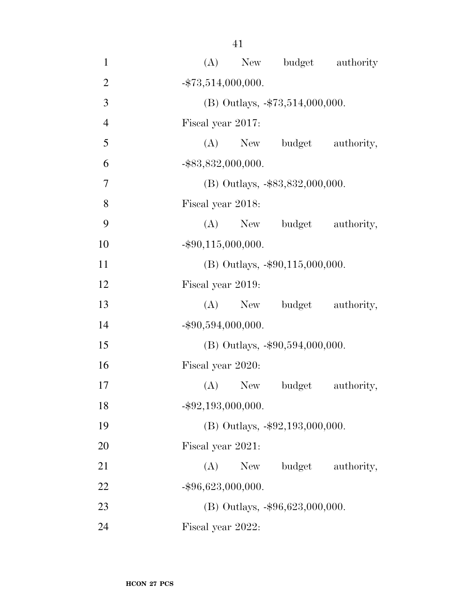| $\mathbf{1}$   | New budget authority<br>(A)          |
|----------------|--------------------------------------|
| $\overline{2}$ | $-$ \$73,514,000,000.                |
| 3              | (B) Outlays, -\$73,514,000,000.      |
| $\overline{4}$ | Fiscal year 2017:                    |
| 5              | (A) New budget authority,            |
| 6              | $-$ \$83,832,000,000.                |
| $\overline{7}$ | (B) Outlays, -\$83,832,000,000.      |
| 8              | Fiscal year 2018:                    |
| 9              | (A) New budget authority,            |
| 10             | $-$ \$90,115,000,000.                |
| 11             | $(B)$ Outlays, $-\$90,115,000,000$ . |
| 12             | Fiscal year 2019:                    |
| 13             | (A) New budget authority,            |
| 14             | $-$ \$90,594,000,000.                |
| 15             | $(B)$ Outlays, $-\$90,594,000,000$ . |
| 16             | Fiscal year 2020:                    |
| 17             | (A) New budget<br>authority,         |
| 18             | $-$ \$92,193,000,000.                |
| 19             | (B) Outlays, -\$92,193,000,000.      |
| 20             | Fiscal year 2021:                    |
| 21             | $(A)$ New<br>budget<br>authority,    |
| 22             | $-$ \$96,623,000,000.                |
| 23             | (B) Outlays, $-\$96,623,000,000$ .   |
| 24             | Fiscal year 2022:                    |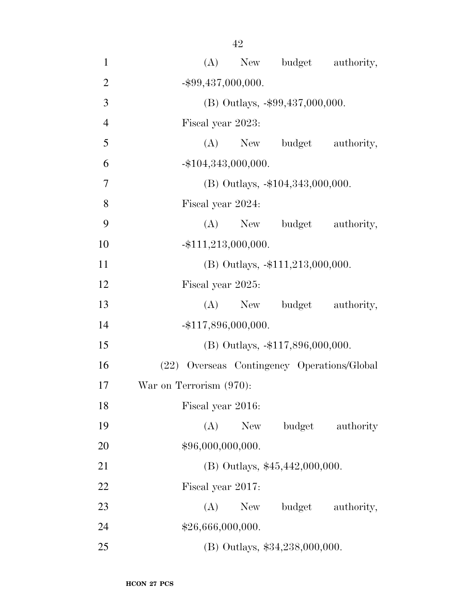| $\mathbf{1}$   | budget authority,<br>(A)<br>New             |
|----------------|---------------------------------------------|
| $\overline{2}$ | $-$ \$99,437,000,000.                       |
| 3              | (B) Outlays, -\$99,437,000,000.             |
| $\overline{4}$ | Fiscal year 2023:                           |
| 5              | (A) New budget authority,                   |
| 6              | $-$ \$104,343,000,000.                      |
| $\overline{7}$ | $(B)$ Outlays, $-104,343,000,000$ .         |
| 8              | Fiscal year 2024:                           |
| 9              | (A) New budget authority,                   |
| 10             | $-$ \$111,213,000,000.                      |
| 11             | $(B)$ Outlays, $-\$111,213,000,000$ .       |
| 12             | Fiscal year 2025:                           |
| 13             | budget authority,<br>$(A)$ New              |
| 14             | $-$ \$117,896,000,000.                      |
| 15             | $(B)$ Outlays, $-117,896,000,000$ .         |
| 16             | (22) Overseas Contingency Operations/Global |
| 17             | War on Terrorism (970):                     |
| 18             | Fiscal year 2016:                           |
| 19             | (A)<br>budget authority<br>New              |
| 20             | \$96,000,000,000.                           |
| 21             | $(B)$ Outlays, \$45,442,000,000.            |
| 22             | Fiscal year 2017:                           |
| 23             | budget authority,<br>(A)<br>New             |
| 24             | \$26,666,000,000.                           |
| 25             | (B) Outlays, \$34,238,000,000.              |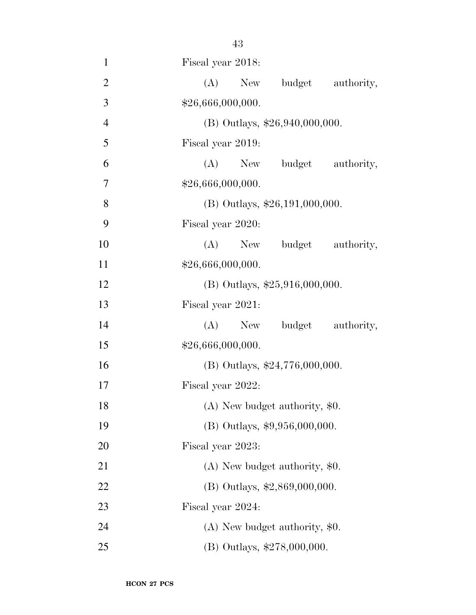| $\mathbf{1}$   | Fiscal year 2018:                |
|----------------|----------------------------------|
| $\overline{2}$ | (A) New budget authority,        |
| 3              | \$26,666,000,000.                |
| $\overline{4}$ | (B) Outlays, \$26,940,000,000.   |
| 5              | Fiscal year 2019:                |
| 6              | (A) New budget authority,        |
| 7              | \$26,666,000,000.                |
| 8              | $(B)$ Outlays, \$26,191,000,000. |
| 9              | Fiscal year 2020:                |
| 10             | (A) New budget authority,        |
| 11             | \$26,666,000,000.                |
| 12             | (B) Outlays, $$25,916,000,000$ . |
| 13             | Fiscal year 2021:                |
| 14             | (A) New budget authority,        |
| 15             | \$26,666,000,000.                |
| 16             | (B) Outlays, \$24,776,000,000.   |
| 17             | Fiscal year 2022:                |
| 18             | (A) New budget authority, \$0.   |
| 19             | (B) Outlays, \$9,956,000,000.    |
| 20             | Fiscal year 2023:                |
| 21             | $(A)$ New budget authority, \$0. |
| 22             | (B) Outlays, \$2,869,000,000.    |
| 23             | Fiscal year 2024:                |
| 24             | $(A)$ New budget authority, \$0. |
| 25             | (B) Outlays, \$278,000,000.      |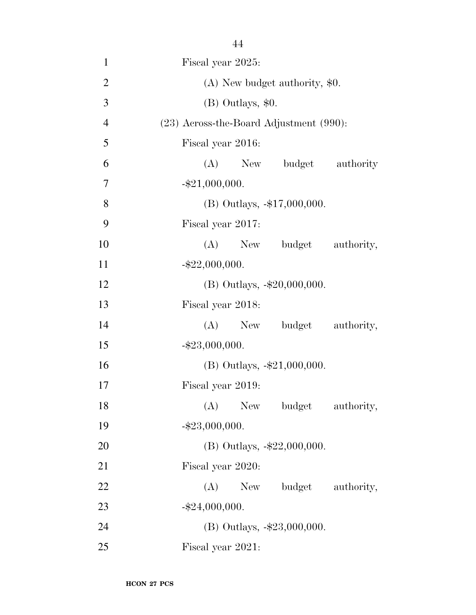| $\mathbf{1}$   | Fiscal year 2025:                            |
|----------------|----------------------------------------------|
| $\overline{2}$ | $(A)$ New budget authority, \$0.             |
| 3              | (B) Outlays, \$0.                            |
| $\overline{4}$ | $(23)$ Across-the-Board Adjustment $(990)$ : |
| 5              | Fiscal year 2016:                            |
| 6              | (A) New budget authority                     |
| 7              | $-$ \$21,000,000.                            |
| 8              | (B) Outlays, -\$17,000,000.                  |
| 9              | Fiscal year 2017:                            |
| 10             | (A) New budget authority,                    |
| 11             | $-$ \$22,000,000.                            |
| 12             | (B) Outlays, -\$20,000,000.                  |
| 13             | Fiscal year 2018:                            |
| 14             | (A) New budget authority,                    |
| 15             | $-$ \$23,000,000.                            |
| 16             | (B) Outlays, $-21,000,000$ .                 |
| 17             | Fiscal year 2019:                            |
| 18             | New budget<br>(A)<br>authority,              |
| 19             | $-$ \$23,000,000.                            |
| 20             | (B) Outlays, $-22,000,000$ .                 |
| 21             | Fiscal year 2020:                            |
| 22             | (A)<br>New<br>budget authority,              |
| 23             | $-$ \$24,000,000.                            |
| 24             | (B) Outlays, $-23,000,000$ .                 |
| 25             | Fiscal year 2021:                            |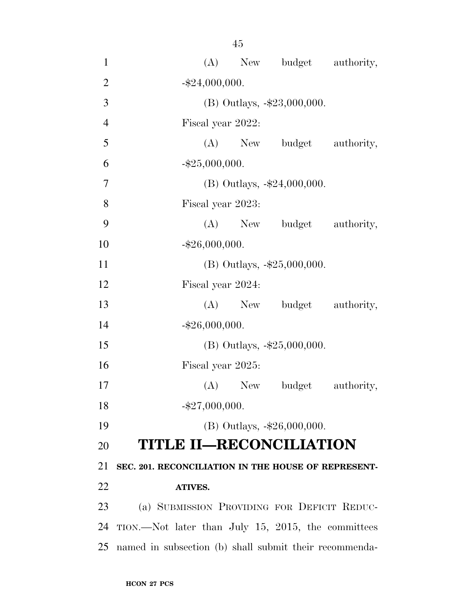| $\mathbf{1}$   | (A) New budget authority,                              |
|----------------|--------------------------------------------------------|
| $\overline{2}$ | $-$ \$24,000,000.                                      |
| 3              | (B) Outlays, -\$23,000,000.                            |
| $\overline{4}$ | Fiscal year 2022:                                      |
| 5              | (A) New budget authority,                              |
| 6              | $-$ \$25,000,000.                                      |
| $\overline{7}$ | (B) Outlays, $-24,000,000$ .                           |
| 8              | Fiscal year 2023:                                      |
| 9              | (A) New budget authority,                              |
| 10             | $-$ \$26,000,000.                                      |
| 11             | (B) Outlays, $-25,000,000$ .                           |
| 12             | Fiscal year 2024:                                      |
| 13             | (A) New budget authority,                              |
| 14             | $-$ \$26,000,000.                                      |
| 15             | (B) Outlays, $-25,000,000$ .                           |
| 16             | Fiscal year 2025:                                      |
| 17             | $(A)$ New<br>budget authority,                         |
| 18             | $-$ \$27,000,000.                                      |
| 19             | (B) Outlays, $-\$26,000,000$ .                         |
| 20             | <b>TITLE II—RECONCILIATION</b>                         |
| 21             | SEC. 201. RECONCILIATION IN THE HOUSE OF REPRESENT-    |
| <u>22</u>      | <b>ATIVES.</b>                                         |
| 23             | (a) SUBMISSION PROVIDING FOR DEFICIT REDUC-            |
| 24             | TION.—Not later than July 15, 2015, the committees     |
| 25             | named in subsection (b) shall submit their recommenda- |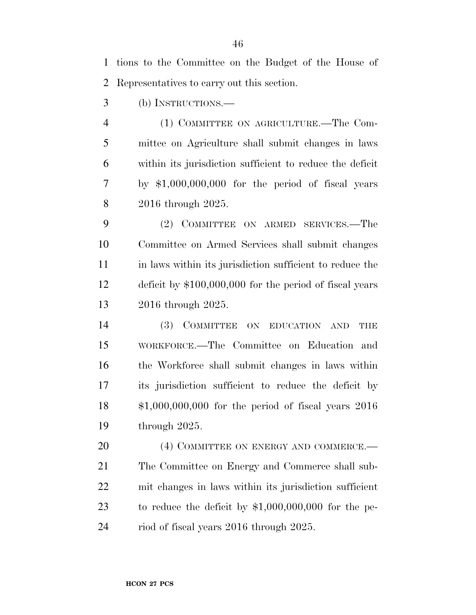tions to the Committee on the Budget of the House of Representatives to carry out this section.

(b) INSTRUCTIONS.—

 (1) COMMITTEE ON AGRICULTURE.—The Com- mittee on Agriculture shall submit changes in laws within its jurisdiction sufficient to reduce the deficit by \$1,000,000,000 for the period of fiscal years 2016 through 2025.

 (2) COMMITTEE ON ARMED SERVICES.—The Committee on Armed Services shall submit changes 11 in laws within its jurisdiction sufficient to reduce the deficit by \$100,000,000 for the period of fiscal years 2016 through 2025.

 (3) COMMITTEE ON EDUCATION AND THE WORKFORCE.—The Committee on Education and the Workforce shall submit changes in laws within its jurisdiction sufficient to reduce the deficit by \$1,000,000,000 for the period of fiscal years 2016 through 2025.

20 (4) COMMITTEE ON ENERGY AND COMMERCE.— The Committee on Energy and Commerce shall sub- mit changes in laws within its jurisdiction sufficient to reduce the deficit by \$1,000,000,000 for the pe-riod of fiscal years 2016 through 2025.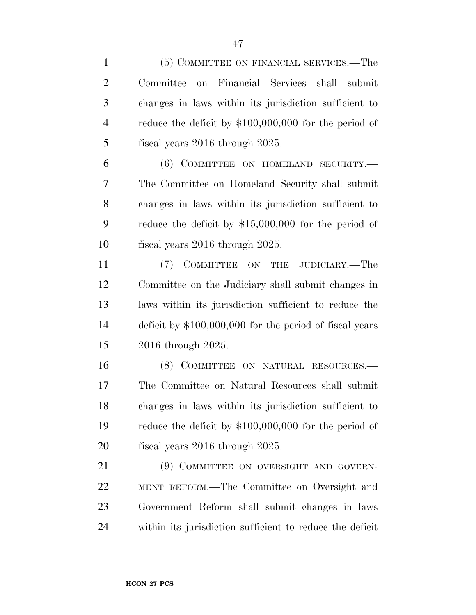(5) COMMITTEE ON FINANCIAL SERVICES.—The Committee on Financial Services shall submit changes in laws within its jurisdiction sufficient to reduce the deficit by \$100,000,000 for the period of 5 fiscal years 2016 through 2025. (6) COMMITTEE ON HOMELAND SECURITY.— The Committee on Homeland Security shall submit changes in laws within its jurisdiction sufficient to reduce the deficit by \$15,000,000 for the period of fiscal years 2016 through 2025. (7) COMMITTEE ON THE JUDICIARY.—The Committee on the Judiciary shall submit changes in laws within its jurisdiction sufficient to reduce the deficit by \$100,000,000 for the period of fiscal years 2016 through 2025. 16 (8) COMMITTEE ON NATURAL RESOURCES.— The Committee on Natural Resources shall submit changes in laws within its jurisdiction sufficient to reduce the deficit by \$100,000,000 for the period of fiscal years 2016 through 2025. 21 (9) COMMITTEE ON OVERSIGHT AND GOVERN- MENT REFORM.—The Committee on Oversight and Government Reform shall submit changes in laws within its jurisdiction sufficient to reduce the deficit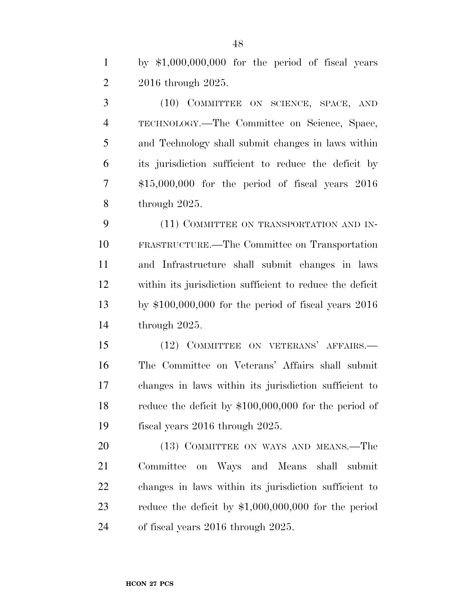by \$1,000,000,000 for the period of fiscal years 2016 through 2025.

 (10) COMMITTEE ON SCIENCE, SPACE, AND TECHNOLOGY.—The Committee on Science, Space, and Technology shall submit changes in laws within its jurisdiction sufficient to reduce the deficit by \$15,000,000 for the period of fiscal years 2016 through 2025.

9 (11) COMMITTEE ON TRANSPORTATION AND IN- FRASTRUCTURE.—The Committee on Transportation and Infrastructure shall submit changes in laws within its jurisdiction sufficient to reduce the deficit by \$100,000,000 for the period of fiscal years 2016 through 2025.

 (12) COMMITTEE ON VETERANS' AFFAIRS.— The Committee on Veterans' Affairs shall submit changes in laws within its jurisdiction sufficient to reduce the deficit by \$100,000,000 for the period of fiscal years 2016 through 2025.

20 (13) COMMITTEE ON WAYS AND MEANS.—The Committee on Ways and Means shall submit changes in laws within its jurisdiction sufficient to reduce the deficit by \$1,000,000,000 for the period of fiscal years 2016 through 2025.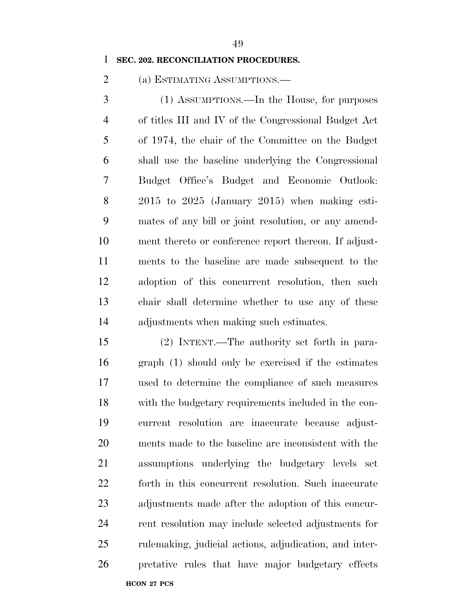#### **SEC. 202. RECONCILIATION PROCEDURES.**

(a) ESTIMATING ASSUMPTIONS.—

 (1) ASSUMPTIONS.—In the House, for purposes of titles III and IV of the Congressional Budget Act of 1974, the chair of the Committee on the Budget shall use the baseline underlying the Congressional Budget Office's Budget and Economic Outlook: 2015 to 2025 (January 2015) when making esti- mates of any bill or joint resolution, or any amend- ment thereto or conference report thereon. If adjust- ments to the baseline are made subsequent to the adoption of this concurrent resolution, then such chair shall determine whether to use any of these adjustments when making such estimates.

**HCON 27 PCS**  (2) INTENT.—The authority set forth in para- graph (1) should only be exercised if the estimates used to determine the compliance of such measures with the budgetary requirements included in the con- current resolution are inaccurate because adjust- ments made to the baseline are inconsistent with the assumptions underlying the budgetary levels set forth in this concurrent resolution. Such inaccurate adjustments made after the adoption of this concur- rent resolution may include selected adjustments for rulemaking, judicial actions, adjudication, and inter-pretative rules that have major budgetary effects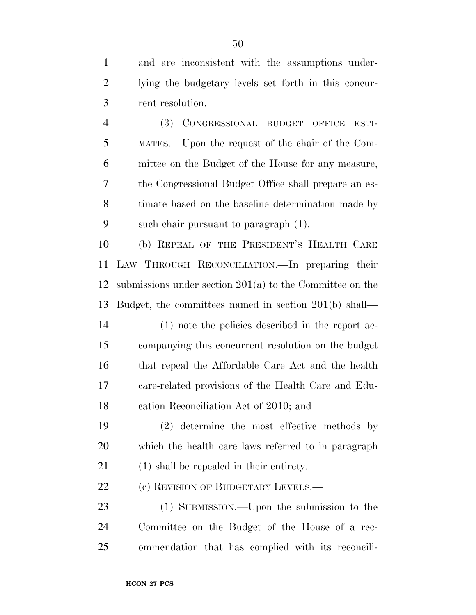and are inconsistent with the assumptions under- lying the budgetary levels set forth in this concur-rent resolution.

 (3) CONGRESSIONAL BUDGET OFFICE ESTI- MATES.—Upon the request of the chair of the Com- mittee on the Budget of the House for any measure, the Congressional Budget Office shall prepare an es- timate based on the baseline determination made by such chair pursuant to paragraph (1).

 (b) REPEAL OF THE PRESIDENT'S HEALTH CARE LAW THROUGH RECONCILIATION.—In preparing their submissions under section 201(a) to the Committee on the Budget, the committees named in section 201(b) shall—

 (1) note the policies described in the report ac- companying this concurrent resolution on the budget that repeal the Affordable Care Act and the health care-related provisions of the Health Care and Edu-cation Reconciliation Act of 2010; and

 (2) determine the most effective methods by which the health care laws referred to in paragraph (1) shall be repealed in their entirety.

22 (c) REVISION OF BUDGETARY LEVELS.—

 (1) SUBMISSION.—Upon the submission to the Committee on the Budget of the House of a rec-ommendation that has complied with its reconcili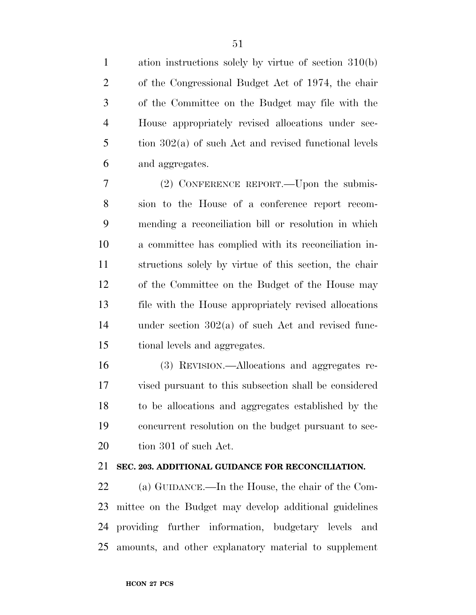ation instructions solely by virtue of section 310(b) of the Congressional Budget Act of 1974, the chair of the Committee on the Budget may file with the House appropriately revised allocations under sec- tion 302(a) of such Act and revised functional levels and aggregates.

 (2) CONFERENCE REPORT.—Upon the submis- sion to the House of a conference report recom- mending a reconciliation bill or resolution in which a committee has complied with its reconciliation in- structions solely by virtue of this section, the chair of the Committee on the Budget of the House may file with the House appropriately revised allocations under section 302(a) of such Act and revised func-tional levels and aggregates.

 (3) REVISION.—Allocations and aggregates re- vised pursuant to this subsection shall be considered to be allocations and aggregates established by the concurrent resolution on the budget pursuant to sec-tion 301 of such Act.

#### **SEC. 203. ADDITIONAL GUIDANCE FOR RECONCILIATION.**

 (a) GUIDANCE.—In the House, the chair of the Com- mittee on the Budget may develop additional guidelines providing further information, budgetary levels and amounts, and other explanatory material to supplement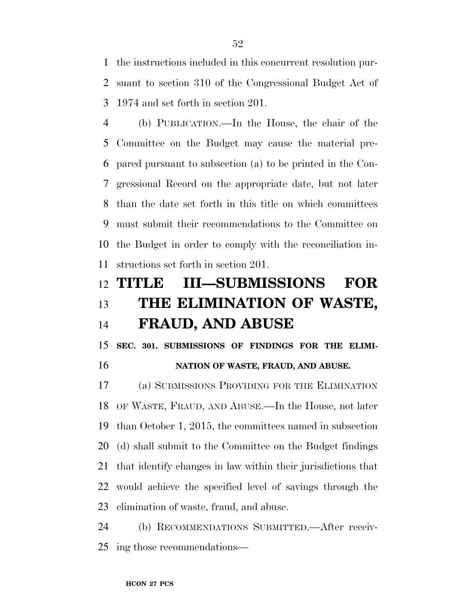the instructions included in this concurrent resolution pur- suant to section 310 of the Congressional Budget Act of 1974 and set forth in section 201.

 (b) PUBLICATION.—In the House, the chair of the Committee on the Budget may cause the material pre- pared pursuant to subsection (a) to be printed in the Con- gressional Record on the appropriate date, but not later than the date set forth in this title on which committees must submit their recommendations to the Committee on the Budget in order to comply with the reconciliation in-structions set forth in section 201.

# **TITLE III—SUBMISSIONS FOR THE ELIMINATION OF WASTE, FRAUD, AND ABUSE**

 **SEC. 301. SUBMISSIONS OF FINDINGS FOR THE ELIMI-NATION OF WASTE, FRAUD, AND ABUSE.** 

 (a) SUBMISSIONS PROVIDING FOR THE ELIMINATION OF WASTE, FRAUD, AND ABUSE.—In the House, not later than October 1, 2015, the committees named in subsection (d) shall submit to the Committee on the Budget findings that identify changes in law within their jurisdictions that would achieve the specified level of savings through the elimination of waste, fraud, and abuse.

 (b) RECOMMENDATIONS SUBMITTED.—After receiv-ing those recommendations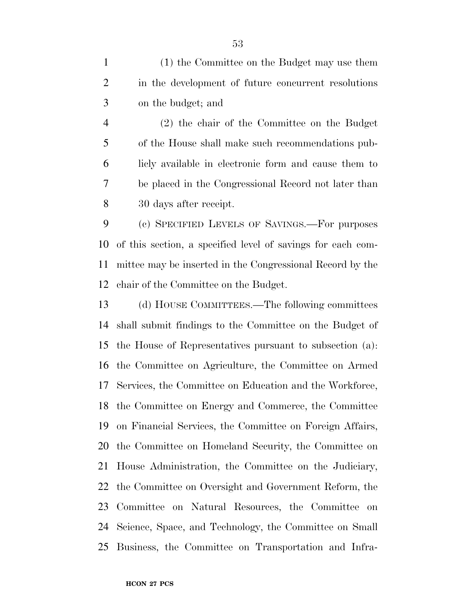(1) the Committee on the Budget may use them in the development of future concurrent resolutions on the budget; and

 (2) the chair of the Committee on the Budget of the House shall make such recommendations pub- licly available in electronic form and cause them to be placed in the Congressional Record not later than 30 days after receipt.

 (c) SPECIFIED LEVELS OF SAVINGS.—For purposes of this section, a specified level of savings for each com- mittee may be inserted in the Congressional Record by the chair of the Committee on the Budget.

 (d) HOUSE COMMITTEES.—The following committees shall submit findings to the Committee on the Budget of the House of Representatives pursuant to subsection (a): the Committee on Agriculture, the Committee on Armed Services, the Committee on Education and the Workforce, the Committee on Energy and Commerce, the Committee on Financial Services, the Committee on Foreign Affairs, the Committee on Homeland Security, the Committee on House Administration, the Committee on the Judiciary, the Committee on Oversight and Government Reform, the Committee on Natural Resources, the Committee on Science, Space, and Technology, the Committee on Small Business, the Committee on Transportation and Infra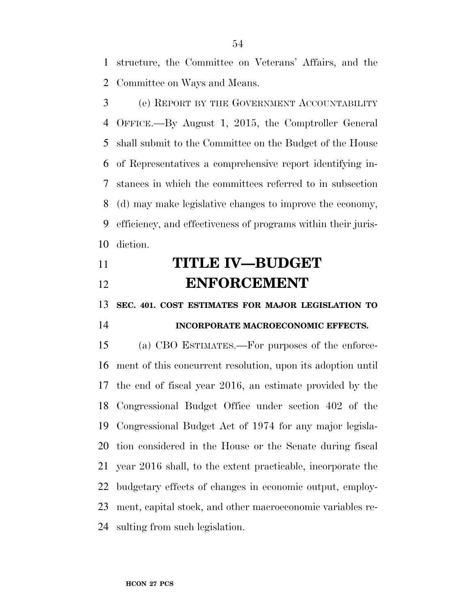structure, the Committee on Veterans' Affairs, and the Committee on Ways and Means.

 (e) REPORT BY THE GOVERNMENT ACCOUNTABILITY OFFICE.—By August 1, 2015, the Comptroller General shall submit to the Committee on the Budget of the House of Representatives a comprehensive report identifying in- stances in which the committees referred to in subsection (d) may make legislative changes to improve the economy, efficiency, and effectiveness of programs within their juris-diction.

# **TITLE IV—BUDGET ENFORCEMENT**

**SEC. 401. COST ESTIMATES FOR MAJOR LEGISLATION TO** 

### **INCORPORATE MACROECONOMIC EFFECTS.**

 (a) CBO ESTIMATES.—For purposes of the enforce- ment of this concurrent resolution, upon its adoption until the end of fiscal year 2016, an estimate provided by the Congressional Budget Office under section 402 of the Congressional Budget Act of 1974 for any major legisla- tion considered in the House or the Senate during fiscal year 2016 shall, to the extent practicable, incorporate the budgetary effects of changes in economic output, employ- ment, capital stock, and other macroeconomic variables re-sulting from such legislation.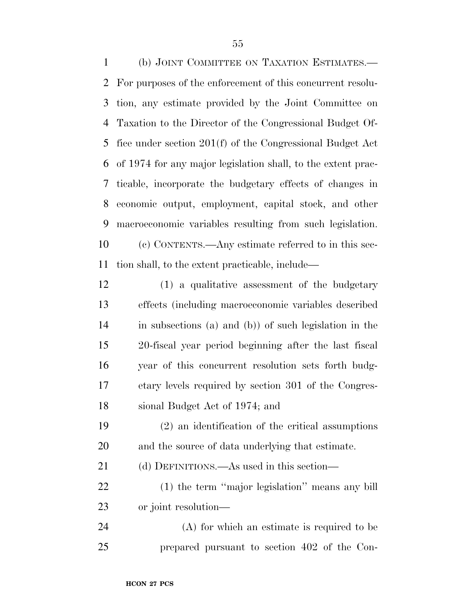(b) JOINT COMMITTEE ON TAXATION ESTIMATES.— For purposes of the enforcement of this concurrent resolu- tion, any estimate provided by the Joint Committee on Taxation to the Director of the Congressional Budget Of- fice under section 201(f) of the Congressional Budget Act of 1974 for any major legislation shall, to the extent prac- ticable, incorporate the budgetary effects of changes in economic output, employment, capital stock, and other macroeconomic variables resulting from such legislation. (c) CONTENTS.—Any estimate referred to in this sec-tion shall, to the extent practicable, include—

 (1) a qualitative assessment of the budgetary effects (including macroeconomic variables described in subsections (a) and (b)) of such legislation in the 20-fiscal year period beginning after the last fiscal year of this concurrent resolution sets forth budg- etary levels required by section 301 of the Congres-sional Budget Act of 1974; and

 (2) an identification of the critical assumptions and the source of data underlying that estimate.

(d) DEFINITIONS.—As used in this section—

 (1) the term ''major legislation'' means any bill or joint resolution—

 (A) for which an estimate is required to be prepared pursuant to section 402 of the Con-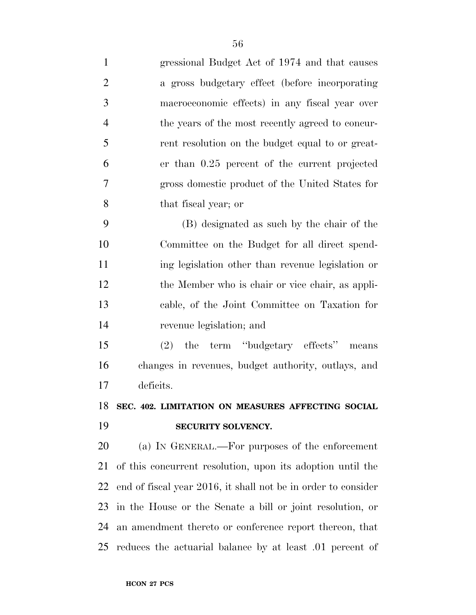| $\mathbf{1}$   | gressional Budget Act of 1974 and that causes                 |
|----------------|---------------------------------------------------------------|
| $\overline{2}$ | a gross budgetary effect (before incorporating                |
| 3              | macroeconomic effects) in any fiscal year over                |
| $\overline{4}$ | the years of the most recently agreed to concur-              |
| 5              | rent resolution on the budget equal to or great-              |
| 6              | er than 0.25 percent of the current projected                 |
| 7              | gross domestic product of the United States for               |
| 8              | that fiscal year; or                                          |
| 9              | (B) designated as such by the chair of the                    |
| 10             | Committee on the Budget for all direct spend-                 |
| 11             | ing legislation other than revenue legislation or             |
| 12             | the Member who is chair or vice chair, as appli-              |
| 13             | cable, of the Joint Committee on Taxation for                 |
| 14             | revenue legislation; and                                      |
| 15             | the term "budgetary effects" means<br>(2)                     |
| 16             | changes in revenues, budget authority, outlays, and           |
| 17             | deficits.                                                     |
|                | 18 SEC. 402. LIMITATION ON MEASURES AFFECTING SOCIAL          |
| 19             | SECURITY SOLVENCY.                                            |
| 20             | (a) IN GENERAL.—For purposes of the enforcement               |
| 21             | of this concurrent resolution, upon its adoption until the    |
| 22             | end of fiscal year 2016, it shall not be in order to consider |
| 23             | in the House or the Senate a bill or joint resolution, or     |
| 24             | an amendment thereto or conference report thereon, that       |
| 25             | reduces the actuarial balance by at least 0.01 percent of     |
|                |                                                               |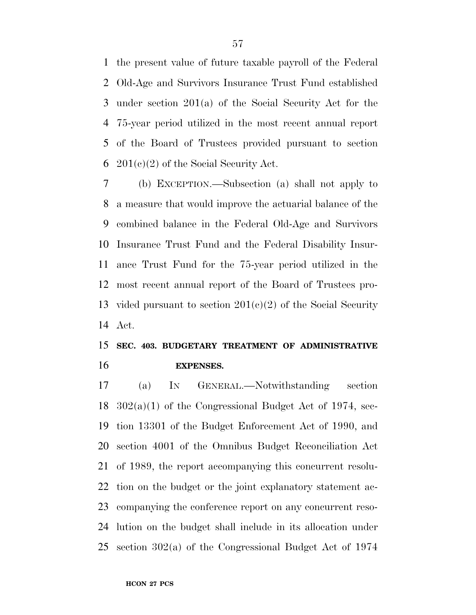the present value of future taxable payroll of the Federal Old-Age and Survivors Insurance Trust Fund established under section 201(a) of the Social Security Act for the 75-year period utilized in the most recent annual report of the Board of Trustees provided pursuant to section 6 201(c)(2) of the Social Security Act.

 (b) EXCEPTION.—Subsection (a) shall not apply to a measure that would improve the actuarial balance of the combined balance in the Federal Old-Age and Survivors Insurance Trust Fund and the Federal Disability Insur- ance Trust Fund for the 75-year period utilized in the most recent annual report of the Board of Trustees pro-13 vided pursuant to section  $201(e)(2)$  of the Social Security Act.

### **SEC. 403. BUDGETARY TREATMENT OF ADMINISTRATIVE EXPENSES.**

 (a) IN GENERAL.—Notwithstanding section 302(a)(1) of the Congressional Budget Act of 1974, sec- tion 13301 of the Budget Enforcement Act of 1990, and section 4001 of the Omnibus Budget Reconciliation Act of 1989, the report accompanying this concurrent resolu- tion on the budget or the joint explanatory statement ac- companying the conference report on any concurrent reso- lution on the budget shall include in its allocation under section 302(a) of the Congressional Budget Act of 1974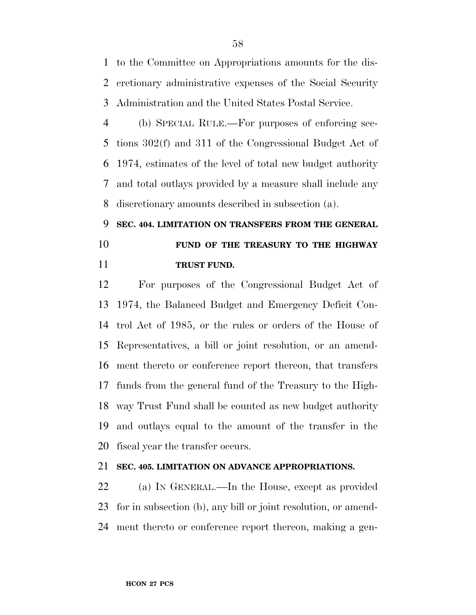to the Committee on Appropriations amounts for the dis- cretionary administrative expenses of the Social Security Administration and the United States Postal Service.

 (b) SPECIAL RULE.—For purposes of enforcing sec- tions 302(f) and 311 of the Congressional Budget Act of 1974, estimates of the level of total new budget authority and total outlays provided by a measure shall include any discretionary amounts described in subsection (a).

# **SEC. 404. LIMITATION ON TRANSFERS FROM THE GENERAL FUND OF THE TREASURY TO THE HIGHWAY TRUST FUND.**

 For purposes of the Congressional Budget Act of 1974, the Balanced Budget and Emergency Deficit Con- trol Act of 1985, or the rules or orders of the House of Representatives, a bill or joint resolution, or an amend- ment thereto or conference report thereon, that transfers funds from the general fund of the Treasury to the High- way Trust Fund shall be counted as new budget authority and outlays equal to the amount of the transfer in the fiscal year the transfer occurs.

#### **SEC. 405. LIMITATION ON ADVANCE APPROPRIATIONS.**

 (a) IN GENERAL.—In the House, except as provided for in subsection (b), any bill or joint resolution, or amend-ment thereto or conference report thereon, making a gen-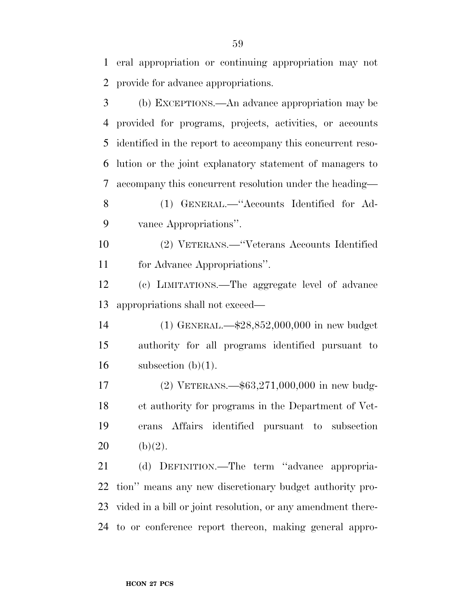(b) EXCEPTIONS.—An advance appropriation may be provided for programs, projects, activities, or accounts identified in the report to accompany this concurrent reso- lution or the joint explanatory statement of managers to accompany this concurrent resolution under the heading— (1) GENERAL.—''Accounts Identified for Ad- vance Appropriations''. (2) VETERANS.—''Veterans Accounts Identified for Advance Appropriations''. (c) LIMITATIONS.—The aggregate level of advance appropriations shall not exceed— (1) GENERAL.—\$28,852,000,000 in new budget authority for all programs identified pursuant to 16 subsection  $(b)(1)$ . (2) VETERANS.—\$63,271,000,000 in new budg- et authority for programs in the Department of Vet- erans Affairs identified pursuant to subsection 20 (b)(2). (d) DEFINITION.—The term ''advance appropria- tion'' means any new discretionary budget authority pro-vided in a bill or joint resolution, or any amendment there-

to or conference report thereon, making general appro-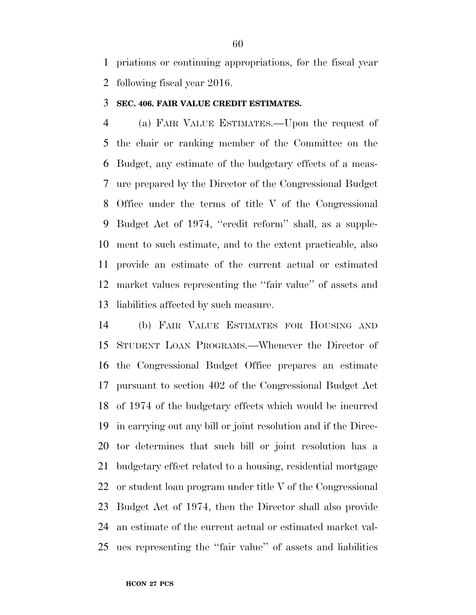priations or continuing appropriations, for the fiscal year following fiscal year 2016.

#### **SEC. 406. FAIR VALUE CREDIT ESTIMATES.**

 (a) FAIR VALUE ESTIMATES.—Upon the request of the chair or ranking member of the Committee on the Budget, any estimate of the budgetary effects of a meas- ure prepared by the Director of the Congressional Budget Office under the terms of title V of the Congressional Budget Act of 1974, ''credit reform'' shall, as a supple- ment to such estimate, and to the extent practicable, also provide an estimate of the current actual or estimated market values representing the ''fair value'' of assets and liabilities affected by such measure.

 (b) FAIR VALUE ESTIMATES FOR HOUSING AND STUDENT LOAN PROGRAMS.—Whenever the Director of the Congressional Budget Office prepares an estimate pursuant to section 402 of the Congressional Budget Act of 1974 of the budgetary effects which would be incurred in carrying out any bill or joint resolution and if the Direc- tor determines that such bill or joint resolution has a budgetary effect related to a housing, residential mortgage or student loan program under title V of the Congressional Budget Act of 1974, then the Director shall also provide an estimate of the current actual or estimated market val-ues representing the ''fair value'' of assets and liabilities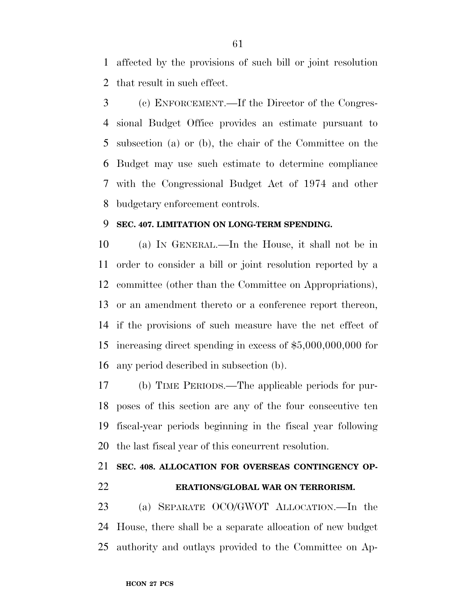affected by the provisions of such bill or joint resolution that result in such effect.

 (c) ENFORCEMENT.—If the Director of the Congres- sional Budget Office provides an estimate pursuant to subsection (a) or (b), the chair of the Committee on the Budget may use such estimate to determine compliance with the Congressional Budget Act of 1974 and other budgetary enforcement controls.

#### **SEC. 407. LIMITATION ON LONG-TERM SPENDING.**

 (a) IN GENERAL.—In the House, it shall not be in order to consider a bill or joint resolution reported by a committee (other than the Committee on Appropriations), or an amendment thereto or a conference report thereon, if the provisions of such measure have the net effect of increasing direct spending in excess of \$5,000,000,000 for any period described in subsection (b).

 (b) TIME PERIODS.—The applicable periods for pur- poses of this section are any of the four consecutive ten fiscal-year periods beginning in the fiscal year following the last fiscal year of this concurrent resolution.

### **SEC. 408. ALLOCATION FOR OVERSEAS CONTINGENCY OP-ERATIONS/GLOBAL WAR ON TERRORISM.**

 (a) SEPARATE OCO/GWOT ALLOCATION.—In the House, there shall be a separate allocation of new budget authority and outlays provided to the Committee on Ap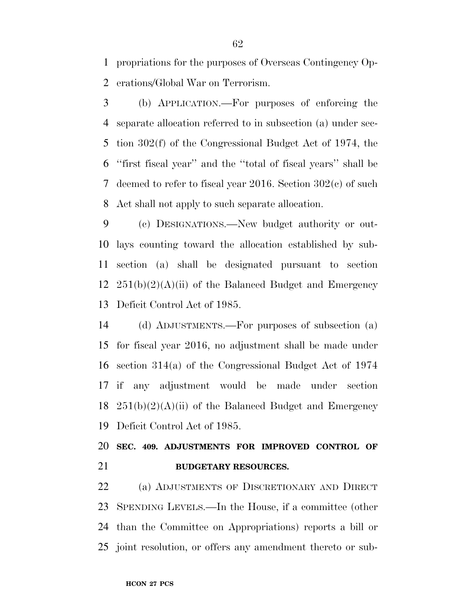propriations for the purposes of Overseas Contingency Op-erations/Global War on Terrorism.

 (b) APPLICATION.—For purposes of enforcing the separate allocation referred to in subsection (a) under sec- tion 302(f) of the Congressional Budget Act of 1974, the ''first fiscal year'' and the ''total of fiscal years'' shall be deemed to refer to fiscal year 2016. Section 302(c) of such Act shall not apply to such separate allocation.

 (c) DESIGNATIONS.—New budget authority or out- lays counting toward the allocation established by sub- section (a) shall be designated pursuant to section  $251(b)(2)(A)(ii)$  of the Balanced Budget and Emergency Deficit Control Act of 1985.

 (d) ADJUSTMENTS.—For purposes of subsection (a) for fiscal year 2016, no adjustment shall be made under section 314(a) of the Congressional Budget Act of 1974 if any adjustment would be made under section  $251(b)(2)(A)(ii)$  of the Balanced Budget and Emergency Deficit Control Act of 1985.

 **SEC. 409. ADJUSTMENTS FOR IMPROVED CONTROL OF BUDGETARY RESOURCES.** 

 (a) ADJUSTMENTS OF DISCRETIONARY AND DIRECT SPENDING LEVELS.—In the House, if a committee (other than the Committee on Appropriations) reports a bill or joint resolution, or offers any amendment thereto or sub-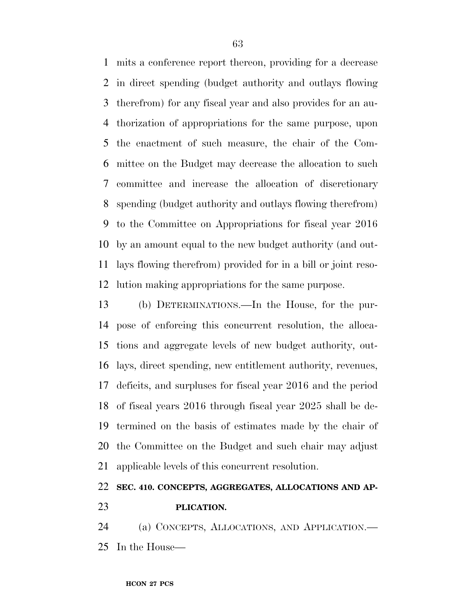mits a conference report thereon, providing for a decrease in direct spending (budget authority and outlays flowing therefrom) for any fiscal year and also provides for an au- thorization of appropriations for the same purpose, upon the enactment of such measure, the chair of the Com- mittee on the Budget may decrease the allocation to such committee and increase the allocation of discretionary spending (budget authority and outlays flowing therefrom) to the Committee on Appropriations for fiscal year 2016 by an amount equal to the new budget authority (and out- lays flowing therefrom) provided for in a bill or joint reso-lution making appropriations for the same purpose.

 (b) DETERMINATIONS.—In the House, for the pur- pose of enforcing this concurrent resolution, the alloca- tions and aggregate levels of new budget authority, out- lays, direct spending, new entitlement authority, revenues, deficits, and surpluses for fiscal year 2016 and the period of fiscal years 2016 through fiscal year 2025 shall be de- termined on the basis of estimates made by the chair of the Committee on the Budget and such chair may adjust applicable levels of this concurrent resolution.

### **SEC. 410. CONCEPTS, AGGREGATES, ALLOCATIONS AND AP-PLICATION.**

 (a) CONCEPTS, ALLOCATIONS, AND APPLICATION.— In the House—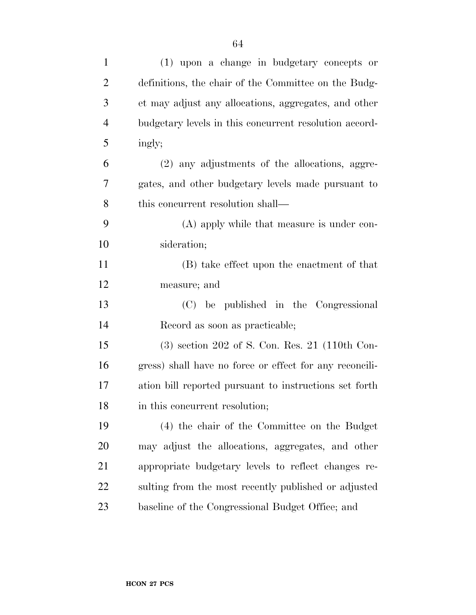| $\mathbf{1}$   | (1) upon a change in budgetary concepts or              |
|----------------|---------------------------------------------------------|
| $\overline{2}$ | definitions, the chair of the Committee on the Budg-    |
| 3              | et may adjust any allocations, aggregates, and other    |
| $\overline{4}$ | budgetary levels in this concurrent resolution accord-  |
| 5              | ingly;                                                  |
| 6              | (2) any adjustments of the allocations, aggre-          |
| 7              | gates, and other budgetary levels made pursuant to      |
| 8              | this concurrent resolution shall—                       |
| 9              | (A) apply while that measure is under con-              |
| 10             | sideration;                                             |
| 11             | (B) take effect upon the enactment of that              |
| 12             | measure; and                                            |
| 13             | (C) be published in the Congressional                   |
| 14             | Record as soon as practicable;                          |
| 15             | $(3)$ section 202 of S. Con. Res. 21 (110th Con-        |
| 16             | gress) shall have no force or effect for any reconcili- |
| 17             | ation bill reported pursuant to instructions set forth  |
| 18             | in this concurrent resolution;                          |
| 19             | (4) the chair of the Committee on the Budget            |
| <b>20</b>      | may adjust the allocations, aggregates, and other       |
| 21             | appropriate budgetary levels to reflect changes re-     |
| 22             | sulting from the most recently published or adjusted    |
| 23             | baseline of the Congressional Budget Office; and        |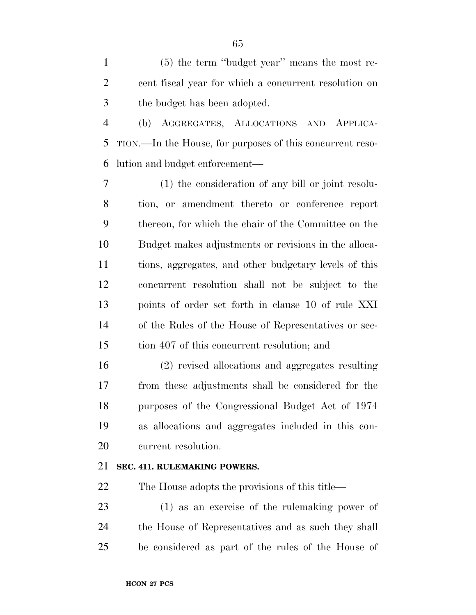(5) the term ''budget year'' means the most re- cent fiscal year for which a concurrent resolution on the budget has been adopted.

 (b) AGGREGATES, ALLOCATIONS AND APPLICA- TION.—In the House, for purposes of this concurrent reso-lution and budget enforcement—

 (1) the consideration of any bill or joint resolu- tion, or amendment thereto or conference report thereon, for which the chair of the Committee on the Budget makes adjustments or revisions in the alloca- tions, aggregates, and other budgetary levels of this concurrent resolution shall not be subject to the points of order set forth in clause 10 of rule XXI of the Rules of the House of Representatives or sec-tion 407 of this concurrent resolution; and

 (2) revised allocations and aggregates resulting from these adjustments shall be considered for the purposes of the Congressional Budget Act of 1974 as allocations and aggregates included in this con-current resolution.

#### **SEC. 411. RULEMAKING POWERS.**

The House adopts the provisions of this title—

 (1) as an exercise of the rulemaking power of the House of Representatives and as such they shall be considered as part of the rules of the House of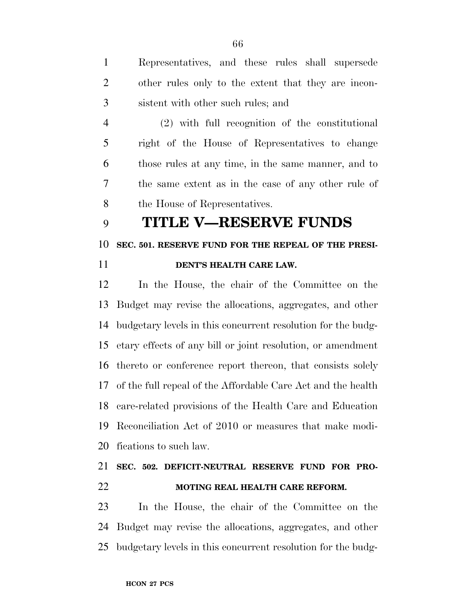Representatives, and these rules shall supersede other rules only to the extent that they are incon-sistent with other such rules; and

 (2) with full recognition of the constitutional right of the House of Representatives to change those rules at any time, in the same manner, and to the same extent as in the case of any other rule of the House of Representatives.

### **TITLE V—RESERVE FUNDS**

#### **SEC. 501. RESERVE FUND FOR THE REPEAL OF THE PRESI-**

#### **DENT'S HEALTH CARE LAW.**

 In the House, the chair of the Committee on the Budget may revise the allocations, aggregates, and other budgetary levels in this concurrent resolution for the budg- etary effects of any bill or joint resolution, or amendment thereto or conference report thereon, that consists solely of the full repeal of the Affordable Care Act and the health care-related provisions of the Health Care and Education Reconciliation Act of 2010 or measures that make modi-fications to such law.

### **SEC. 502. DEFICIT-NEUTRAL RESERVE FUND FOR PRO-MOTING REAL HEALTH CARE REFORM.**

 In the House, the chair of the Committee on the Budget may revise the allocations, aggregates, and other budgetary levels in this concurrent resolution for the budg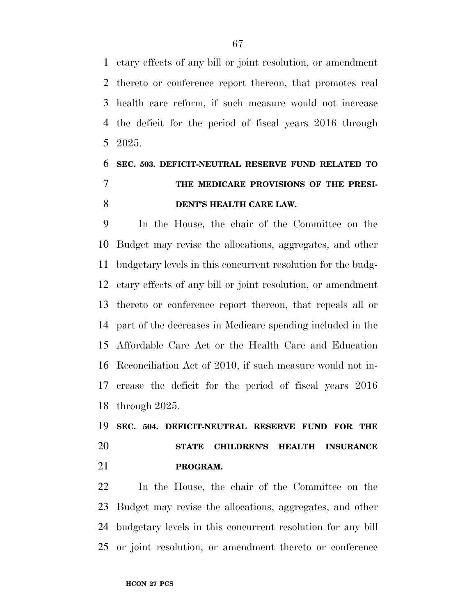etary effects of any bill or joint resolution, or amendment thereto or conference report thereon, that promotes real health care reform, if such measure would not increase the deficit for the period of fiscal years 2016 through 2025.

## **SEC. 503. DEFICIT-NEUTRAL RESERVE FUND RELATED TO THE MEDICARE PROVISIONS OF THE PRESI-DENT'S HEALTH CARE LAW.**

 In the House, the chair of the Committee on the Budget may revise the allocations, aggregates, and other budgetary levels in this concurrent resolution for the budg- etary effects of any bill or joint resolution, or amendment thereto or conference report thereon, that repeals all or part of the decreases in Medicare spending included in the Affordable Care Act or the Health Care and Education Reconciliation Act of 2010, if such measure would not in- crease the deficit for the period of fiscal years 2016 through 2025.

 **SEC. 504. DEFICIT-NEUTRAL RESERVE FUND FOR THE STATE CHILDREN'S HEALTH INSURANCE PROGRAM.** 

 In the House, the chair of the Committee on the Budget may revise the allocations, aggregates, and other budgetary levels in this concurrent resolution for any bill or joint resolution, or amendment thereto or conference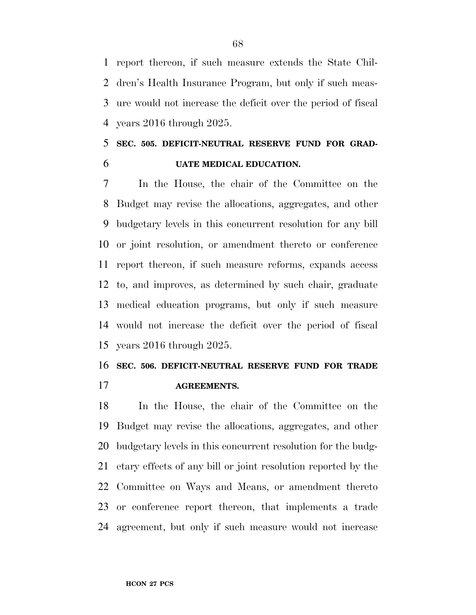report thereon, if such measure extends the State Chil- dren's Health Insurance Program, but only if such meas- ure would not increase the deficit over the period of fiscal years 2016 through 2025.

### **SEC. 505. DEFICIT-NEUTRAL RESERVE FUND FOR GRAD-UATE MEDICAL EDUCATION.**

 In the House, the chair of the Committee on the Budget may revise the allocations, aggregates, and other budgetary levels in this concurrent resolution for any bill or joint resolution, or amendment thereto or conference report thereon, if such measure reforms, expands access to, and improves, as determined by such chair, graduate medical education programs, but only if such measure would not increase the deficit over the period of fiscal years 2016 through 2025.

# **SEC. 506. DEFICIT-NEUTRAL RESERVE FUND FOR TRADE**

**AGREEMENTS.** 

 In the House, the chair of the Committee on the Budget may revise the allocations, aggregates, and other budgetary levels in this concurrent resolution for the budg- etary effects of any bill or joint resolution reported by the Committee on Ways and Means, or amendment thereto or conference report thereon, that implements a trade agreement, but only if such measure would not increase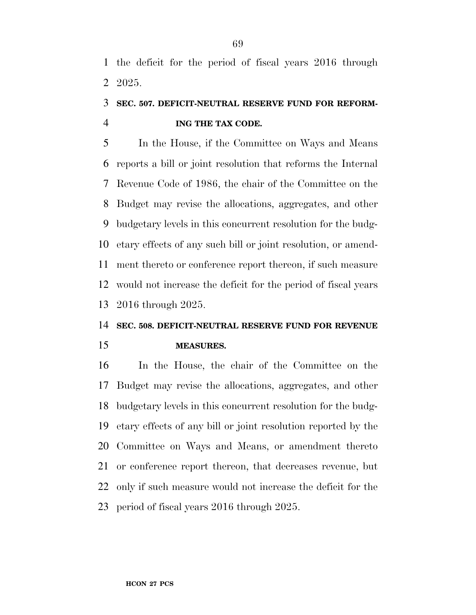the deficit for the period of fiscal years 2016 through 2025.

### **SEC. 507. DEFICIT-NEUTRAL RESERVE FUND FOR REFORM-ING THE TAX CODE.**

 In the House, if the Committee on Ways and Means reports a bill or joint resolution that reforms the Internal Revenue Code of 1986, the chair of the Committee on the Budget may revise the allocations, aggregates, and other budgetary levels in this concurrent resolution for the budg- etary effects of any such bill or joint resolution, or amend- ment thereto or conference report thereon, if such measure would not increase the deficit for the period of fiscal years 2016 through 2025.

#### **SEC. 508. DEFICIT-NEUTRAL RESERVE FUND FOR REVENUE**

**MEASURES.** 

 In the House, the chair of the Committee on the Budget may revise the allocations, aggregates, and other budgetary levels in this concurrent resolution for the budg- etary effects of any bill or joint resolution reported by the Committee on Ways and Means, or amendment thereto or conference report thereon, that decreases revenue, but only if such measure would not increase the deficit for the period of fiscal years 2016 through 2025.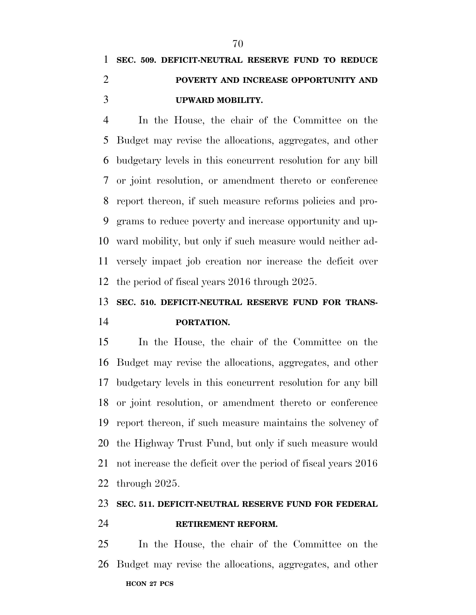# **SEC. 509. DEFICIT-NEUTRAL RESERVE FUND TO REDUCE POVERTY AND INCREASE OPPORTUNITY AND UPWARD MOBILITY.**

 In the House, the chair of the Committee on the Budget may revise the allocations, aggregates, and other budgetary levels in this concurrent resolution for any bill or joint resolution, or amendment thereto or conference report thereon, if such measure reforms policies and pro- grams to reduce poverty and increase opportunity and up- ward mobility, but only if such measure would neither ad- versely impact job creation nor increase the deficit over the period of fiscal years 2016 through 2025.

### **SEC. 510. DEFICIT-NEUTRAL RESERVE FUND FOR TRANS-PORTATION.**

 In the House, the chair of the Committee on the Budget may revise the allocations, aggregates, and other budgetary levels in this concurrent resolution for any bill or joint resolution, or amendment thereto or conference report thereon, if such measure maintains the solvency of the Highway Trust Fund, but only if such measure would not increase the deficit over the period of fiscal years 2016 through 2025.

# **SEC. 511. DEFICIT-NEUTRAL RESERVE FUND FOR FEDERAL**

**RETIREMENT REFORM.** 

**HCON 27 PCS**  In the House, the chair of the Committee on the Budget may revise the allocations, aggregates, and other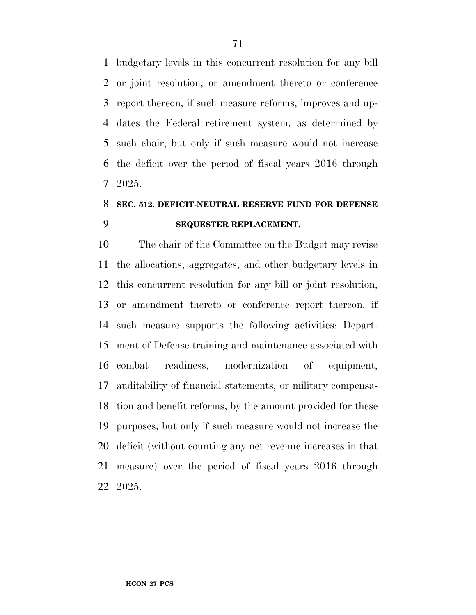budgetary levels in this concurrent resolution for any bill or joint resolution, or amendment thereto or conference report thereon, if such measure reforms, improves and up- dates the Federal retirement system, as determined by such chair, but only if such measure would not increase the deficit over the period of fiscal years 2016 through 2025.

### **SEC. 512. DEFICIT-NEUTRAL RESERVE FUND FOR DEFENSE SEQUESTER REPLACEMENT.**

 The chair of the Committee on the Budget may revise the allocations, aggregates, and other budgetary levels in this concurrent resolution for any bill or joint resolution, or amendment thereto or conference report thereon, if such measure supports the following activities: Depart- ment of Defense training and maintenance associated with combat readiness, modernization of equipment, auditability of financial statements, or military compensa- tion and benefit reforms, by the amount provided for these purposes, but only if such measure would not increase the deficit (without counting any net revenue increases in that measure) over the period of fiscal years 2016 through 2025.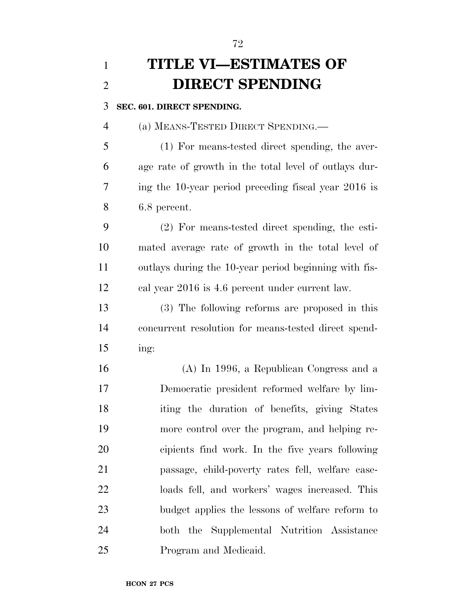| $\mathbf{1}$   | <b>TITLE VI-ESTIMATES OF</b>                          |
|----------------|-------------------------------------------------------|
| $\overline{2}$ | <b>DIRECT SPENDING</b>                                |
| 3              | SEC. 601. DIRECT SPENDING.                            |
| $\overline{4}$ | (a) MEANS-TESTED DIRECT SPENDING.—                    |
| 5              | (1) For means-tested direct spending, the aver-       |
| 6              | age rate of growth in the total level of outlays dur- |
| 7              | ing the 10-year period preceding fiscal year 2016 is  |
| 8              | 6.8 percent.                                          |
| 9              | $(2)$ For means-tested direct spending, the esti-     |
| 10             | mated average rate of growth in the total level of    |
| 11             | outlays during the 10-year period beginning with fis- |
| 12             | cal year 2016 is 4.6 percent under current law.       |
| 13             | (3) The following reforms are proposed in this        |
| 14             | concurrent resolution for means-tested direct spend-  |
| 15             | ing:                                                  |
| 16             | $(A)$ In 1996, a Republican Congress and a            |
| 17             | Democratic president reformed welfare by lim-         |
| 18             | iting the duration of benefits, giving States         |
| 19             | more control over the program, and helping re-        |
| 20             | cipients find work. In the five years following       |
| 21             | passage, child-poverty rates fell, welfare case-      |
| 22             | loads fell, and workers' wages increased. This        |
| 23             | budget applies the lessons of welfare reform to       |
| 24             | both the Supplemental Nutrition Assistance            |
| 25             | Program and Medicaid.                                 |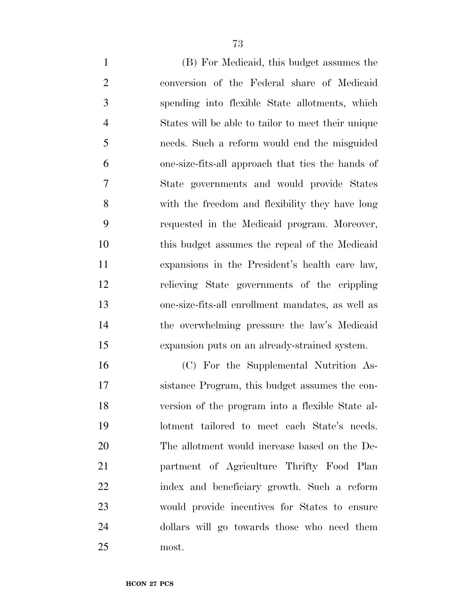(B) For Medicaid, this budget assumes the conversion of the Federal share of Medicaid spending into flexible State allotments, which States will be able to tailor to meet their unique needs. Such a reform would end the misguided one-size-fits-all approach that ties the hands of State governments and would provide States with the freedom and flexibility they have long requested in the Medicaid program. Moreover, this budget assumes the repeal of the Medicaid expansions in the President's health care law, relieving State governments of the crippling one-size-fits-all enrollment mandates, as well as the overwhelming pressure the law's Medicaid expansion puts on an already-strained system.

 (C) For the Supplemental Nutrition As- sistance Program, this budget assumes the con- version of the program into a flexible State al- lotment tailored to meet each State's needs. The allotment would increase based on the De- partment of Agriculture Thrifty Food Plan index and beneficiary growth. Such a reform would provide incentives for States to ensure dollars will go towards those who need them most.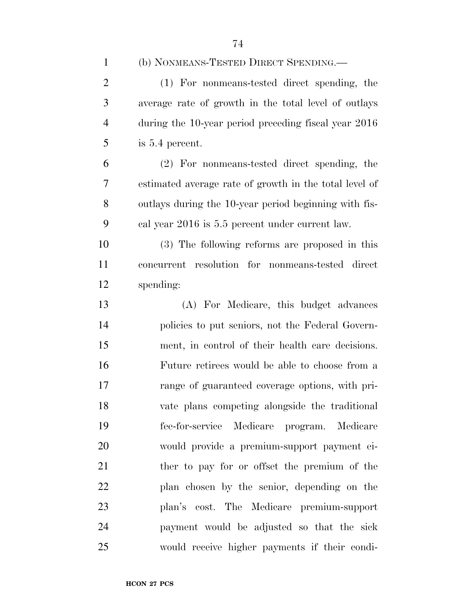(b) NONMEANS-TESTED DIRECT SPENDING.—

 (1) For nonmeans-tested direct spending, the average rate of growth in the total level of outlays during the 10-year period preceding fiscal year 2016 is 5.4 percent.

 (2) For nonmeans-tested direct spending, the estimated average rate of growth in the total level of outlays during the 10-year period beginning with fis-cal year 2016 is 5.5 percent under current law.

 (3) The following reforms are proposed in this concurrent resolution for nonmeans-tested direct spending:

 (A) For Medicare, this budget advances policies to put seniors, not the Federal Govern- ment, in control of their health care decisions. Future retirees would be able to choose from a range of guaranteed coverage options, with pri- vate plans competing alongside the traditional fee-for-service Medicare program. Medicare would provide a premium-support payment ei-21 ther to pay for or offset the premium of the plan chosen by the senior, depending on the plan's cost. The Medicare premium-support payment would be adjusted so that the sick would receive higher payments if their condi-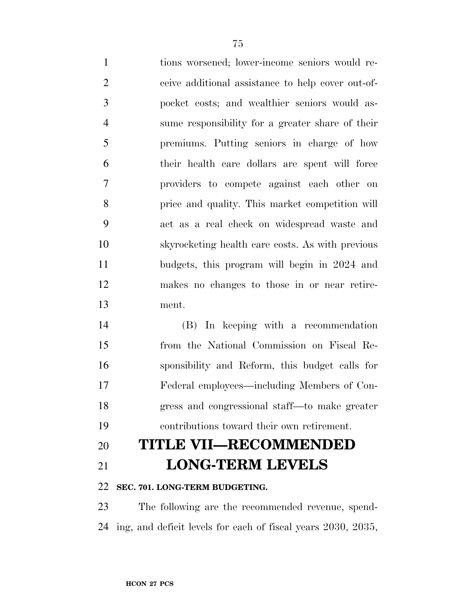tions worsened; lower-income seniors would re- ceive additional assistance to help cover out-of- pocket costs; and wealthier seniors would as- sume responsibility for a greater share of their premiums. Putting seniors in charge of how their health care dollars are spent will force providers to compete against each other on price and quality. This market competition will act as a real check on widespread waste and skyrocketing health care costs. As with previous budgets, this program will begin in 2024 and makes no changes to those in or near retire-ment.

 (B) In keeping with a recommendation from the National Commission on Fiscal Re- sponsibility and Reform, this budget calls for Federal employees—including Members of Con- gress and congressional staff—to make greater contributions toward their own retirement.

## **TITLE VII—RECOMMENDED LONG-TERM LEVELS**

### **SEC. 701. LONG-TERM BUDGETING.**

 The following are the recommended revenue, spend-ing, and deficit levels for each of fiscal years 2030, 2035,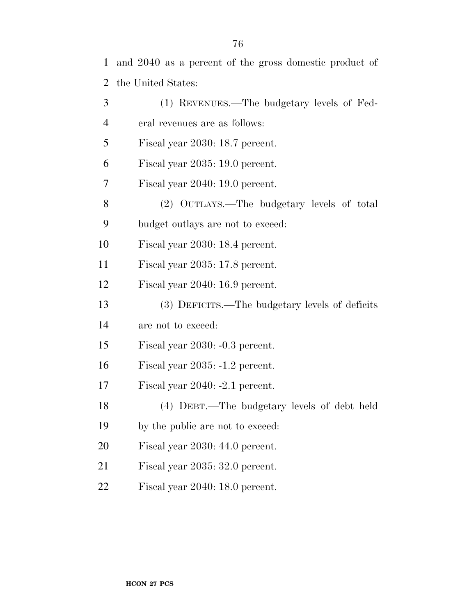and 2040 as a percent of the gross domestic product of the United States:

| 3              | (1) REVENUES.—The budgetary levels of Fed-     |
|----------------|------------------------------------------------|
| $\overline{4}$ | eral revenues are as follows:                  |
| 5              | Fiscal year 2030: 18.7 percent.                |
| 6              | Fiscal year 2035: 19.0 percent.                |
| 7              | Fiscal year 2040: 19.0 percent.                |
| 8              | (2) OUTLAYS.—The budgetary levels of total     |
| 9              | budget outlays are not to exceed:              |
| 10             | Fiscal year 2030: 18.4 percent.                |
| 11             | Fiscal year 2035: 17.8 percent.                |
| 12             | Fiscal year 2040: 16.9 percent.                |
| 13             | (3) DEFICITS.—The budgetary levels of deficits |
| 14             | are not to exceed:                             |
| 15             | Fiscal year 2030: -0.3 percent.                |
| 16             | Fiscal year $2035: -1.2$ percent.              |
| 17             | Fiscal year $2040: -2.1$ percent.              |
| 18             | (4) DEBT.—The budgetary levels of debt held    |
| 19             | by the public are not to exceed:               |
| 20             | Fiscal year 2030: 44.0 percent.                |
| 21             | Fiscal year 2035: 32.0 percent.                |
| 22             | Fiscal year 2040: 18.0 percent.                |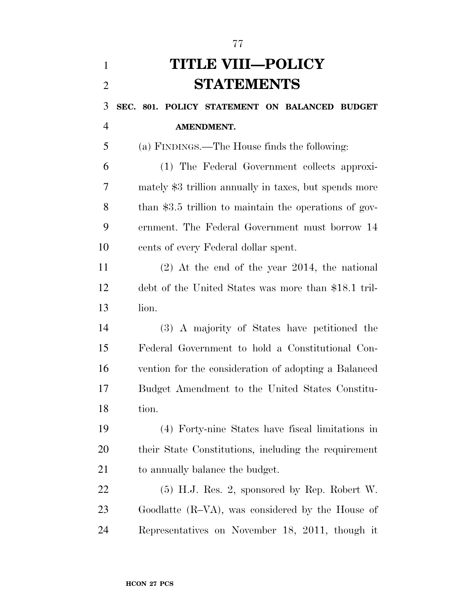# **TITLE VIII—POLICY STATEMENTS SEC. 801. POLICY STATEMENT ON BALANCED BUDGET AMENDMENT.**  (a) FINDINGS.—The House finds the following: (1) The Federal Government collects approxi- mately \$3 trillion annually in taxes, but spends more 8 than \$3.5 trillion to maintain the operations of gov- ernment. The Federal Government must borrow 14 cents of every Federal dollar spent. (2) At the end of the year 2014, the national debt of the United States was more than \$18.1 tril- lion. (3) A majority of States have petitioned the Federal Government to hold a Constitutional Con- vention for the consideration of adopting a Balanced Budget Amendment to the United States Constitu- tion. (4) Forty-nine States have fiscal limitations in their State Constitutions, including the requirement to annually balance the budget. (5) H.J. Res. 2, sponsored by Rep. Robert W. Goodlatte (R–VA), was considered by the House of Representatives on November 18, 2011, though it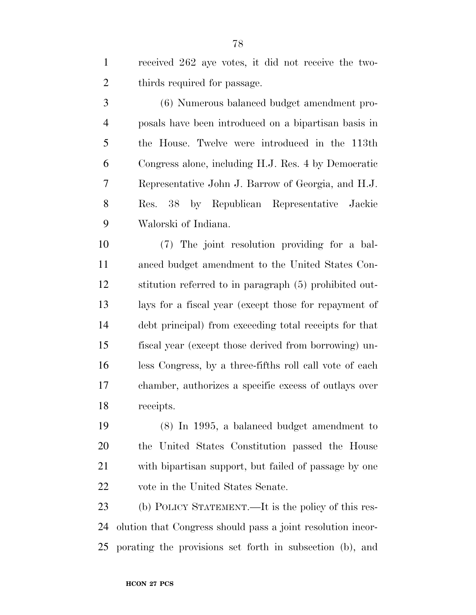received 262 aye votes, it did not receive the two-thirds required for passage.

 (6) Numerous balanced budget amendment pro- posals have been introduced on a bipartisan basis in the House. Twelve were introduced in the 113th Congress alone, including H.J. Res. 4 by Democratic Representative John J. Barrow of Georgia, and H.J. Res. 38 by Republican Representative Jackie Walorski of Indiana.

 (7) The joint resolution providing for a bal- anced budget amendment to the United States Con- stitution referred to in paragraph (5) prohibited out- lays for a fiscal year (except those for repayment of debt principal) from exceeding total receipts for that fiscal year (except those derived from borrowing) un- less Congress, by a three-fifths roll call vote of each chamber, authorizes a specific excess of outlays over receipts.

 (8) In 1995, a balanced budget amendment to the United States Constitution passed the House with bipartisan support, but failed of passage by one vote in the United States Senate.

 (b) POLICY STATEMENT.—It is the policy of this res- olution that Congress should pass a joint resolution incor-porating the provisions set forth in subsection (b), and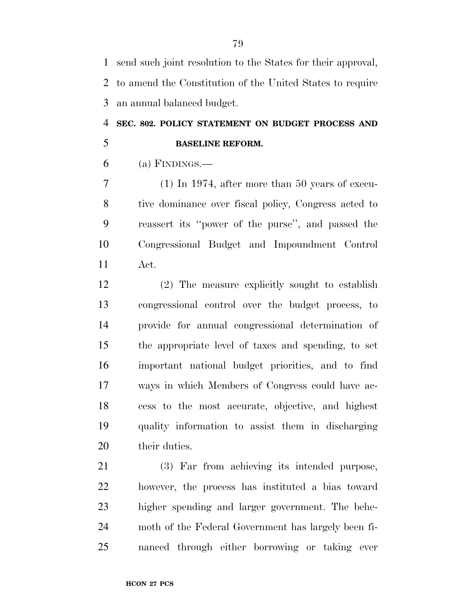send such joint resolution to the States for their approval, to amend the Constitution of the United States to require an annual balanced budget.

## **SEC. 802. POLICY STATEMENT ON BUDGET PROCESS AND BASELINE REFORM.**

(a) FINDINGS.—

 (1) In 1974, after more than 50 years of execu- tive dominance over fiscal policy, Congress acted to reassert its ''power of the purse'', and passed the Congressional Budget and Impoundment Control Act.

 (2) The measure explicitly sought to establish congressional control over the budget process, to provide for annual congressional determination of the appropriate level of taxes and spending, to set important national budget priorities, and to find ways in which Members of Congress could have ac- cess to the most accurate, objective, and highest quality information to assist them in discharging their duties.

 (3) Far from achieving its intended purpose, however, the process has instituted a bias toward higher spending and larger government. The behe- moth of the Federal Government has largely been fi-nanced through either borrowing or taking ever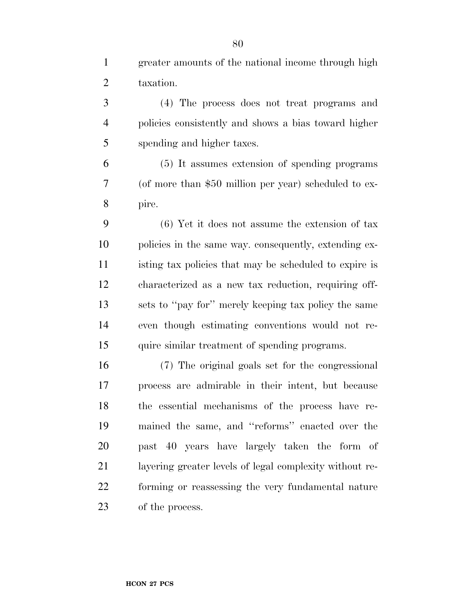greater amounts of the national income through high taxation.

 (4) The process does not treat programs and policies consistently and shows a bias toward higher spending and higher taxes.

 (5) It assumes extension of spending programs (of more than \$50 million per year) scheduled to ex-pire.

 (6) Yet it does not assume the extension of tax policies in the same way. consequently, extending ex- isting tax policies that may be scheduled to expire is characterized as a new tax reduction, requiring off- sets to ''pay for'' merely keeping tax policy the same even though estimating conventions would not re-quire similar treatment of spending programs.

 (7) The original goals set for the congressional process are admirable in their intent, but because the essential mechanisms of the process have re- mained the same, and ''reforms'' enacted over the past 40 years have largely taken the form of layering greater levels of legal complexity without re- forming or reassessing the very fundamental nature of the process.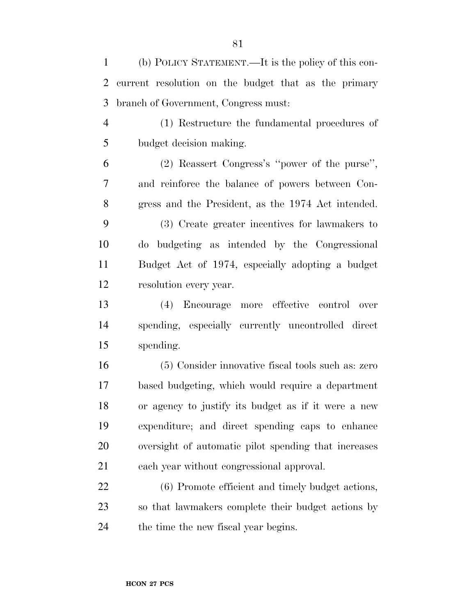(b) POLICY STATEMENT.—It is the policy of this con- current resolution on the budget that as the primary branch of Government, Congress must:

 (1) Restructure the fundamental procedures of budget decision making.

 (2) Reassert Congress's ''power of the purse'', and reinforce the balance of powers between Con-gress and the President, as the 1974 Act intended.

 (3) Create greater incentives for lawmakers to do budgeting as intended by the Congressional Budget Act of 1974, especially adopting a budget resolution every year.

 (4) Encourage more effective control over spending, especially currently uncontrolled direct spending.

 (5) Consider innovative fiscal tools such as: zero based budgeting, which would require a department or agency to justify its budget as if it were a new expenditure; and direct spending caps to enhance oversight of automatic pilot spending that increases each year without congressional approval.

 (6) Promote efficient and timely budget actions, so that lawmakers complete their budget actions by 24 the time the new fiscal year begins.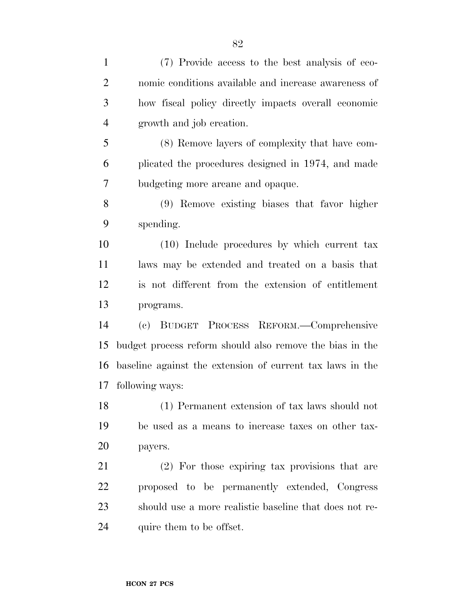| $\mathbf{1}$   | (7) Provide access to the best analysis of eco-           |
|----------------|-----------------------------------------------------------|
| $\overline{2}$ | nomic conditions available and increase awareness of      |
| 3              | how fiscal policy directly impacts overall economic       |
| $\overline{4}$ | growth and job creation.                                  |
| 5              | (8) Remove layers of complexity that have com-            |
| 6              | plicated the procedures designed in 1974, and made        |
| 7              | budgeting more areane and opaque.                         |
| 8              | (9) Remove existing biases that favor higher              |
| 9              | spending.                                                 |
| 10             | (10) Include procedures by which current tax              |
| 11             | laws may be extended and treated on a basis that          |
| 12             | is not different from the extension of entitlement        |
| 13             | programs.                                                 |
| 14             | BUDGET PROCESS REFORM.—Comprehensive<br>(e)               |
| 15             | budget process reform should also remove the bias in the  |
| 16             | baseline against the extension of current tax laws in the |
| 17             | following ways:                                           |
| 18             | (1) Permanent extension of tax laws should not            |
| 19             | be used as a means to increase taxes on other tax-        |
| 20             | payers.                                                   |
| 21             | (2) For those expiring tax provisions that are            |
| 22             | proposed to be permanently extended, Congress             |
| 23             | should use a more realistic baseline that does not re-    |
| 24             | quire them to be offset.                                  |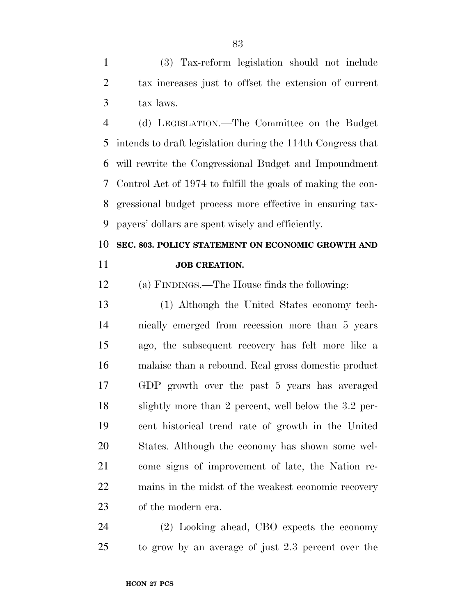(3) Tax-reform legislation should not include tax increases just to offset the extension of current tax laws.

 (d) LEGISLATION.—The Committee on the Budget intends to draft legislation during the 114th Congress that will rewrite the Congressional Budget and Impoundment Control Act of 1974 to fulfill the goals of making the con- gressional budget process more effective in ensuring tax-payers' dollars are spent wisely and efficiently.

## **SEC. 803. POLICY STATEMENT ON ECONOMIC GROWTH AND JOB CREATION.**

(a) FINDINGS.—The House finds the following:

 (1) Although the United States economy tech- nically emerged from recession more than 5 years ago, the subsequent recovery has felt more like a malaise than a rebound. Real gross domestic product GDP growth over the past 5 years has averaged slightly more than 2 percent, well below the 3.2 per- cent historical trend rate of growth in the United States. Although the economy has shown some wel- come signs of improvement of late, the Nation re- mains in the midst of the weakest economic recovery of the modern era.

 (2) Looking ahead, CBO expects the economy to grow by an average of just 2.3 percent over the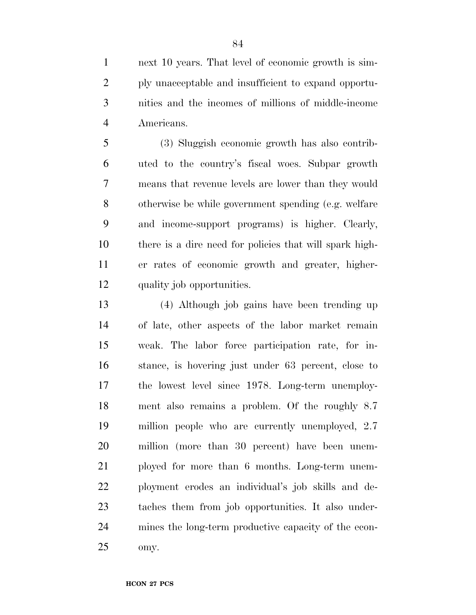next 10 years. That level of economic growth is sim- ply unacceptable and insufficient to expand opportu- nities and the incomes of millions of middle-income Americans.

 (3) Sluggish economic growth has also contrib- uted to the country's fiscal woes. Subpar growth means that revenue levels are lower than they would otherwise be while government spending (e.g. welfare and income-support programs) is higher. Clearly, there is a dire need for policies that will spark high- er rates of economic growth and greater, higher-quality job opportunities.

 (4) Although job gains have been trending up of late, other aspects of the labor market remain weak. The labor force participation rate, for in- stance, is hovering just under 63 percent, close to the lowest level since 1978. Long-term unemploy- ment also remains a problem. Of the roughly 8.7 million people who are currently unemployed, 2.7 million (more than 30 percent) have been unem- ployed for more than 6 months. Long-term unem- ployment erodes an individual's job skills and de- taches them from job opportunities. It also under- mines the long-term productive capacity of the econ-omy.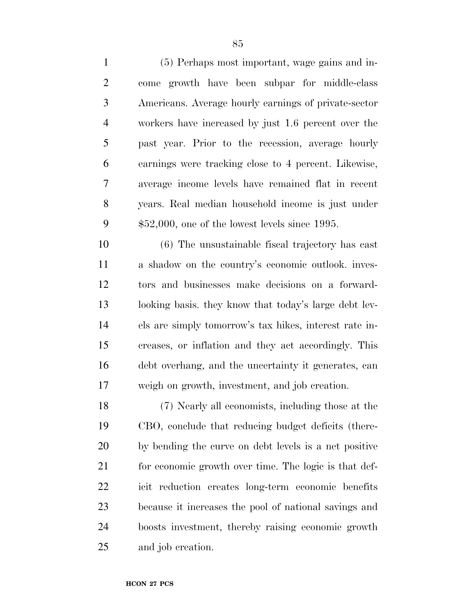(5) Perhaps most important, wage gains and in- come growth have been subpar for middle-class Americans. Average hourly earnings of private-sector workers have increased by just 1.6 percent over the past year. Prior to the recession, average hourly earnings were tracking close to 4 percent. Likewise, average income levels have remained flat in recent years. Real median household income is just under \$52,000, one of the lowest levels since 1995.

 (6) The unsustainable fiscal trajectory has cast a shadow on the country's economic outlook. inves- tors and businesses make decisions on a forward- looking basis. they know that today's large debt lev- els are simply tomorrow's tax hikes, interest rate in- creases, or inflation and they act accordingly. This debt overhang, and the uncertainty it generates, can weigh on growth, investment, and job creation.

 (7) Nearly all economists, including those at the CBO, conclude that reducing budget deficits (there- by bending the curve on debt levels is a net positive 21 for economic growth over time. The logic is that def- icit reduction creates long-term economic benefits because it increases the pool of national savings and boosts investment, thereby raising economic growth and job creation.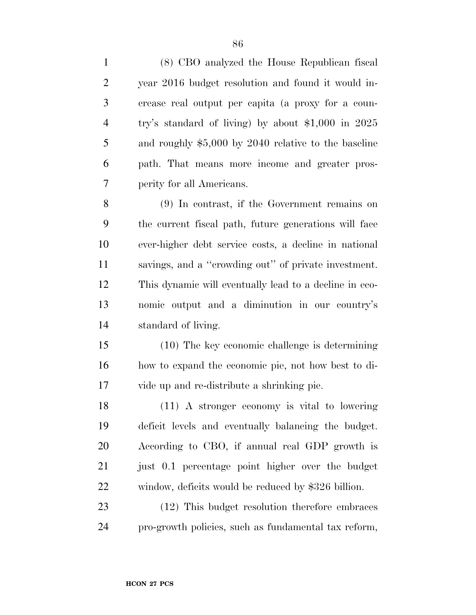| $\mathbf{1}$   | (8) CBO analyzed the House Republican fiscal           |
|----------------|--------------------------------------------------------|
| $\overline{2}$ | year 2016 budget resolution and found it would in-     |
| 3              | crease real output per capita (a proxy for a coun-     |
| $\overline{4}$ | try's standard of living) by about $$1,000$ in 2025    |
| 5              | and roughly $$5,000$ by 2040 relative to the baseline  |
| 6              | path. That means more income and greater pros-         |
| 7              | perity for all Americans.                              |
| 8              | (9) In contrast, if the Government remains on          |
| 9              | the current fiscal path, future generations will face  |
| 10             | ever-higher debt service costs, a decline in national  |
| 11             | savings, and a "crowding out" of private investment.   |
| 12             | This dynamic will eventually lead to a decline in eco- |
| 13             | nomic output and a diminution in our country's         |
| 14             | standard of living.                                    |
| 15             | $(10)$ The key economic challenge is determining       |
| 16             | how to expand the economic pie, not how best to di-    |
| 17             | vide up and re-distribute a shrinking pie.             |
| 18             | (11) A stronger economy is vital to lowering           |
| 19             | deficit levels and eventually balancing the budget.    |
| 20             | According to CBO, if annual real GDP growth is         |
| 21             | just 0.1 percentage point higher over the budget       |
| 22             | window, deficits would be reduced by \$326 billion.    |
| 23             | (12) This budget resolution therefore embraces         |
| 24             | pro-growth policies, such as fundamental tax reform,   |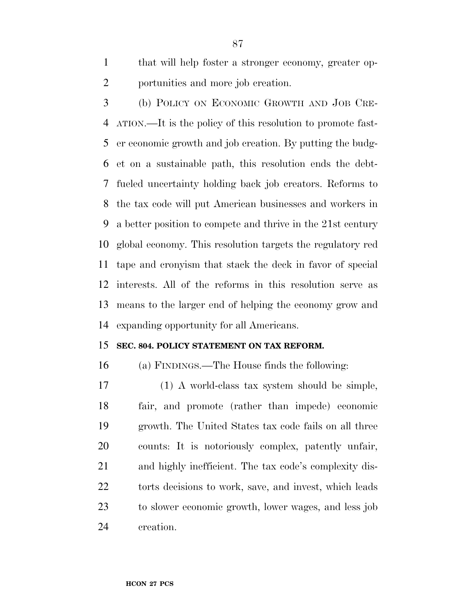that will help foster a stronger economy, greater op-portunities and more job creation.

 (b) POLICY ON ECONOMIC GROWTH AND JOB CRE- ATION.—It is the policy of this resolution to promote fast- er economic growth and job creation. By putting the budg- et on a sustainable path, this resolution ends the debt- fueled uncertainty holding back job creators. Reforms to the tax code will put American businesses and workers in a better position to compete and thrive in the 21st century global economy. This resolution targets the regulatory red tape and cronyism that stack the deck in favor of special interests. All of the reforms in this resolution serve as means to the larger end of helping the economy grow and expanding opportunity for all Americans.

#### **SEC. 804. POLICY STATEMENT ON TAX REFORM.**

(a) FINDINGS.—The House finds the following:

 (1) A world-class tax system should be simple, fair, and promote (rather than impede) economic growth. The United States tax code fails on all three counts: It is notoriously complex, patently unfair, and highly inefficient. The tax code's complexity dis-22 torts decisions to work, save, and invest, which leads to slower economic growth, lower wages, and less job creation.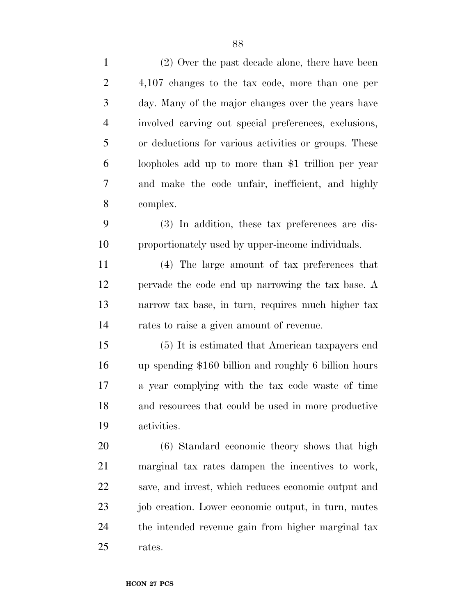| $\mathbf{1}$   | (2) Over the past decade alone, there have been       |
|----------------|-------------------------------------------------------|
| $\overline{2}$ | 4,107 changes to the tax code, more than one per      |
| 3              | day. Many of the major changes over the years have    |
| $\overline{4}$ | involved carving out special preferences, exclusions, |
| 5              | or deductions for various activities or groups. These |
| 6              | loopholes add up to more than \$1 trillion per year   |
| 7              | and make the code unfair, inefficient, and highly     |
| 8              | complex.                                              |
| 9              | (3) In addition, these tax preferences are dis-       |
| 10             | proportionately used by upper-income individuals.     |
| 11             | (4) The large amount of tax preferences that          |
| 12             | pervade the code end up narrowing the tax base. A     |
| 13             | narrow tax base, in turn, requires much higher tax    |
| 14             | rates to raise a given amount of revenue.             |
| 15             | (5) It is estimated that American taxpayers end       |
| 16             | up spending \$160 billion and roughly 6 billion hours |
| 17             | a year complying with the tax code waste of time      |
| 18             | and resources that could be used in more productive   |
| 19             | activities.                                           |
| 20             | (6) Standard economic theory shows that high          |
| 21             | marginal tax rates dampen the incentives to work,     |
| 22             | save, and invest, which reduces economic output and   |
| 23             | job creation. Lower economic output, in turn, mutes   |
| 24             | the intended revenue gain from higher marginal tax    |
| 25             | rates.                                                |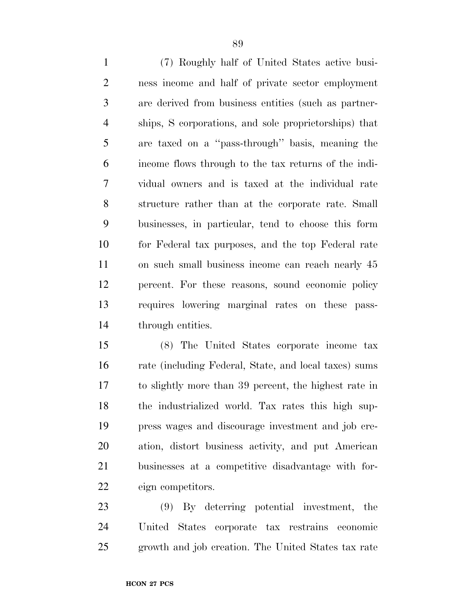(7) Roughly half of United States active busi- ness income and half of private sector employment are derived from business entities (such as partner- ships, S corporations, and sole proprietorships) that are taxed on a ''pass-through'' basis, meaning the income flows through to the tax returns of the indi- vidual owners and is taxed at the individual rate structure rather than at the corporate rate. Small businesses, in particular, tend to choose this form for Federal tax purposes, and the top Federal rate on such small business income can reach nearly 45 percent. For these reasons, sound economic policy requires lowering marginal rates on these pass-through entities.

 (8) The United States corporate income tax rate (including Federal, State, and local taxes) sums to slightly more than 39 percent, the highest rate in the industrialized world. Tax rates this high sup- press wages and discourage investment and job cre- ation, distort business activity, and put American businesses at a competitive disadvantage with for-eign competitors.

 (9) By deterring potential investment, the United States corporate tax restrains economic growth and job creation. The United States tax rate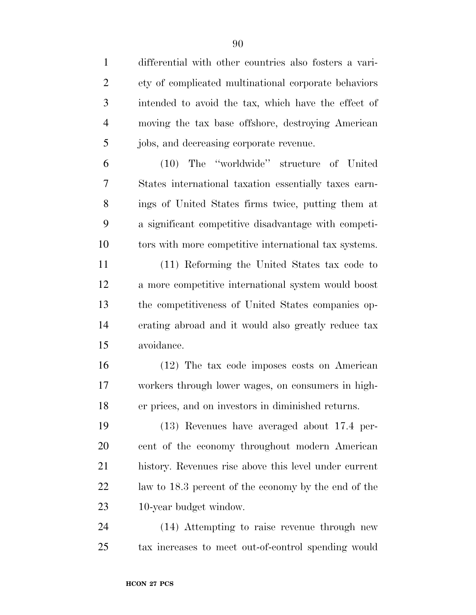differential with other countries also fosters a vari- ety of complicated multinational corporate behaviors intended to avoid the tax, which have the effect of moving the tax base offshore, destroying American jobs, and decreasing corporate revenue.

 (10) The ''worldwide'' structure of United States international taxation essentially taxes earn- ings of United States firms twice, putting them at a significant competitive disadvantage with competi-tors with more competitive international tax systems.

 (11) Reforming the United States tax code to a more competitive international system would boost the competitiveness of United States companies op- erating abroad and it would also greatly reduce tax avoidance.

 (12) The tax code imposes costs on American workers through lower wages, on consumers in high-er prices, and on investors in diminished returns.

 (13) Revenues have averaged about 17.4 per- cent of the economy throughout modern American history. Revenues rise above this level under current law to 18.3 percent of the economy by the end of the 10-year budget window.

 (14) Attempting to raise revenue through new tax increases to meet out-of-control spending would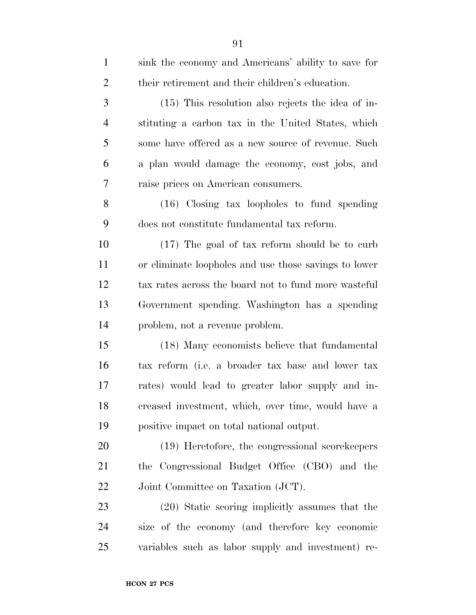| $\mathbf{1}$   | sink the economy and Americans' ability to save for   |
|----------------|-------------------------------------------------------|
| $\overline{2}$ | their retirement and their children's education.      |
| 3              | $(15)$ This resolution also rejects the idea of in-   |
| $\overline{4}$ | stituting a carbon tax in the United States, which    |
| 5              | some have offered as a new source of revenue. Such    |
| 6              | a plan would damage the economy, cost jobs, and       |
| 7              | raise prices on American consumers.                   |
| 8              | $(16)$ Closing tax loopholes to fund spending         |
| 9              | does not constitute fundamental tax reform.           |
| 10             | (17) The goal of tax reform should be to curb         |
| 11             | or eliminate loopholes and use those savings to lower |
| 12             | tax rates across the board not to fund more wasteful  |
| 13             | Government spending. Washington has a spending        |
| 14             | problem, not a revenue problem.                       |
| 15             | (18) Many economists believe that fundamental         |
| 16             | tax reform (i.e. a broader tax base and lower tax     |
| 17             | rates) would lead to greater labor supply and in-     |
| 18             | creased investment, which, over time, would have a    |
| 19             | positive impact on total national output.             |
| 20             | (19) Heretofore, the congressional scorekeepers       |
| 21             | the Congressional Budget Office (CBO) and the         |
| 22             | Joint Committee on Taxation (JCT).                    |
| 23             | (20) Static scoring implicitly assumes that the       |
| 24             | size of the economy (and therefore key economic       |
| 25             | variables such as labor supply and investment) re-    |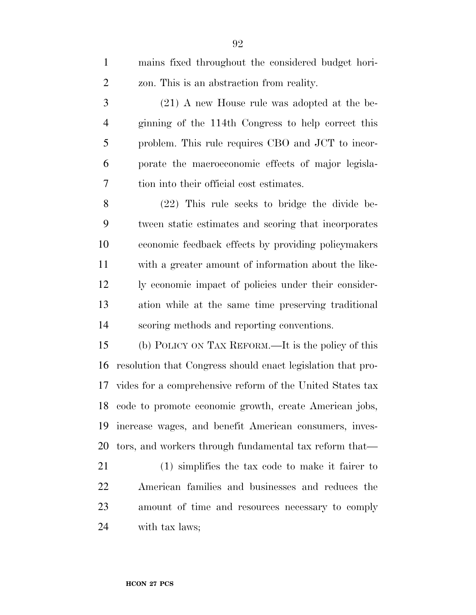| $\mathbf{1}$   | mains fixed throughout the considered budget hori-          |
|----------------|-------------------------------------------------------------|
| $\overline{2}$ | zon. This is an abstraction from reality.                   |
| 3              | $(21)$ A new House rule was adopted at the be-              |
| $\overline{4}$ | ginning of the 114th Congress to help correct this          |
| 5              | problem. This rule requires CBO and JCT to incor-           |
| 6              | porate the macroeconomic effects of major legisla-          |
| 7              | tion into their official cost estimates.                    |
| 8              | $(22)$ This rule seeks to bridge the divide be-             |
| 9              | tween static estimates and scoring that incorporates        |
| 10             | economic feedback effects by providing policymakers         |
| 11             | with a greater amount of information about the like-        |
| 12             | ly economic impact of policies under their consider-        |
| 13             | ation while at the same time preserving traditional         |
| 14             | scoring methods and reporting conventions.                  |
| 15             | (b) POLICY ON TAX REFORM.—It is the policy of this          |
| 16             | resolution that Congress should enact legislation that pro- |
| 17             | vides for a comprehensive reform of the United States tax   |
|                | 18 code to promote economic growth, create American jobs,   |
| 19             | increase wages, and benefit American consumers, inves-      |
| 20             | tors, and workers through fundamental tax reform that—      |
| 21             | $(1)$ simplifies the tax code to make it fairer to          |
| 22             | American families and businesses and reduces the            |
| 23             | amount of time and resources necessary to comply            |
| 24             | with tax laws;                                              |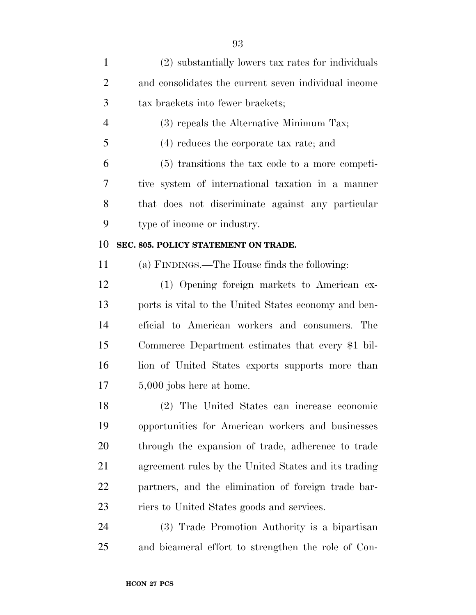| $\mathbf{1}$   | (2) substantially lowers tax rates for individuals   |
|----------------|------------------------------------------------------|
| $\overline{2}$ | and consolidates the current seven individual income |
| 3              | tax brackets into fewer brackets;                    |
| $\overline{4}$ | (3) repeals the Alternative Minimum Tax;             |
| 5              | $(4)$ reduces the corporate tax rate; and            |
| 6              | $(5)$ transitions the tax code to a more competi-    |
| 7              | tive system of international taxation in a manner    |
| 8              | that does not discriminate against any particular    |
| 9              | type of income or industry.                          |
| 10             | SEC. 805. POLICY STATEMENT ON TRADE.                 |
| 11             | (a) FINDINGS.—The House finds the following:         |
| 12             | (1) Opening foreign markets to American ex-          |
| 13             | ports is vital to the United States economy and ben- |
| 14             | eficial to American workers and consumers. The       |
| 15             | Commerce Department estimates that every \$1 bil-    |
| 16             | lion of United States exports supports more than     |
| 17             | 5,000 jobs here at home.                             |
| 18             | (2) The United States can increase economic          |
| 19             | opportunities for American workers and businesses    |
| 20             | through the expansion of trade, adherence to trade   |
| 21             | agreement rules by the United States and its trading |
| <u>22</u>      | partners, and the elimination of foreign trade bar-  |
| 23             | riers to United States goods and services.           |
| 24             | (3) Trade Promotion Authority is a bipartisan        |
| 25             | and bicameral effort to strengthen the role of Con-  |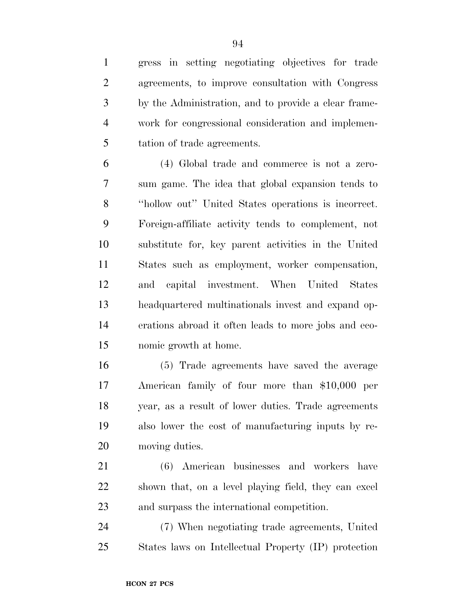gress in setting negotiating objectives for trade agreements, to improve consultation with Congress by the Administration, and to provide a clear frame- work for congressional consideration and implemen-tation of trade agreements.

 (4) Global trade and commerce is not a zero- sum game. The idea that global expansion tends to ''hollow out'' United States operations is incorrect. Foreign-affiliate activity tends to complement, not substitute for, key parent activities in the United States such as employment, worker compensation, and capital investment. When United States headquartered multinationals invest and expand op- erations abroad it often leads to more jobs and eco-nomic growth at home.

 (5) Trade agreements have saved the average American family of four more than \$10,000 per year, as a result of lower duties. Trade agreements also lower the cost of manufacturing inputs by re-moving duties.

 (6) American businesses and workers have shown that, on a level playing field, they can excel and surpass the international competition.

 (7) When negotiating trade agreements, United States laws on Intellectual Property (IP) protection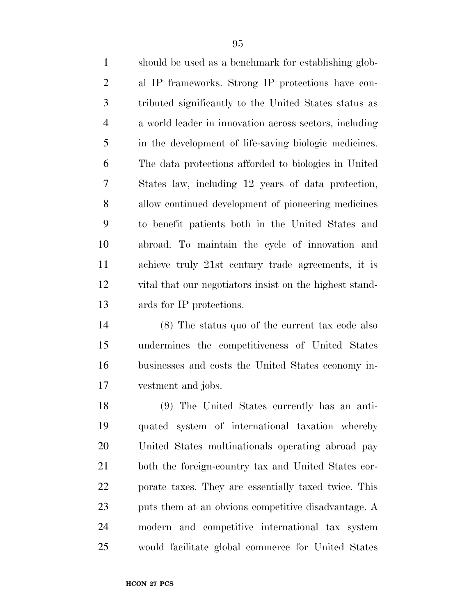should be used as a benchmark for establishing glob- al IP frameworks. Strong IP protections have con- tributed significantly to the United States status as a world leader in innovation across sectors, including in the development of life-saving biologic medicines. The data protections afforded to biologics in United States law, including 12 years of data protection, allow continued development of pioneering medicines to benefit patients both in the United States and abroad. To maintain the cycle of innovation and achieve truly 21st century trade agreements, it is vital that our negotiators insist on the highest stand-ards for IP protections.

 (8) The status quo of the current tax code also undermines the competitiveness of United States businesses and costs the United States economy in-vestment and jobs.

 (9) The United States currently has an anti- quated system of international taxation whereby United States multinationals operating abroad pay both the foreign-country tax and United States cor- porate taxes. They are essentially taxed twice. This puts them at an obvious competitive disadvantage. A modern and competitive international tax system would facilitate global commerce for United States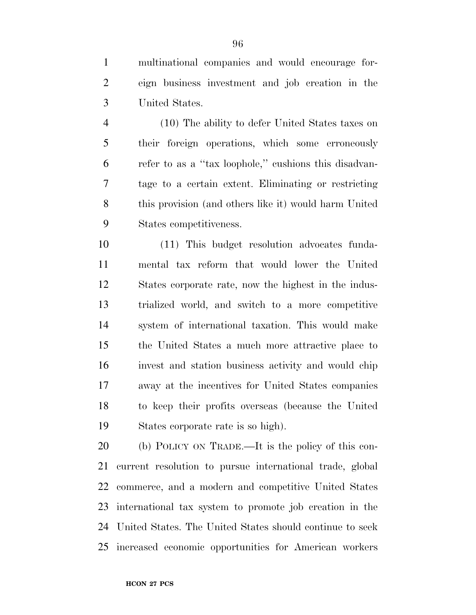multinational companies and would encourage for- eign business investment and job creation in the United States.

 (10) The ability to defer United States taxes on their foreign operations, which some erroneously refer to as a ''tax loophole,'' cushions this disadvan- tage to a certain extent. Eliminating or restricting this provision (and others like it) would harm United States competitiveness.

 (11) This budget resolution advocates funda- mental tax reform that would lower the United States corporate rate, now the highest in the indus- trialized world, and switch to a more competitive system of international taxation. This would make the United States a much more attractive place to invest and station business activity and would chip away at the incentives for United States companies to keep their profits overseas (because the United States corporate rate is so high).

 (b) POLICY ON TRADE.—It is the policy of this con- current resolution to pursue international trade, global commerce, and a modern and competitive United States international tax system to promote job creation in the United States. The United States should continue to seek increased economic opportunities for American workers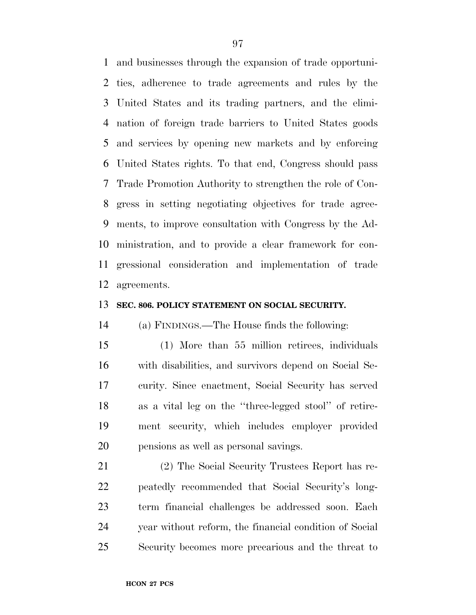and businesses through the expansion of trade opportuni- ties, adherence to trade agreements and rules by the United States and its trading partners, and the elimi- nation of foreign trade barriers to United States goods and services by opening new markets and by enforcing United States rights. To that end, Congress should pass Trade Promotion Authority to strengthen the role of Con- gress in setting negotiating objectives for trade agree- ments, to improve consultation with Congress by the Ad- ministration, and to provide a clear framework for con- gressional consideration and implementation of trade agreements.

#### **SEC. 806. POLICY STATEMENT ON SOCIAL SECURITY.**

(a) FINDINGS.—The House finds the following:

 (1) More than 55 million retirees, individuals with disabilities, and survivors depend on Social Se- curity. Since enactment, Social Security has served as a vital leg on the ''three-legged stool'' of retire- ment security, which includes employer provided pensions as well as personal savings.

 (2) The Social Security Trustees Report has re- peatedly recommended that Social Security's long- term financial challenges be addressed soon. Each year without reform, the financial condition of Social Security becomes more precarious and the threat to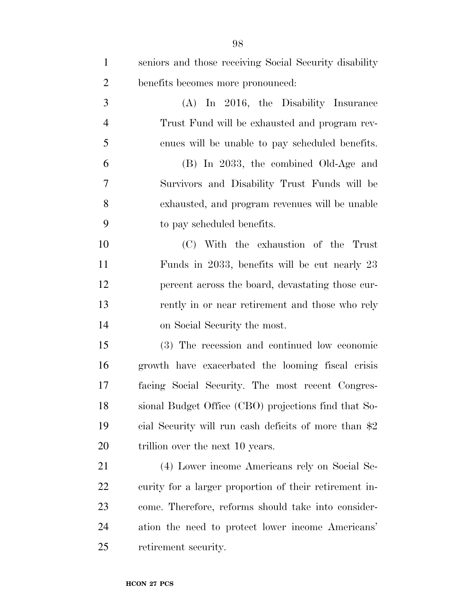| $\mathbf{1}$   | seniors and those receiving Social Security disability |
|----------------|--------------------------------------------------------|
| $\overline{2}$ | benefits becomes more pronounced:                      |
| 3              | $(A)$ In 2016, the Disability Insurance                |
| $\overline{4}$ | Trust Fund will be exhausted and program rev-          |
| 5              | enues will be unable to pay scheduled benefits.        |
| 6              | (B) In 2033, the combined Old-Age and                  |
| $\overline{7}$ | Survivors and Disability Trust Funds will be           |
| 8              | exhausted, and program revenues will be unable         |
| 9              | to pay scheduled benefits.                             |
| 10             | (C) With the exhaustion of the Trust                   |
| 11             | Funds in 2033, benefits will be cut nearly 23          |
| 12             | percent across the board, devastating those cur-       |
| 13             | rently in or near retirement and those who rely        |
| 14             | on Social Security the most.                           |
| 15             | (3) The recession and continued low economic           |
| 16             | growth have exacerbated the looming fiscal crisis      |
| 17             | facing Social Security. The most recent Congres-       |
| 18             | sional Budget Office (CBO) projections find that So-   |
| 19             | cial Security will run cash deficits of more than \$2  |
| <b>20</b>      | trillion over the next 10 years.                       |
| 21             | (4) Lower income Americans rely on Social Se-          |
| <u>22</u>      | curity for a larger proportion of their retirement in- |
| 23             | come. Therefore, reforms should take into consider-    |
| 24             | ation the need to protect lower income Americans'      |
| 25             | retirement security.                                   |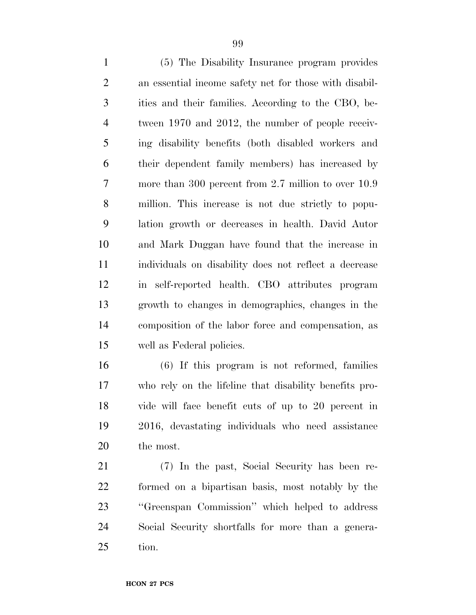(5) The Disability Insurance program provides an essential income safety net for those with disabil- ities and their families. According to the CBO, be- tween 1970 and 2012, the number of people receiv- ing disability benefits (both disabled workers and their dependent family members) has increased by more than 300 percent from 2.7 million to over 10.9 million. This increase is not due strictly to popu- lation growth or decreases in health. David Autor and Mark Duggan have found that the increase in individuals on disability does not reflect a decrease in self-reported health. CBO attributes program growth to changes in demographics, changes in the composition of the labor force and compensation, as well as Federal policies.

 (6) If this program is not reformed, families who rely on the lifeline that disability benefits pro- vide will face benefit cuts of up to 20 percent in 2016, devastating individuals who need assistance the most.

 (7) In the past, Social Security has been re- formed on a bipartisan basis, most notably by the ''Greenspan Commission'' which helped to address Social Security shortfalls for more than a genera-tion.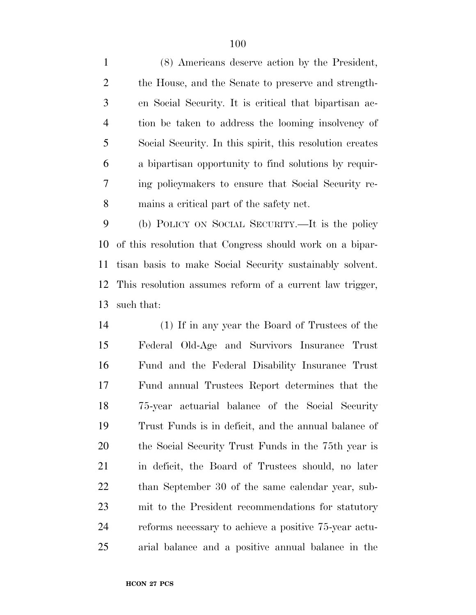(8) Americans deserve action by the President, the House, and the Senate to preserve and strength- en Social Security. It is critical that bipartisan ac- tion be taken to address the looming insolvency of Social Security. In this spirit, this resolution creates a bipartisan opportunity to find solutions by requir- ing policymakers to ensure that Social Security re-mains a critical part of the safety net.

 (b) POLICY ON SOCIAL SECURITY.—It is the policy of this resolution that Congress should work on a bipar- tisan basis to make Social Security sustainably solvent. This resolution assumes reform of a current law trigger, such that:

 (1) If in any year the Board of Trustees of the Federal Old-Age and Survivors Insurance Trust Fund and the Federal Disability Insurance Trust Fund annual Trustees Report determines that the 75-year actuarial balance of the Social Security Trust Funds is in deficit, and the annual balance of the Social Security Trust Funds in the 75th year is in deficit, the Board of Trustees should, no later than September 30 of the same calendar year, sub- mit to the President recommendations for statutory reforms necessary to achieve a positive 75-year actu-arial balance and a positive annual balance in the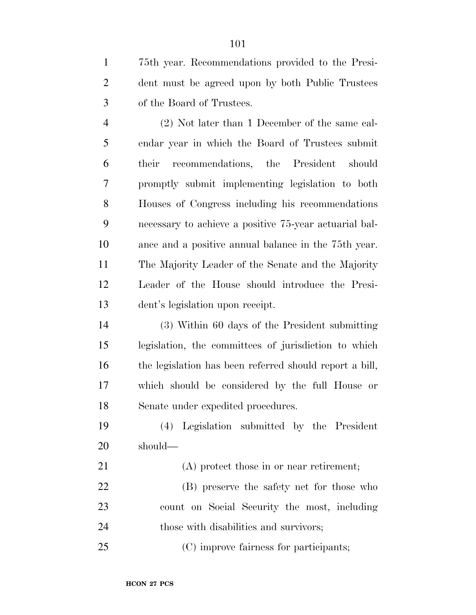75th year. Recommendations provided to the Presi- dent must be agreed upon by both Public Trustees of the Board of Trustees.

 (2) Not later than 1 December of the same cal- endar year in which the Board of Trustees submit their recommendations, the President should promptly submit implementing legislation to both Houses of Congress including his recommendations necessary to achieve a positive 75-year actuarial bal- ance and a positive annual balance in the 75th year. The Majority Leader of the Senate and the Majority Leader of the House should introduce the Presi-dent's legislation upon receipt.

 (3) Within 60 days of the President submitting legislation, the committees of jurisdiction to which the legislation has been referred should report a bill, which should be considered by the full House or Senate under expedited procedures.

 (4) Legislation submitted by the President should—

 (A) protect those in or near retirement; (B) preserve the safety net for those who count on Social Security the most, including those with disabilities and survivors;

(C) improve fairness for participants;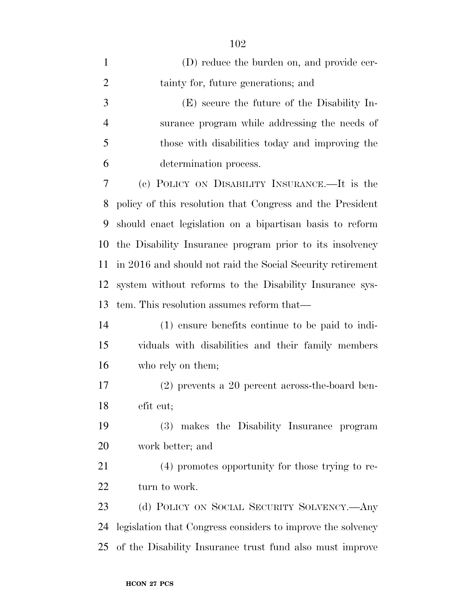| $\mathbf{1}$   | (D) reduce the burden on, and provide cer-                  |
|----------------|-------------------------------------------------------------|
| $\overline{2}$ | tainty for, future generations; and                         |
| 3              | (E) secure the future of the Disability In-                 |
| $\overline{4}$ | surance program while addressing the needs of               |
| 5              | those with disabilities today and improving the             |
| 6              | determination process.                                      |
| 7              | (c) POLICY ON DISABILITY INSURANCE.—It is the               |
| 8              | policy of this resolution that Congress and the President   |
| 9              | should enact legislation on a bipartisan basis to reform    |
| 10             | the Disability Insurance program prior to its insolvency    |
| 11             | in 2016 and should not raid the Social Security retirement  |
| 12             | system without reforms to the Disability Insurance sys-     |
| 13             | tem. This resolution assumes reform that—                   |
| 14             | (1) ensure benefits continue to be paid to indi-            |
| 15             | viduals with disabilities and their family members          |
| 16             | who rely on them;                                           |
| 17             | $(2)$ prevents a 20 percent across-the-board ben-           |
| 18             | efit cut;                                                   |
| 19             | (3) makes the Disability Insurance program                  |
| 20             | work better; and                                            |
| 21             | (4) promotes opportunity for those trying to re-            |
| 22             | turn to work.                                               |
| 23             | (d) POLICY ON SOCIAL SECURITY SOLVENCY.—Any                 |
| 24             | legislation that Congress considers to improve the solvency |
| 25             | of the Disability Insurance trust fund also must improve    |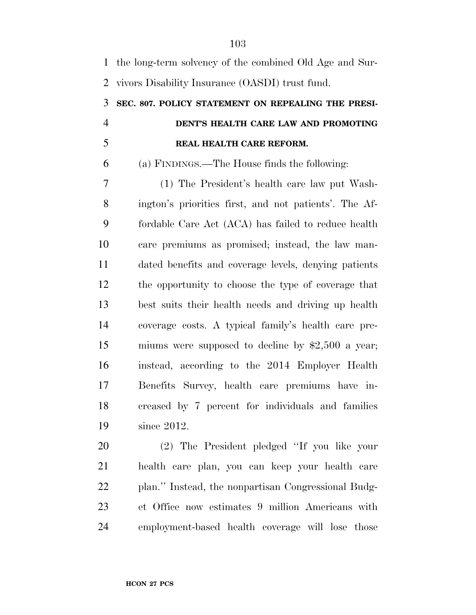| $\mathbf{1}$   | the long-term solvency of the combined Old Age and Sur- |
|----------------|---------------------------------------------------------|
| 2              | vivors Disability Insurance (OASDI) trust fund.         |
| 3              | SEC. 807. POLICY STATEMENT ON REPEALING THE PRESI-      |
| $\overline{4}$ | DENT'S HEALTH CARE LAW AND PROMOTING                    |
| 5              | REAL HEALTH CARE REFORM.                                |
| 6              | (a) FINDINGS.—The House finds the following:            |
| 7              | (1) The President's health care law put Wash-           |
| 8              | ington's priorities first, and not patients'. The Af-   |
| 9              | fordable Care Act (ACA) has failed to reduce health     |
| 10             | care premiums as promised; instead, the law man-        |
| 11             | dated benefits and coverage levels, denying patients    |
| 12             | the opportunity to choose the type of coverage that     |
| 13             | best suits their health needs and driving up health     |
| 14             | coverage costs. A typical family's health care pre-     |
| 15             | miums were supposed to decline by $$2,500$ a year;      |
| 16             | instead, according to the 2014 Employer Health          |
| 17             | Benefits Survey, health care premiums have in-          |
| 18             | creased by 7 percent for individuals and families       |
| 19             | since 2012.                                             |
| 20             | (2) The President pledged "If you like your             |
| 21             | health care plan, you can keep your health care         |
| 22             | plan." Instead, the nonpartisan Congressional Budg-     |
| 23             | et Office now estimates 9 million Americans with        |

employment-based health coverage will lose those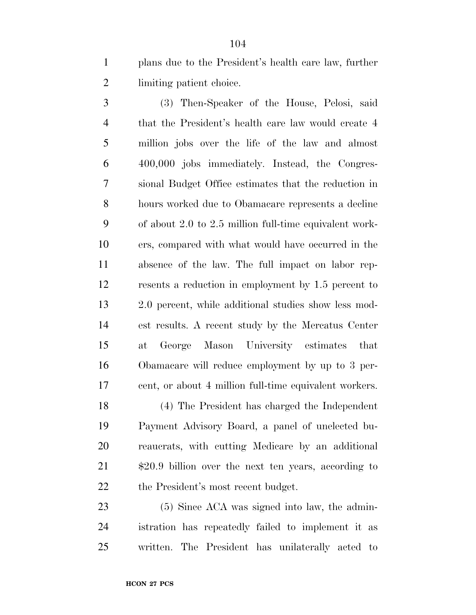plans due to the President's health care law, further limiting patient choice.

 (3) Then-Speaker of the House, Pelosi, said that the President's health care law would create 4 million jobs over the life of the law and almost 400,000 jobs immediately. Instead, the Congres- sional Budget Office estimates that the reduction in hours worked due to Obamacare represents a decline of about 2.0 to 2.5 million full-time equivalent work- ers, compared with what would have occurred in the absence of the law. The full impact on labor rep- resents a reduction in employment by 1.5 percent to 2.0 percent, while additional studies show less mod- est results. A recent study by the Mercatus Center at George Mason University estimates that Obamacare will reduce employment by up to 3 per-cent, or about 4 million full-time equivalent workers.

 (4) The President has charged the Independent Payment Advisory Board, a panel of unelected bu- reaucrats, with cutting Medicare by an additional  $\sharp 20.9$  billion over the next ten years, according to 22 the President's most recent budget.

23 (5) Since ACA was signed into law, the admin- istration has repeatedly failed to implement it as written. The President has unilaterally acted to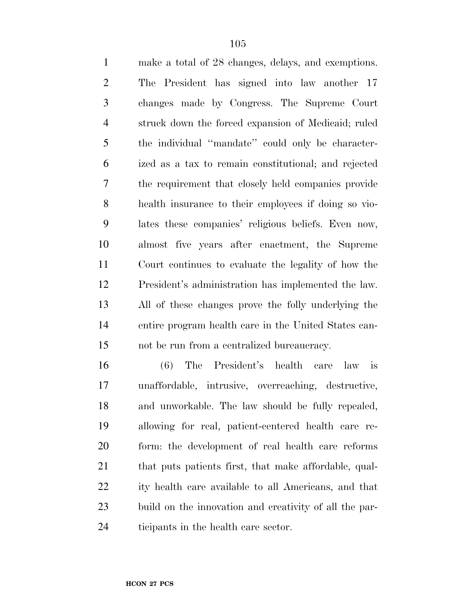make a total of 28 changes, delays, and exemptions. The President has signed into law another 17 changes made by Congress. The Supreme Court struck down the forced expansion of Medicaid; ruled the individual ''mandate'' could only be character- ized as a tax to remain constitutional; and rejected the requirement that closely held companies provide health insurance to their employees if doing so vio- lates these companies' religious beliefs. Even now, almost five years after enactment, the Supreme Court continues to evaluate the legality of how the President's administration has implemented the law. All of these changes prove the folly underlying the entire program health care in the United States can-not be run from a centralized bureaucracy.

 (6) The President's health care law is unaffordable, intrusive, overreaching, destructive, and unworkable. The law should be fully repealed, allowing for real, patient-centered health care re- form: the development of real health care reforms 21 that puts patients first, that make affordable, qual- ity health care available to all Americans, and that build on the innovation and creativity of all the par-ticipants in the health care sector.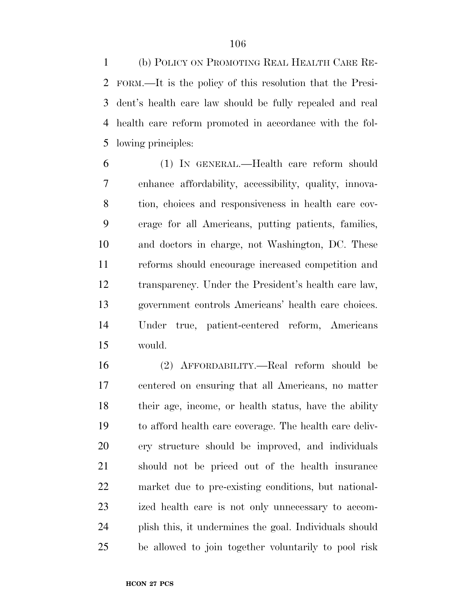(b) POLICY ON PROMOTING REAL HEALTH CARE RE- FORM.—It is the policy of this resolution that the Presi- dent's health care law should be fully repealed and real health care reform promoted in accordance with the fol-lowing principles:

 (1) IN GENERAL.—Health care reform should enhance affordability, accessibility, quality, innova- tion, choices and responsiveness in health care cov- erage for all Americans, putting patients, families, and doctors in charge, not Washington, DC. These reforms should encourage increased competition and transparency. Under the President's health care law, government controls Americans' health care choices. Under true, patient-centered reform, Americans would.

 (2) AFFORDABILITY.—Real reform should be centered on ensuring that all Americans, no matter their age, income, or health status, have the ability to afford health care coverage. The health care deliv- ery structure should be improved, and individuals should not be priced out of the health insurance market due to pre-existing conditions, but national- ized health care is not only unnecessary to accom- plish this, it undermines the goal. Individuals should be allowed to join together voluntarily to pool risk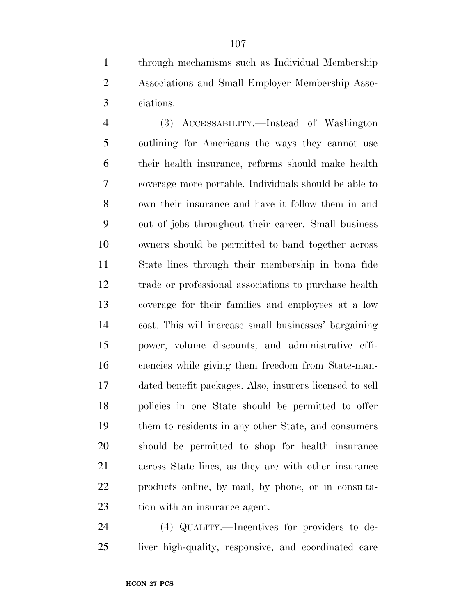through mechanisms such as Individual Membership Associations and Small Employer Membership Asso-ciations.

 (3) ACCESSABILITY.—Instead of Washington outlining for Americans the ways they cannot use their health insurance, reforms should make health coverage more portable. Individuals should be able to own their insurance and have it follow them in and out of jobs throughout their career. Small business owners should be permitted to band together across State lines through their membership in bona fide trade or professional associations to purchase health coverage for their families and employees at a low cost. This will increase small businesses' bargaining power, volume discounts, and administrative effi- ciencies while giving them freedom from State-man- dated benefit packages. Also, insurers licensed to sell policies in one State should be permitted to offer them to residents in any other State, and consumers should be permitted to shop for health insurance across State lines, as they are with other insurance products online, by mail, by phone, or in consulta-tion with an insurance agent.

 (4) QUALITY.—Incentives for providers to de-liver high-quality, responsive, and coordinated care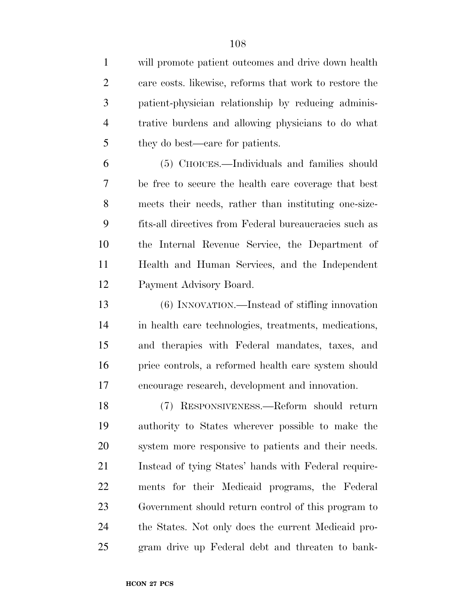will promote patient outcomes and drive down health care costs. likewise, reforms that work to restore the patient-physician relationship by reducing adminis- trative burdens and allowing physicians to do what they do best—care for patients.

 (5) CHOICES.—Individuals and families should be free to secure the health care coverage that best meets their needs, rather than instituting one-size- fits-all directives from Federal bureaucracies such as the Internal Revenue Service, the Department of Health and Human Services, and the Independent Payment Advisory Board.

 (6) INNOVATION.—Instead of stifling innovation in health care technologies, treatments, medications, and therapies with Federal mandates, taxes, and price controls, a reformed health care system should encourage research, development and innovation.

 (7) RESPONSIVENESS.—Reform should return authority to States wherever possible to make the system more responsive to patients and their needs. Instead of tying States' hands with Federal require- ments for their Medicaid programs, the Federal Government should return control of this program to the States. Not only does the current Medicaid pro-gram drive up Federal debt and threaten to bank-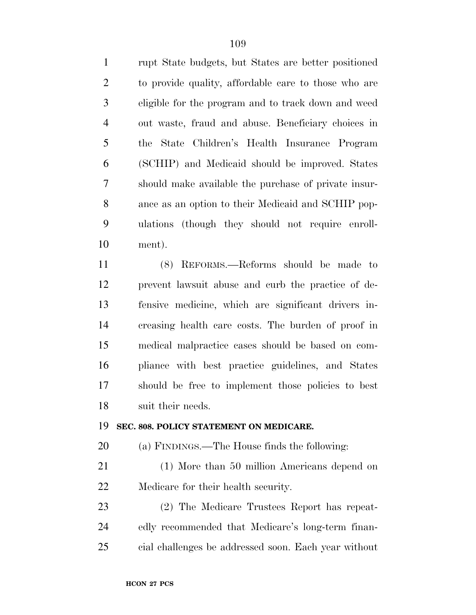rupt State budgets, but States are better positioned to provide quality, affordable care to those who are eligible for the program and to track down and weed out waste, fraud and abuse. Beneficiary choices in the State Children's Health Insurance Program (SCHIP) and Medicaid should be improved. States should make available the purchase of private insur- ance as an option to their Medicaid and SCHIP pop- ulations (though they should not require enroll-ment).

 (8) REFORMS.—Reforms should be made to prevent lawsuit abuse and curb the practice of de- fensive medicine, which are significant drivers in- creasing health care costs. The burden of proof in medical malpractice cases should be based on com- pliance with best practice guidelines, and States should be free to implement those policies to best suit their needs.

#### **SEC. 808. POLICY STATEMENT ON MEDICARE.**

(a) FINDINGS.—The House finds the following:

 (1) More than 50 million Americans depend on Medicare for their health security.

 (2) The Medicare Trustees Report has repeat- edly recommended that Medicare's long-term finan-cial challenges be addressed soon. Each year without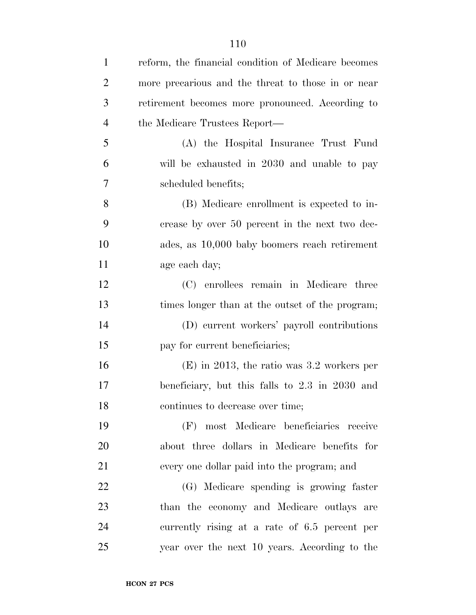| $\mathbf{1}$   | reform, the financial condition of Medicare becomes |
|----------------|-----------------------------------------------------|
| $\overline{2}$ | more precarious and the threat to those in or near  |
| 3              | retirement becomes more pronounced. According to    |
| $\overline{4}$ | the Medicare Trustees Report—                       |
| 5              | (A) the Hospital Insurance Trust Fund               |
| 6              | will be exhausted in 2030 and unable to pay         |
| 7              | scheduled benefits;                                 |
| 8              | (B) Medicare enrollment is expected to in-          |
| 9              | crease by over 50 percent in the next two dec-      |
| 10             | ades, as 10,000 baby boomers reach retirement       |
| 11             | age each day;                                       |
| 12             | (C) enrollees remain in Medicare three              |
| 13             | times longer than at the outset of the program;     |
| 14             | (D) current workers' payroll contributions          |
| 15             | pay for current beneficiaries;                      |
| 16             | $(E)$ in 2013, the ratio was 3.2 workers per        |
| 17             | beneficiary, but this falls to 2.3 in 2030 and      |
| 18             | continues to decrease over time;                    |
| 19             | (F) most Medicare beneficiaries receive             |
| 20             | about three dollars in Medicare benefits for        |
| 21             | every one dollar paid into the program; and         |
| 22             | (G) Medicare spending is growing faster             |
| 23             | than the economy and Medicare outlays are           |
| 24             | currently rising at a rate of 6.5 percent per       |
| 25             | year over the next 10 years. According to the       |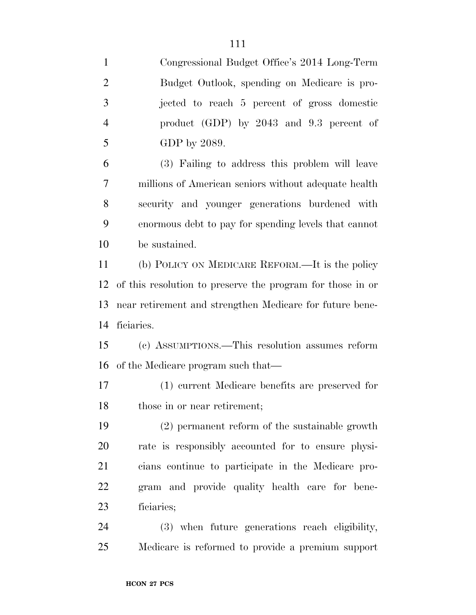| $\mathbf{1}$   | Congressional Budget Office's 2014 Long-Term               |
|----------------|------------------------------------------------------------|
| $\overline{2}$ | Budget Outlook, spending on Medicare is pro-               |
| 3              | jected to reach 5 percent of gross domestic                |
| $\overline{4}$ | product $(GDP)$ by 2043 and 9.3 percent of                 |
| 5              | GDP by 2089.                                               |
| 6              | (3) Failing to address this problem will leave             |
| $\tau$         | millions of American seniors without adequate health       |
| 8              | security and younger generations burdened with             |
| 9              | enormous debt to pay for spending levels that cannot       |
| 10             | be sustained.                                              |
| 11             | (b) POLICY ON MEDICARE REFORM.—It is the policy            |
| 12             | of this resolution to preserve the program for those in or |
| 13             | near retirement and strengthen Medicare for future bene-   |
| 14             | ficiaries.                                                 |
| 15             | (c) ASSUMPTIONS.—This resolution assumes reform            |
| 16             | of the Medicare program such that—                         |
| 17             | (1) current Medicare benefits are preserved for            |
| 18             | those in or near retirement;                               |
| 19             | (2) permanent reform of the sustainable growth             |
| 20             | rate is responsibly accounted for to ensure physi-         |
| 21             | cians continue to participate in the Medicare pro-         |
| 22             | gram and provide quality health care for bene-             |
| 23             | ficiaries;                                                 |
|                |                                                            |

Medicare is reformed to provide a premium support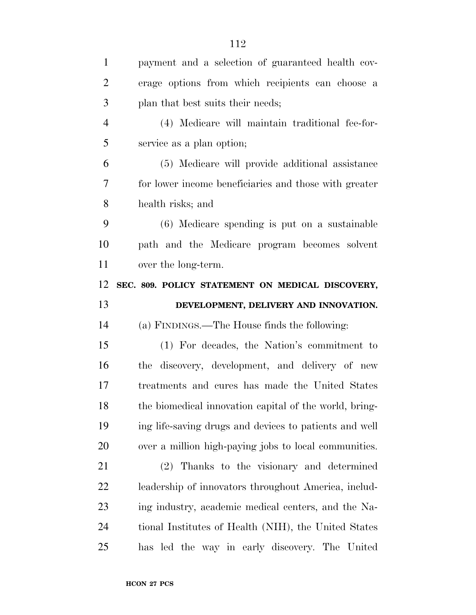| erage options from which recipients can choose a |
|--------------------------------------------------|
|                                                  |
|                                                  |
| (4) Medicare will maintain traditional fee-for-  |
|                                                  |
| (5) Medicare will provide additional assistance  |
|                                                  |

 for lower income beneficiaries and those with greater health risks; and

 (6) Medicare spending is put on a sustainable path and the Medicare program becomes solvent over the long-term.

**SEC. 809. POLICY STATEMENT ON MEDICAL DISCOVERY,** 

## **DEVELOPMENT, DELIVERY AND INNOVATION.**

(a) FINDINGS.—The House finds the following:

 (1) For decades, the Nation's commitment to the discovery, development, and delivery of new treatments and cures has made the United States 18 the biomedical innovation capital of the world, bring- ing life-saving drugs and devices to patients and well over a million high-paying jobs to local communities.

 (2) Thanks to the visionary and determined leadership of innovators throughout America, includ- ing industry, academic medical centers, and the Na- tional Institutes of Health (NIH), the United States has led the way in early discovery. The United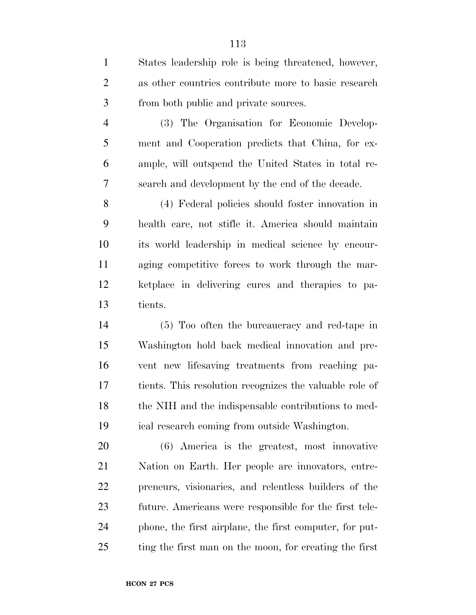| $\mathbf{1}$   | States leadership role is being threatened, however,    |
|----------------|---------------------------------------------------------|
| $\mathbf{2}$   | as other countries contribute more to basic research    |
| 3              | from both public and private sources.                   |
| $\overline{4}$ | (3) The Organisation for Economic Develop-              |
| 5              | ment and Cooperation predicts that China, for ex-       |
| 6              | ample, will outspend the United States in total re-     |
| 7              | search and development by the end of the decade.        |
| 8              | (4) Federal policies should foster innovation in        |
| 9              | health care, not stifle it. America should maintain     |
| 10             | its world leadership in medical science by encour-      |
| 11             | aging competitive forces to work through the mar-       |
| 12             | ketplace in delivering cures and therapies to pa-       |
| 13             | tients.                                                 |
| 14             | (5) Too often the bureaucracy and red-tape in           |
| 15             | Washington hold back medical innovation and pre-        |
| 16             | vent new lifesaving treatments from reaching pa-        |
| 17             | tients. This resolution recognizes the valuable role of |
| 18             | the NIH and the indispensable contributions to med-     |
| 19             | ical research coming from outside Washington.           |
| 20             | (6) America is the greatest, most innovative            |
| 21             | Nation on Earth. Her people are innovators, entre-      |
| 22             | preneurs, visionaries, and relentless builders of the   |
| 23             | future. Americans were responsible for the first tele-  |
| 24             | phone, the first airplane, the first computer, for put- |
| 25             | ting the first man on the moon, for creating the first  |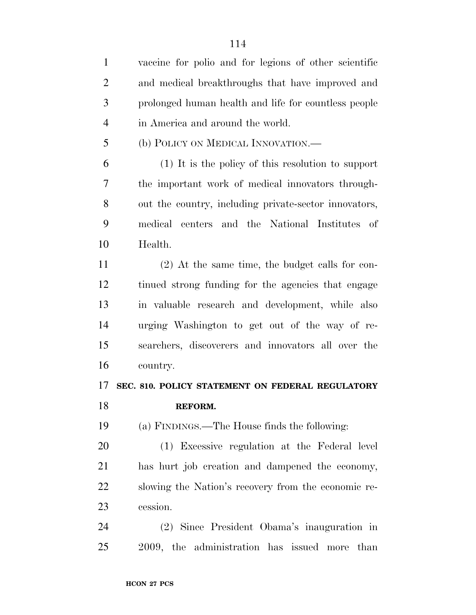| $\mathbf{1}$   | vaccine for polio and for legions of other scientific |
|----------------|-------------------------------------------------------|
| $\overline{2}$ | and medical breakthroughs that have improved and      |
| 3              | prolonged human health and life for countless people  |
| $\overline{4}$ | in America and around the world.                      |
| 5              | (b) POLICY ON MEDICAL INNOVATION.—                    |
| 6              | (1) It is the policy of this resolution to support    |
| 7              | the important work of medical innovators through-     |
| 8              | out the country, including private-sector innovators, |
| 9              | centers and the National Institutes of<br>medical     |
| 10             | Health.                                               |
| 11             | $(2)$ At the same time, the budget calls for con-     |
| 12             | tinued strong funding for the agencies that engage    |
| 13             | in valuable research and development, while also      |
| 14             | urging Washington to get out of the way of re-        |
| 15             | searchers, discoverers and innovators all over the    |
| 16             | country.                                              |
| 17             | SEC. 810. POLICY STATEMENT ON FEDERAL REGULATORY      |
| 18             | REFORM.                                               |
| 19             | (a) FINDINGS.—The House finds the following:          |
| 20             | (1) Excessive regulation at the Federal level         |
| 21             | has hurt job creation and dampened the economy,       |
| 22             | slowing the Nation's recovery from the economic re-   |
| 23             | cession.                                              |
| 24             | (2) Since President Obama's inauguration in           |
| 25             | 2009, the administration has issued more<br>than      |
|                |                                                       |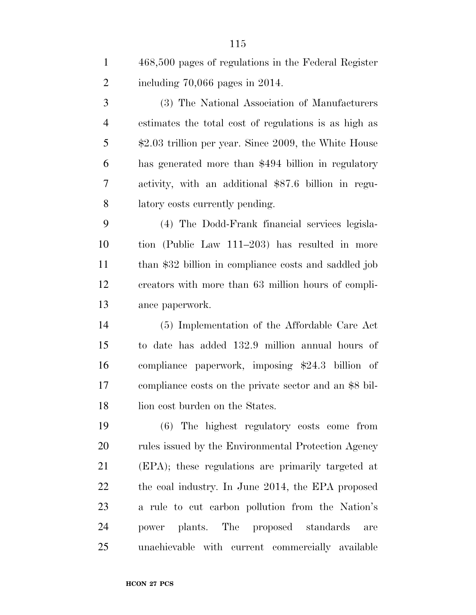468,500 pages of regulations in the Federal Register including 70,066 pages in 2014.

 (3) The National Association of Manufacturers estimates the total cost of regulations is as high as \$2.03 trillion per year. Since 2009, the White House has generated more than \$494 billion in regulatory activity, with an additional \$87.6 billion in regu-latory costs currently pending.

 (4) The Dodd-Frank financial services legisla- tion (Public Law 111–203) has resulted in more than \$32 billion in compliance costs and saddled job creators with more than 63 million hours of compli-ance paperwork.

 (5) Implementation of the Affordable Care Act to date has added 132.9 million annual hours of compliance paperwork, imposing \$24.3 billion of compliance costs on the private sector and an \$8 bil-18 lion cost burden on the States.

 (6) The highest regulatory costs come from 20 rules issued by the Environmental Protection Agency (EPA); these regulations are primarily targeted at the coal industry. In June 2014, the EPA proposed a rule to cut carbon pollution from the Nation's power plants. The proposed standards are unachievable with current commercially available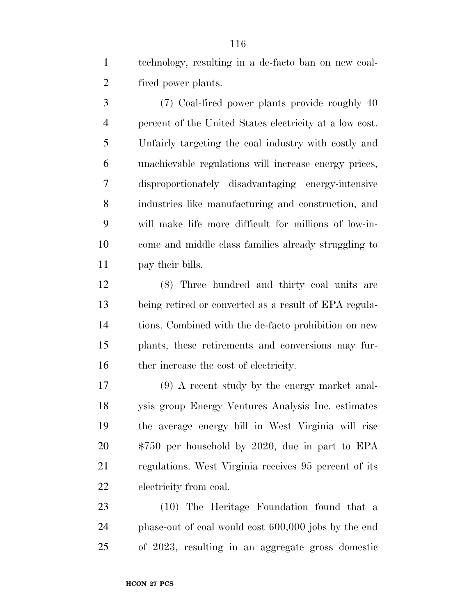technology, resulting in a de-facto ban on new coal-fired power plants.

 (7) Coal-fired power plants provide roughly 40 percent of the United States electricity at a low cost. Unfairly targeting the coal industry with costly and unachievable regulations will increase energy prices, disproportionately disadvantaging energy-intensive industries like manufacturing and construction, and will make life more difficult for millions of low-in- come and middle class families already struggling to pay their bills.

 (8) Three hundred and thirty coal units are being retired or converted as a result of EPA regula- tions. Combined with the de-facto prohibition on new plants, these retirements and conversions may fur-16 ther increase the cost of electricity.

 (9) A recent study by the energy market anal- ysis group Energy Ventures Analysis Inc. estimates the average energy bill in West Virginia will rise \$750 per household by 2020, due in part to EPA regulations. West Virginia receives 95 percent of its electricity from coal.

 (10) The Heritage Foundation found that a phase-out of coal would cost 600,000 jobs by the end of 2023, resulting in an aggregate gross domestic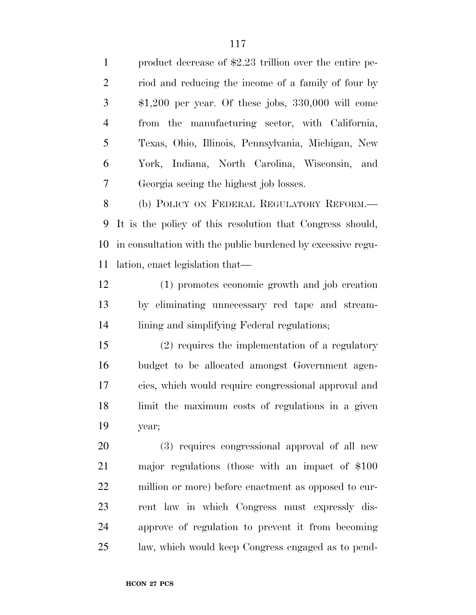product decrease of \$2.23 trillion over the entire pe- riod and reducing the income of a family of four by \$1,200 per year. Of these jobs, 330,000 will come from the manufacturing sector, with California, Texas, Ohio, Illinois, Pennsylvania, Michigan, New York, Indiana, North Carolina, Wisconsin, and Georgia seeing the highest job losses. 8 (b) POLICY ON FEDERAL REGULATORY REFORM.— It is the policy of this resolution that Congress should, in consultation with the public burdened by excessive regu- lation, enact legislation that— (1) promotes economic growth and job creation by eliminating unnecessary red tape and stream- lining and simplifying Federal regulations; (2) requires the implementation of a regulatory budget to be allocated amongst Government agen- cies, which would require congressional approval and limit the maximum costs of regulations in a given year; (3) requires congressional approval of all new major regulations (those with an impact of \$100 million or more) before enactment as opposed to cur- rent law in which Congress must expressly dis- approve of regulation to prevent it from becoming law, which would keep Congress engaged as to pend-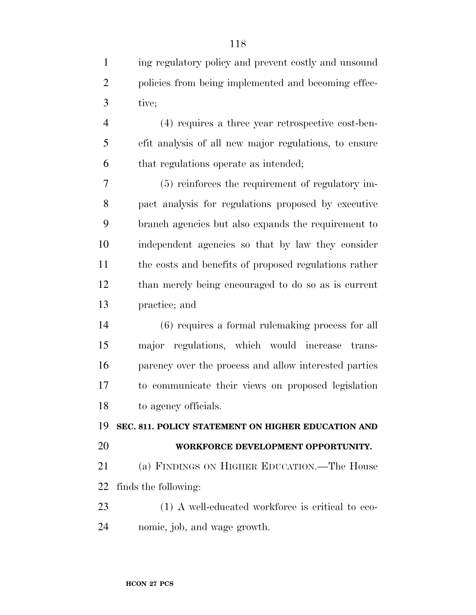| $\mathbf{1}$   | ing regulatory policy and prevent costly and unsound  |
|----------------|-------------------------------------------------------|
| $\overline{2}$ | policies from being implemented and becoming effec-   |
| 3              | tive;                                                 |
| $\overline{4}$ | (4) requires a three year retrospective cost-ben-     |
| 5              | efit analysis of all new major regulations, to ensure |
| 6              | that regulations operate as intended;                 |
| 7              | (5) reinforces the requirement of regulatory im-      |
| 8              | pact analysis for regulations proposed by executive   |
| 9              | branch agencies but also expands the requirement to   |
| 10             | independent agencies so that by law they consider     |
| 11             | the costs and benefits of proposed regulations rather |
| 12             | than merely being encouraged to do so as is current   |
| 13             | practice; and                                         |
| 14             | $(6)$ requires a formal rule making process for all   |
| 15             | major regulations, which would increase<br>trans-     |
| 16             | parency over the process and allow interested parties |
| 17             | to communicate their views on proposed legislation    |
| 18             | to agency officials.                                  |
| 19             | SEC. 811. POLICY STATEMENT ON HIGHER EDUCATION AND    |
| 20             | WORKFORCE DEVELOPMENT OPPORTUNITY.                    |
| 21             | (a) FINDINGS ON HIGHER EDUCATION.—The House           |
| 22             | finds the following:                                  |
| 23             | (1) A well-educated workforce is critical to eco-     |
| 24             | nomic, job, and wage growth.                          |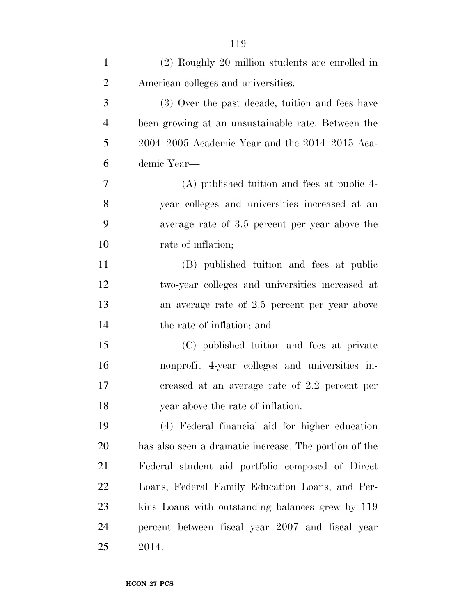| $\mathbf{1}$   | (2) Roughly 20 million students are enrolled in       |
|----------------|-------------------------------------------------------|
| $\overline{2}$ | American colleges and universities.                   |
| 3              | (3) Over the past decade, tuition and fees have       |
| $\overline{4}$ | been growing at an unsustainable rate. Between the    |
| 5              | 2004–2005 Academic Year and the 2014–2015 Aca-        |
| 6              | demic Year-                                           |
| 7              | (A) published tuition and fees at public 4-           |
| 8              | year colleges and universities increased at an        |
| 9              | average rate of 3.5 percent per year above the        |
| 10             | rate of inflation;                                    |
| 11             | (B) published tuition and fees at public              |
| 12             | two-year colleges and universities increased at       |
| 13             | an average rate of 2.5 percent per year above         |
| 14             | the rate of inflation; and                            |
| 15             | (C) published tuition and fees at private             |
| 16             | nonprofit 4-year colleges and universities in-        |
| 17             | creased at an average rate of 2.2 percent per         |
| 18             | year above the rate of inflation.                     |
| 19             | (4) Federal financial aid for higher education        |
| 20             | has also seen a dramatic increase. The portion of the |
| 21             | Federal student aid portfolio composed of Direct      |
| 22             | Loans, Federal Family Education Loans, and Per-       |
| 23             | kins Loans with outstanding balances grew by 119      |
| 24             | percent between fiscal year 2007 and fiscal year      |
| 25             | 2014.                                                 |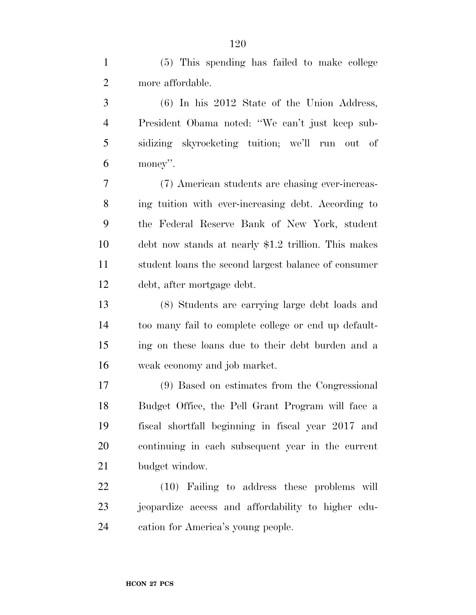(5) This spending has failed to make college more affordable.

 (6) In his 2012 State of the Union Address, President Obama noted: ''We can't just keep sub- sidizing skyrocketing tuition; we'll run out of money''.

 (7) American students are chasing ever-increas- ing tuition with ever-increasing debt. According to the Federal Reserve Bank of New York, student debt now stands at nearly \$1.2 trillion. This makes student loans the second largest balance of consumer debt, after mortgage debt.

 (8) Students are carrying large debt loads and too many fail to complete college or end up default- ing on these loans due to their debt burden and a weak economy and job market.

 (9) Based on estimates from the Congressional Budget Office, the Pell Grant Program will face a fiscal shortfall beginning in fiscal year 2017 and continuing in each subsequent year in the current budget window.

 (10) Failing to address these problems will jeopardize access and affordability to higher edu-cation for America's young people.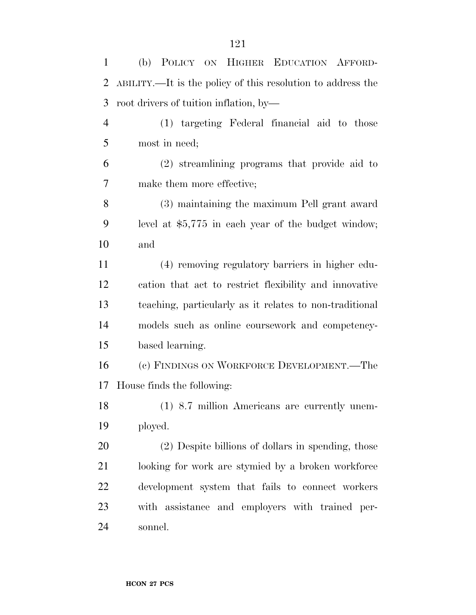(b) POLICY ON HIGHER EDUCATION AFFORD- ABILITY.—It is the policy of this resolution to address the root drivers of tuition inflation, by— (1) targeting Federal financial aid to those most in need; (2) streamlining programs that provide aid to make them more effective; (3) maintaining the maximum Pell grant award level at \$5,775 in each year of the budget window; and (4) removing regulatory barriers in higher edu- cation that act to restrict flexibility and innovative teaching, particularly as it relates to non-traditional models such as online coursework and competency- based learning. (c) FINDINGS ON WORKFORCE DEVELOPMENT.—The House finds the following: (1) 8.7 million Americans are currently unem- ployed. (2) Despite billions of dollars in spending, those looking for work are stymied by a broken workforce development system that fails to connect workers with assistance and employers with trained per-sonnel.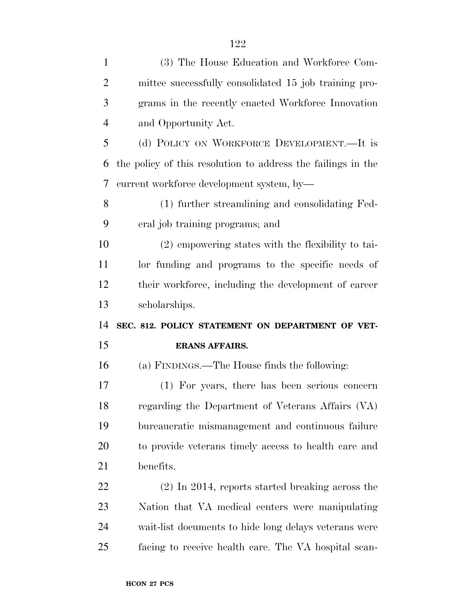| $\mathbf{1}$   | (3) The House Education and Workforce Com-                   |
|----------------|--------------------------------------------------------------|
| $\overline{2}$ | mittee successfully consolidated 15 job training pro-        |
| 3              | grams in the recently enacted Workforce Innovation           |
| $\overline{4}$ | and Opportunity Act.                                         |
| 5              | (d) POLICY ON WORKFORCE DEVELOPMENT.—It is                   |
| 6              | the policy of this resolution to address the failings in the |
| 7              | current workforce development system, by-                    |
| 8              | (1) further streamlining and consolidating Fed-              |
| 9              | eral job training programs; and                              |
| 10             | (2) empowering states with the flexibility to tai-           |
| 11             | lor funding and programs to the specific needs of            |
| 12             | their workforce, including the development of career         |
| 13             | scholarships.                                                |
| 14             | SEC. 812. POLICY STATEMENT ON DEPARTMENT OF VET-             |
| 15             | <b>ERANS AFFAIRS.</b>                                        |
| 16             | (a) FINDINGS.—The House finds the following:                 |
| 17             | (1) For years, there has been serious concern                |
| 18             | regarding the Department of Veterans Affairs (VA)            |
| 19             | bureaucratic mismanagement and continuous failure            |
| 20             | to provide veterans timely access to health care and         |
| 21             | benefits.                                                    |
| 22             | $(2)$ In 2014, reports started breaking across the           |
| 23             | Nation that VA medical centers were manipulating             |
| 24             | wait-list documents to hide long delays veterans were        |
| 25             | facing to receive health care. The VA hospital scan-         |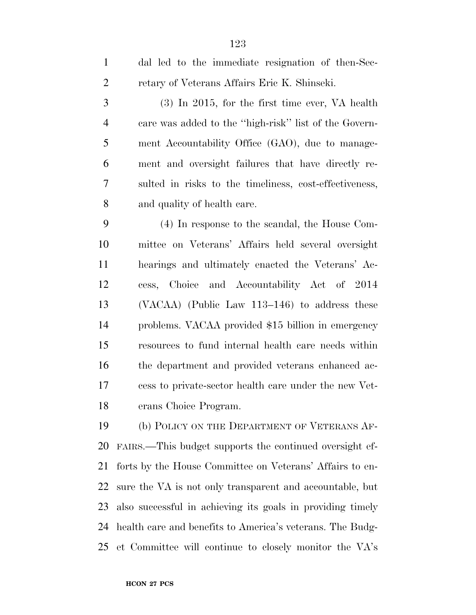| $\mathbf{1}$   | dal led to the immediate resignation of then-Sec-        |
|----------------|----------------------------------------------------------|
| $\overline{2}$ | retary of Veterans Affairs Eric K. Shinseki.             |
| 3              | $(3)$ In 2015, for the first time ever, VA health        |
| 4              | care was added to the "high-risk" list of the Govern-    |
| 5              | ment Accountability Office (GAO), due to manage-         |
| 6              | ment and oversight failures that have directly re-       |
| 7              | sulted in risks to the timeliness, cost-effectiveness,   |
| 8              | and quality of health care.                              |
| 9              | (4) In response to the scandal, the House Com-           |
| 10             | mittee on Veterans' Affairs held several oversight       |
| 11             | hearings and ultimately enacted the Veterans' Ac-        |
| 12             | cess, Choice and Accountability Act of 2014              |
| 13             | $(VACAA)$ (Public Law 113–146) to address these          |
| 14             | problems. VACAA provided \$15 billion in emergency       |
| 15             | resources to fund internal health care needs within      |
| 16             | the department and provided veterans enhanced ac-        |
| 17             | cess to private-sector health care under the new Vet-    |
| 18             | erans Choice Program.                                    |
| 19             | (b) POLICY ON THE DEPARTMENT OF VETERANS AF-             |
| 20             | FAIRS.—This budget supports the continued oversight ef-  |
| 21             | forts by the House Committee on Veterans' Affairs to en- |
| 22             | sure the VA is not only transparent and accountable, but |

 also successful in achieving its goals in providing timely health care and benefits to America's veterans. The Budg-et Committee will continue to closely monitor the VA's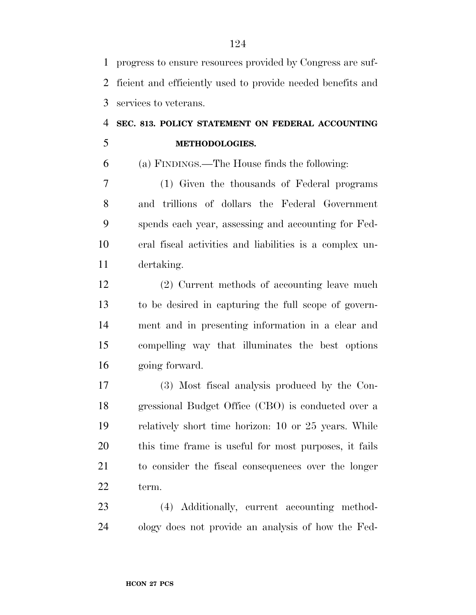progress to ensure resources provided by Congress are suf- ficient and efficiently used to provide needed benefits and services to veterans.

# **SEC. 813. POLICY STATEMENT ON FEDERAL ACCOUNTING METHODOLOGIES.**

(a) FINDINGS.—The House finds the following:

 (1) Given the thousands of Federal programs and trillions of dollars the Federal Government spends each year, assessing and accounting for Fed- eral fiscal activities and liabilities is a complex un-dertaking.

 (2) Current methods of accounting leave much to be desired in capturing the full scope of govern- ment and in presenting information in a clear and compelling way that illuminates the best options going forward.

 (3) Most fiscal analysis produced by the Con- gressional Budget Office (CBO) is conducted over a relatively short time horizon: 10 or 25 years. While this time frame is useful for most purposes, it fails to consider the fiscal consequences over the longer term.

 (4) Additionally, current accounting method-ology does not provide an analysis of how the Fed-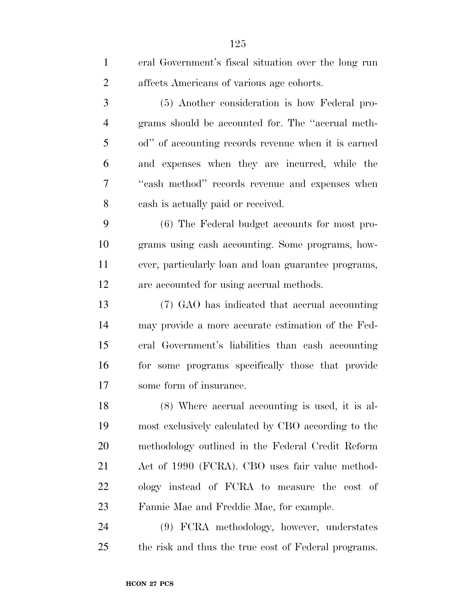| $\mathbf{1}$   | eral Government's fiscal situation over the long run |
|----------------|------------------------------------------------------|
| $\overline{2}$ | affects Americans of various age cohorts.            |
| 3              | (5) Another consideration is how Federal pro-        |
| $\overline{4}$ | grams should be accounted for. The "accrual meth-    |
| 5              | od" of accounting records revenue when it is earned  |
| 6              | and expenses when they are incurred, while the       |
| 7              | "cash method" records revenue and expenses when      |
| 8              | cash is actually paid or received.                   |
| 9              | (6) The Federal budget accounts for most pro-        |
| 10             | grams using eash accounting. Some programs, how-     |
| 11             | ever, particularly loan and loan guarantee programs, |
| 12             | are accounted for using accrual methods.             |
| 13             | (7) GAO has indicated that accrual accounting        |
| 14             | may provide a more accurate estimation of the Fed-   |
| 15             | eral Government's liabilities than eash accounting   |
| 16             | for some programs specifically those that provide    |
| 17             | some form of insurance.                              |
| 18             | $(8)$ Where accrual accounting is used, it is al-    |
| 19             | most exclusively calculated by CBO according to the  |
| 20             | methodology outlined in the Federal Credit Reform    |
| 21             | Act of 1990 (FCRA). CBO uses fair value method-      |
| 22             | ology instead of FCRA to measure the cost of         |
| 23             | Fannie Mae and Freddie Mac, for example.             |
| 24             | (9) FCRA methodology, however, understates           |
| 25             | the risk and thus the true cost of Federal programs. |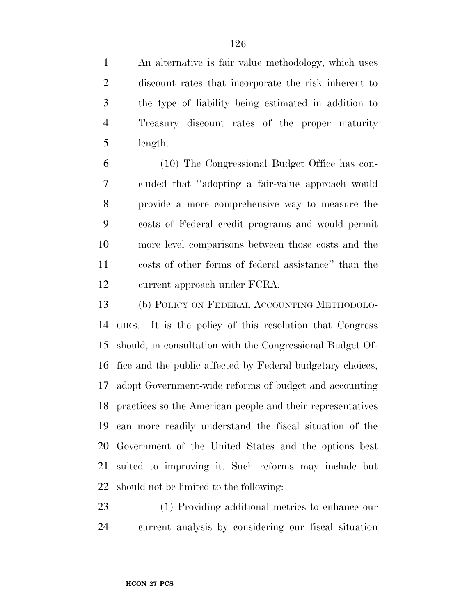An alternative is fair value methodology, which uses discount rates that incorporate the risk inherent to the type of liability being estimated in addition to Treasury discount rates of the proper maturity length.

 (10) The Congressional Budget Office has con- cluded that ''adopting a fair-value approach would provide a more comprehensive way to measure the costs of Federal credit programs and would permit more level comparisons between those costs and the costs of other forms of federal assistance'' than the current approach under FCRA.

 (b) POLICY ON FEDERAL ACCOUNTING METHODOLO- GIES.—It is the policy of this resolution that Congress should, in consultation with the Congressional Budget Of- fice and the public affected by Federal budgetary choices, adopt Government-wide reforms of budget and accounting practices so the American people and their representatives can more readily understand the fiscal situation of the Government of the United States and the options best suited to improving it. Such reforms may include but should not be limited to the following:

 (1) Providing additional metrics to enhance our current analysis by considering our fiscal situation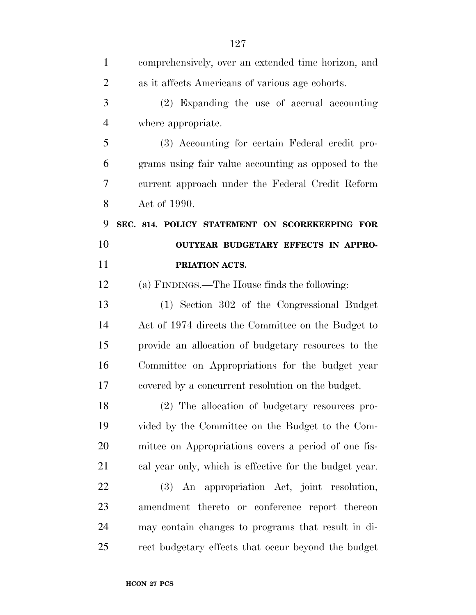| $\mathbf{1}$   | comprehensively, over an extended time horizon, and    |
|----------------|--------------------------------------------------------|
| $\overline{2}$ | as it affects Americans of various age cohorts.        |
| 3              | (2) Expanding the use of accrual accounting            |
| $\overline{4}$ | where appropriate.                                     |
| 5              | (3) Accounting for certain Federal credit pro-         |
| 6              | grams using fair value accounting as opposed to the    |
| 7              | current approach under the Federal Credit Reform       |
| 8              | Act of 1990.                                           |
| 9              | SEC. 814. POLICY STATEMENT ON SCOREKEEPING FOR         |
| 10             | OUTYEAR BUDGETARY EFFECTS IN APPRO-                    |
| 11             | PRIATION ACTS.                                         |
| 12             | (a) FINDINGS.—The House finds the following:           |
| 13             | (1) Section 302 of the Congressional Budget            |
| 14             | Act of 1974 directs the Committee on the Budget to     |
| 15             | provide an allocation of budgetary resources to the    |
| 16             | Committee on Appropriations for the budget year        |
| 17             | covered by a concurrent resolution on the budget.      |
| 18             | (2) The allocation of budgetary resources pro-         |
| 19             | vided by the Committee on the Budget to the Com-       |
| 20             | mittee on Appropriations covers a period of one fis-   |
| 21             | cal year only, which is effective for the budget year. |
| 22             | (3) An appropriation Act, joint resolution,            |
| 23             | amendment thereto or conference report thereon         |
| 24             | may contain changes to programs that result in di-     |
| 25             | rect budgetary effects that occur beyond the budget    |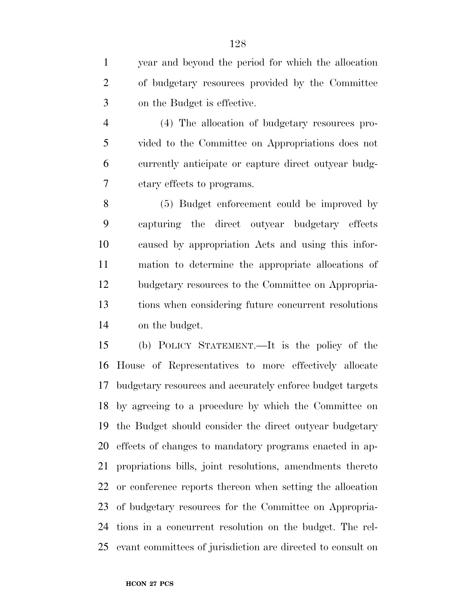year and beyond the period for which the allocation of budgetary resources provided by the Committee on the Budget is effective.

 (4) The allocation of budgetary resources pro- vided to the Committee on Appropriations does not currently anticipate or capture direct outyear budg-etary effects to programs.

 (5) Budget enforcement could be improved by capturing the direct outyear budgetary effects caused by appropriation Acts and using this infor- mation to determine the appropriate allocations of budgetary resources to the Committee on Appropria- tions when considering future concurrent resolutions on the budget.

 (b) POLICY STATEMENT.—It is the policy of the House of Representatives to more effectively allocate budgetary resources and accurately enforce budget targets by agreeing to a procedure by which the Committee on the Budget should consider the direct outyear budgetary effects of changes to mandatory programs enacted in ap- propriations bills, joint resolutions, amendments thereto or conference reports thereon when setting the allocation of budgetary resources for the Committee on Appropria- tions in a concurrent resolution on the budget. The rel-evant committees of jurisdiction are directed to consult on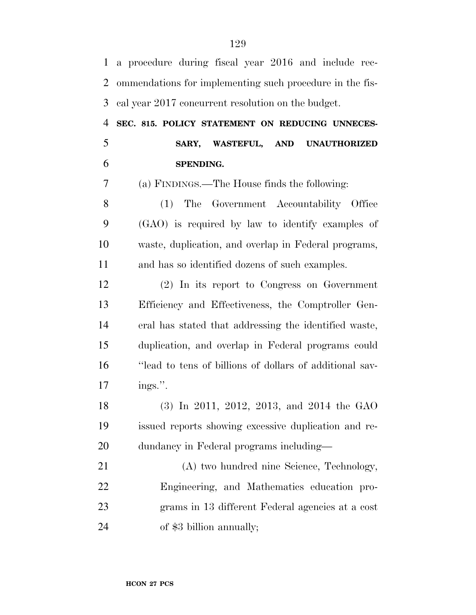| $\mathbf{1}$   | a procedure during fiscal year 2016 and include rec-     |
|----------------|----------------------------------------------------------|
| $\overline{2}$ | ommendations for implementing such procedure in the fis- |
| 3              | cal year 2017 concurrent resolution on the budget.       |
| 4              | SEC. 815. POLICY STATEMENT ON REDUCING UNNECES-          |
| 5              | SARY, WASTEFUL, AND UNAUTHORIZED                         |
| 6              | SPENDING.                                                |
| 7              | (a) FINDINGS.—The House finds the following:             |
| 8              | (1) The Government Accountability Office                 |
| 9              | (GAO) is required by law to identify examples of         |
| 10             | waste, duplication, and overlap in Federal programs,     |
| 11             | and has so identified dozens of such examples.           |
| 12             | (2) In its report to Congress on Government              |
| 13             | Efficiency and Effectiveness, the Comptroller Gen-       |
| 14             | eral has stated that addressing the identified waste,    |
| 15             | duplication, and overlap in Federal programs could       |
| 16             | "lead to tens of billions of dollars of additional sav-  |
| 17             | ings.".                                                  |
| 18             | $(3)$ In 2011, 2012, 2013, and 2014 the GAO              |
| 19             | issued reports showing excessive duplication and re-     |
| 20             | dundancy in Federal programs including—                  |
| 21             | (A) two hundred nine Science, Technology,                |
| 22             | Engineering, and Mathematics education pro-              |
| 23             | grams in 13 different Federal agencies at a cost         |
| 24             | of \$3 billion annually;                                 |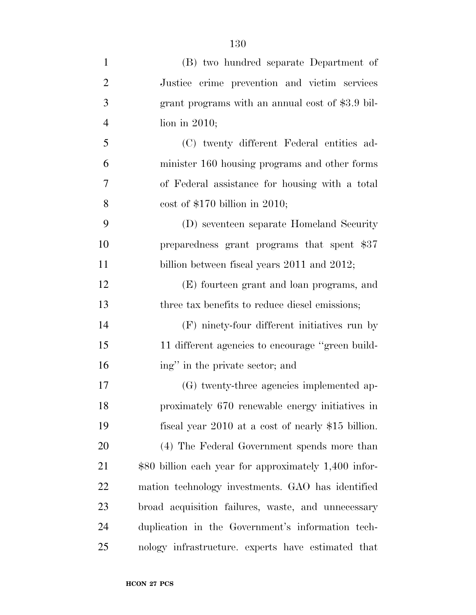| $\mathbf{1}$   | (B) two hundred separate Department of                |
|----------------|-------------------------------------------------------|
| $\overline{2}$ | Justice crime prevention and victim services          |
| 3              | grant programs with an annual cost of \$3.9 bil-      |
| $\overline{4}$ | lion in $2010$ ;                                      |
| 5              | (C) twenty different Federal entities ad-             |
| 6              | minister 160 housing programs and other forms         |
| $\overline{7}$ | of Federal assistance for housing with a total        |
| 8              | cost of $$170$ billion in 2010;                       |
| 9              | (D) seventeen separate Homeland Security              |
| 10             | preparedness grant programs that spent \$37           |
| 11             | billion between fiscal years 2011 and 2012;           |
| 12             | (E) fourteen grant and loan programs, and             |
| 13             | three tax benefits to reduce diesel emissions;        |
| 14             | (F) ninety-four different initiatives run by          |
| 15             | 11 different agencies to encourage "green build-      |
| 16             | ing" in the private sector; and                       |
| 17             | (G) twenty-three agencies implemented ap-             |
| 18             | proximately 670 renewable energy initiatives in       |
| 19             | fiscal year 2010 at a cost of nearly \$15 billion.    |
| 20             | (4) The Federal Government spends more than           |
| 21             | \$80 billion each year for approximately 1,400 infor- |
| 22             | mation technology investments. GAO has identified     |
| 23             | broad acquisition failures, waste, and unnecessary    |
| 24             | duplication in the Government's information tech-     |
| 25             | nology infrastructure. experts have estimated that    |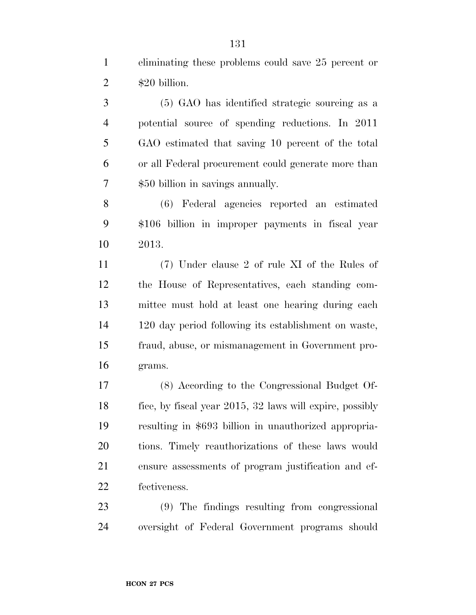eliminating these problems could save 25 percent or  $2 \qquad $20 \text{ billion.}$ 

 (5) GAO has identified strategic sourcing as a potential source of spending reductions. In 2011 GAO estimated that saving 10 percent of the total or all Federal procurement could generate more than \$50 billion in savings annually.

 (6) Federal agencies reported an estimated \$106 billion in improper payments in fiscal year 2013.

 (7) Under clause 2 of rule XI of the Rules of the House of Representatives, each standing com- mittee must hold at least one hearing during each 120 day period following its establishment on waste, fraud, abuse, or mismanagement in Government pro-grams.

 (8) According to the Congressional Budget Of- fice, by fiscal year 2015, 32 laws will expire, possibly resulting in \$693 billion in unauthorized appropria- tions. Timely reauthorizations of these laws would ensure assessments of program justification and ef-fectiveness.

 (9) The findings resulting from congressional oversight of Federal Government programs should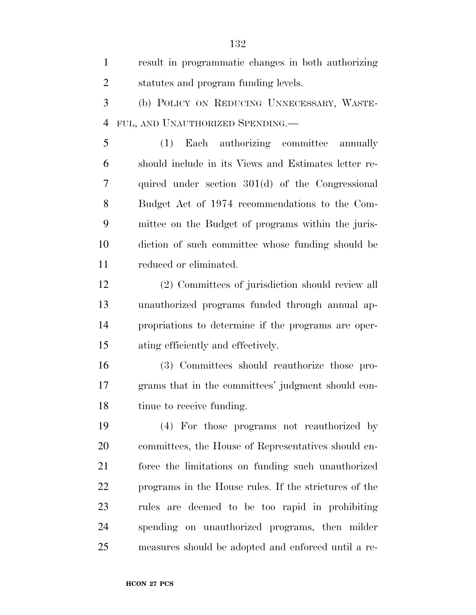result in programmatic changes in both authorizing statutes and program funding levels. (b) POLICY ON REDUCING UNNECESSARY, WASTE- FUL, AND UNAUTHORIZED SPENDING.— (1) Each authorizing committee annually should include in its Views and Estimates letter re- quired under section 301(d) of the Congressional Budget Act of 1974 recommendations to the Com- mittee on the Budget of programs within the juris- diction of such committee whose funding should be reduced or eliminated. (2) Committees of jurisdiction should review all unauthorized programs funded through annual ap- propriations to determine if the programs are oper- ating efficiently and effectively. (3) Committees should reauthorize those pro- grams that in the committees' judgment should con- tinue to receive funding. (4) For those programs not reauthorized by committees, the House of Representatives should en- force the limitations on funding such unauthorized programs in the House rules. If the strictures of the rules are deemed to be too rapid in prohibiting spending on unauthorized programs, then milder measures should be adopted and enforced until a re-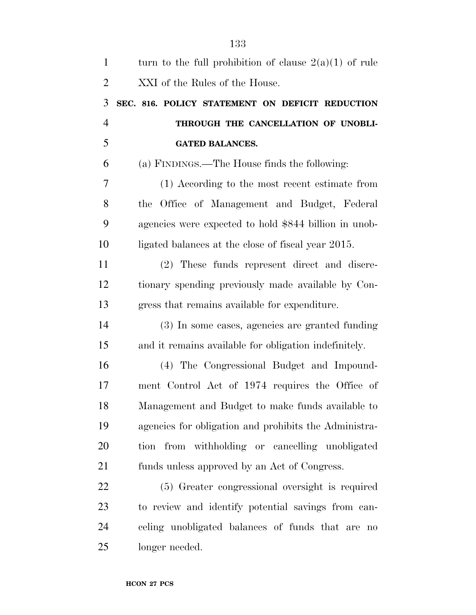| $\mathbf{1}$   | turn to the full prohibition of clause $2(a)(1)$ of rule |
|----------------|----------------------------------------------------------|
| $\overline{2}$ | XXI of the Rules of the House.                           |
| 3              | SEC. 816. POLICY STATEMENT ON DEFICIT REDUCTION          |
| $\overline{4}$ | THROUGH THE CANCELLATION OF UNOBLI-                      |
| 5              | <b>GATED BALANCES.</b>                                   |
| 6              | (a) FINDINGS.—The House finds the following:             |
| 7              | (1) According to the most recent estimate from           |
| 8              | the Office of Management and Budget, Federal             |
| 9              | agencies were expected to hold \$844 billion in unob-    |
| 10             | ligated balances at the close of fiscal year 2015.       |
| 11             | (2) These funds represent direct and discre-             |
| 12             | tionary spending previously made available by Con-       |
| 13             | gress that remains available for expenditure.            |
| 14             | (3) In some cases, agencies are granted funding          |
| 15             | and it remains available for obligation indefinitely.    |
| 16             | (4) The Congressional Budget and Impound-                |
| 17             | ment Control Act of 1974 requires the Office of          |
| 18             | Management and Budget to make funds available to         |
| 19             | agencies for obligation and prohibits the Administra-    |
| 20             | tion from withholding or cancelling unobligated          |
| 21             | funds unless approved by an Act of Congress.             |
| 22             | (5) Greater congressional oversight is required          |
| 23             | to review and identify potential savings from can-       |
| 24             | celing unobligated balances of funds that are no         |
| 25             | longer needed.                                           |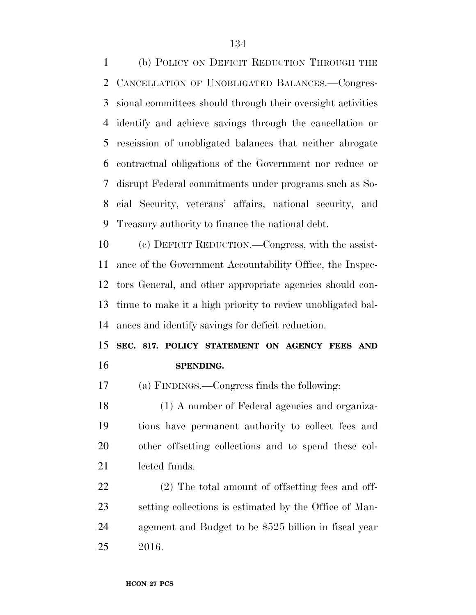(b) POLICY ON DEFICIT REDUCTION THROUGH THE CANCELLATION OF UNOBLIGATED BALANCES.—Congres- sional committees should through their oversight activities identify and achieve savings through the cancellation or rescission of unobligated balances that neither abrogate contractual obligations of the Government nor reduce or disrupt Federal commitments under programs such as So- cial Security, veterans' affairs, national security, and Treasury authority to finance the national debt.

 (c) DEFICIT REDUCTION.—Congress, with the assist- ance of the Government Accountability Office, the Inspec- tors General, and other appropriate agencies should con- tinue to make it a high priority to review unobligated bal-ances and identify savings for deficit reduction.

## **SEC. 817. POLICY STATEMENT ON AGENCY FEES AND SPENDING.**

(a) FINDINGS.—Congress finds the following:

 (1) A number of Federal agencies and organiza- tions have permanent authority to collect fees and other offsetting collections and to spend these col-lected funds.

 (2) The total amount of offsetting fees and off- setting collections is estimated by the Office of Man- agement and Budget to be \$525 billion in fiscal year 2016.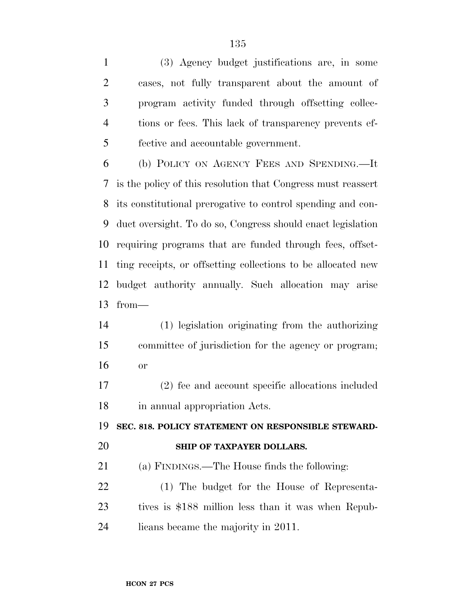(3) Agency budget justifications are, in some cases, not fully transparent about the amount of program activity funded through offsetting collec- tions or fees. This lack of transparency prevents ef-fective and accountable government.

 (b) POLICY ON AGENCY FEES AND SPENDING.—It is the policy of this resolution that Congress must reassert its constitutional prerogative to control spending and con- duct oversight. To do so, Congress should enact legislation requiring programs that are funded through fees, offset- ting receipts, or offsetting collections to be allocated new budget authority annually. Such allocation may arise from—

 (1) legislation originating from the authorizing committee of jurisdiction for the agency or program; or

 (2) fee and account specific allocations included in annual appropriation Acts.

**SEC. 818. POLICY STATEMENT ON RESPONSIBLE STEWARD-**

### **SHIP OF TAXPAYER DOLLARS.**

(a) FINDINGS.—The House finds the following:

 (1) The budget for the House of Representa- tives is \$188 million less than it was when Repub-licans became the majority in 2011.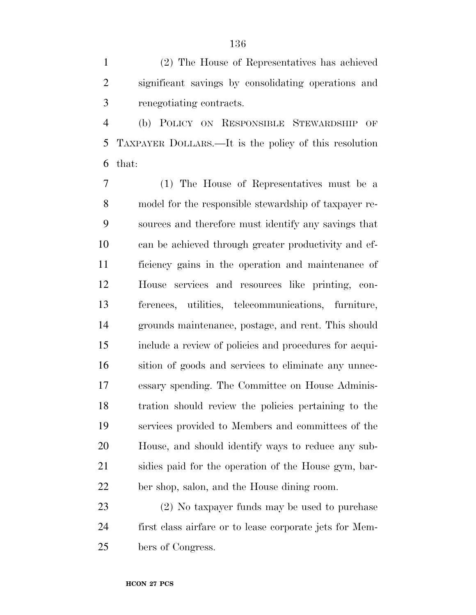(2) The House of Representatives has achieved significant savings by consolidating operations and renegotiating contracts.

 (b) POLICY ON RESPONSIBLE STEWARDSHIP OF TAXPAYER DOLLARS.—It is the policy of this resolution that:

 (1) The House of Representatives must be a model for the responsible stewardship of taxpayer re- sources and therefore must identify any savings that can be achieved through greater productivity and ef- ficiency gains in the operation and maintenance of House services and resources like printing, con- ferences, utilities, telecommunications, furniture, grounds maintenance, postage, and rent. This should include a review of policies and procedures for acqui- sition of goods and services to eliminate any unnec- essary spending. The Committee on House Adminis- tration should review the policies pertaining to the services provided to Members and committees of the House, and should identify ways to reduce any sub- sidies paid for the operation of the House gym, bar-ber shop, salon, and the House dining room.

 (2) No taxpayer funds may be used to purchase first class airfare or to lease corporate jets for Mem-bers of Congress.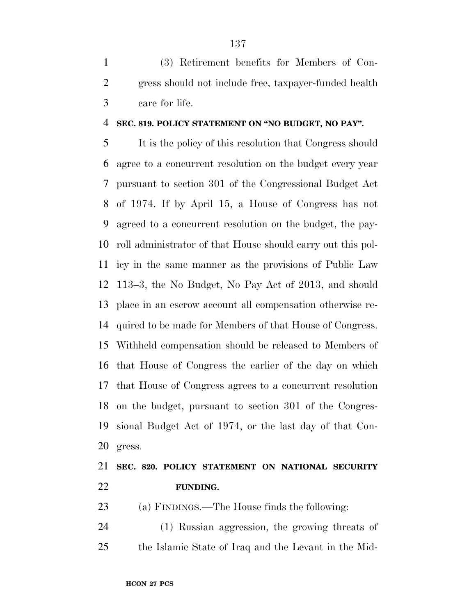(3) Retirement benefits for Members of Con- gress should not include free, taxpayer-funded health care for life.

#### **SEC. 819. POLICY STATEMENT ON ''NO BUDGET, NO PAY''.**

 It is the policy of this resolution that Congress should agree to a concurrent resolution on the budget every year pursuant to section 301 of the Congressional Budget Act of 1974. If by April 15, a House of Congress has not agreed to a concurrent resolution on the budget, the pay- roll administrator of that House should carry out this pol- icy in the same manner as the provisions of Public Law 113–3, the No Budget, No Pay Act of 2013, and should place in an escrow account all compensation otherwise re- quired to be made for Members of that House of Congress. Withheld compensation should be released to Members of that House of Congress the earlier of the day on which that House of Congress agrees to a concurrent resolution on the budget, pursuant to section 301 of the Congres- sional Budget Act of 1974, or the last day of that Con-gress.

## **SEC. 820. POLICY STATEMENT ON NATIONAL SECURITY FUNDING.**

(a) FINDINGS.—The House finds the following:

 (1) Russian aggression, the growing threats of the Islamic State of Iraq and the Levant in the Mid-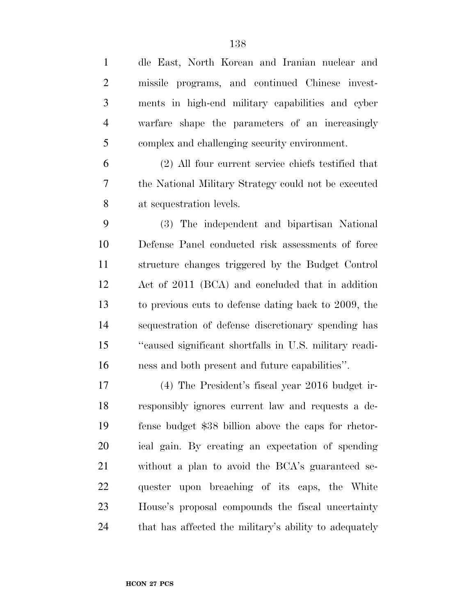| $\mathbf{1}$   | dle East, North Korean and Iranian nuclear and         |
|----------------|--------------------------------------------------------|
| $\overline{2}$ | missile programs, and continued Chinese invest-        |
| 3              | ments in high-end military capabilities and cyber      |
| $\overline{4}$ | warfare shape the parameters of an increasingly        |
| 5              | complex and challenging security environment.          |
| 6              | (2) All four current service chiefs testified that     |
| $\tau$         | the National Military Strategy could not be executed   |
| 8              | at sequestration levels.                               |
| 9              | (3) The independent and bipartisan National            |
| 10             | Defense Panel conducted risk assessments of force      |
| 11             | structure changes triggered by the Budget Control      |
| 12             | Act of 2011 (BCA) and concluded that in addition       |
| 13             | to previous cuts to defense dating back to 2009, the   |
| 14             | sequestration of defense discretionary spending has    |
| 15             | "caused significant shortfalls in U.S. military readi- |
| 16             | ness and both present and future capabilities".        |
| 17             | (4) The President's fiscal year 2016 budget ir-        |
| 18             | responsibly ignores current law and requests a de-     |
| 19             | fense budget \$38 billion above the caps for rhetor-   |
| 20             | ical gain. By creating an expectation of spending      |
| 21             | without a plan to avoid the BCA's guaranteed se-       |
| 22             | quester upon breaching of its caps, the White          |
| 23             | House's proposal compounds the fiscal uncertainty      |
| 24             | that has affected the military's ability to adequately |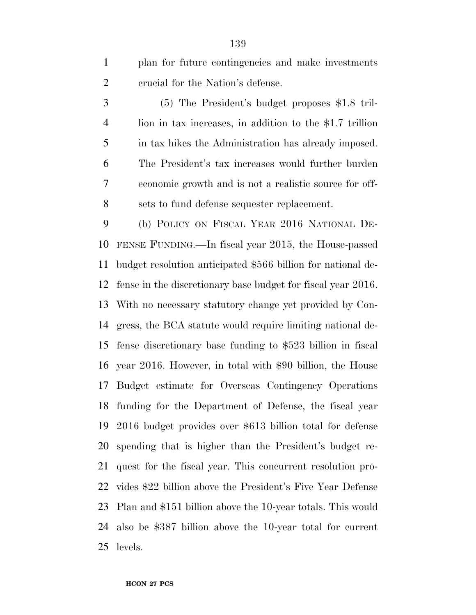plan for future contingencies and make investments crucial for the Nation's defense.

 (5) The President's budget proposes \$1.8 tril- lion in tax increases, in addition to the \$1.7 trillion in tax hikes the Administration has already imposed. The President's tax increases would further burden economic growth and is not a realistic source for off-sets to fund defense sequester replacement.

 (b) POLICY ON FISCAL YEAR 2016 NATIONAL DE- FENSE FUNDING.—In fiscal year 2015, the House-passed budget resolution anticipated \$566 billion for national de- fense in the discretionary base budget for fiscal year 2016. With no necessary statutory change yet provided by Con- gress, the BCA statute would require limiting national de- fense discretionary base funding to \$523 billion in fiscal year 2016. However, in total with \$90 billion, the House Budget estimate for Overseas Contingency Operations funding for the Department of Defense, the fiscal year 2016 budget provides over \$613 billion total for defense spending that is higher than the President's budget re- quest for the fiscal year. This concurrent resolution pro- vides \$22 billion above the President's Five Year Defense Plan and \$151 billion above the 10-year totals. This would also be \$387 billion above the 10-year total for current levels.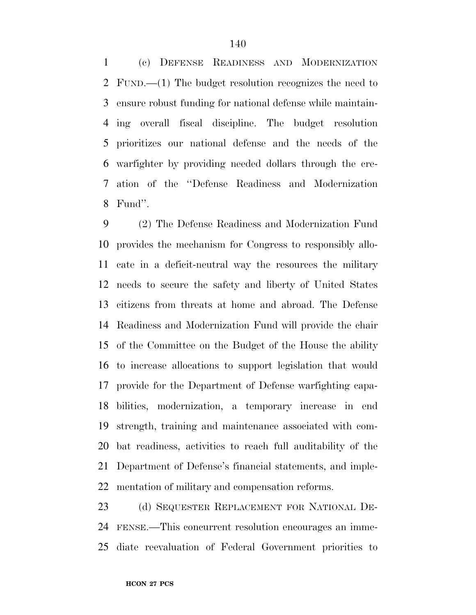(c) DEFENSE READINESS AND MODERNIZATION FUND.—(1) The budget resolution recognizes the need to ensure robust funding for national defense while maintain- ing overall fiscal discipline. The budget resolution prioritizes our national defense and the needs of the warfighter by providing needed dollars through the cre- ation of the ''Defense Readiness and Modernization Fund''.

 (2) The Defense Readiness and Modernization Fund provides the mechanism for Congress to responsibly allo- cate in a deficit-neutral way the resources the military needs to secure the safety and liberty of United States citizens from threats at home and abroad. The Defense Readiness and Modernization Fund will provide the chair of the Committee on the Budget of the House the ability to increase allocations to support legislation that would provide for the Department of Defense warfighting capa- bilities, modernization, a temporary increase in end strength, training and maintenance associated with com- bat readiness, activities to reach full auditability of the Department of Defense's financial statements, and imple-mentation of military and compensation reforms.

 (d) SEQUESTER REPLACEMENT FOR NATIONAL DE- FENSE.—This concurrent resolution encourages an imme-diate reevaluation of Federal Government priorities to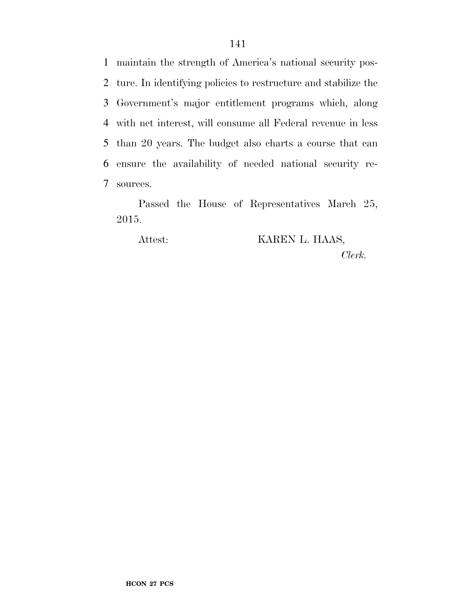maintain the strength of America's national security pos- ture. In identifying policies to restructure and stabilize the Government's major entitlement programs which, along with net interest, will consume all Federal revenue in less than 20 years. The budget also charts a course that can ensure the availability of needed national security re-sources.

Passed the House of Representatives March 25, 2015.

Attest: KAREN L. HAAS, *Clerk.*